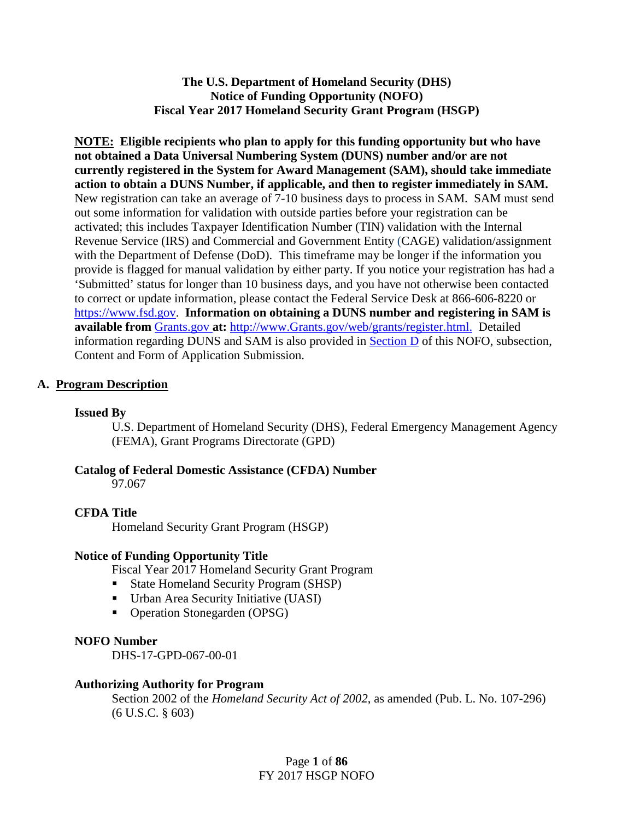**The U.S. Department of Homeland Security (DHS) Notice of Funding Opportunity (NOFO) Fiscal Year 2017 Homeland Security Grant Program (HSGP)**

**NOTE: Eligible recipients who plan to apply for this funding opportunity but who have not obtained a Data Universal Numbering System (DUNS) number and/or are not currently registered in the System for Award Management (SAM), should take immediate action to obtain a DUNS Number, if applicable, and then to register immediately in SAM.**  New registration can take an average of 7-10 business days to process in SAM. SAM must send out some information for validation with outside parties before your registration can be activated; this includes Taxpayer Identification Number (TIN) validation with the Internal Revenue Service (IRS) and Commercial and Government Entity (CAGE) validation/assignment with the Department of Defense (DoD). This timeframe may be longer if the information you provide is flagged for manual validation by either party. If you notice your registration has had a 'Submitted' status for longer than 10 business days, and you have not otherwise been contacted to correct or update information, please contact the Federal Service Desk at 866-606-8220 o[r](https://www.fsd.gov/) [https://www.fsd.gov.](https://www.fsd.gov/) **Information on obtaining a DUNS number and registering in SAM is available from** [Grants.gov](http://www.grants.gov/) **at:** [http://www.Grants.gov/web/grants/register.html.](http://www.grants.gov/web/grants/register.html) Detailed information regarding DUNS and SAM is also provided in [Section D](#page-6-0) of this NOFO, subsection, Content and Form of Application Submission.

## **A. Program Description**

## **Issued By**

U.S. Department of Homeland Security (DHS), Federal Emergency Management Agency (FEMA), Grant Programs Directorate (GPD)

**Catalog of Federal Domestic Assistance (CFDA) Number**

97.067

## **CFDA Title**

Homeland Security Grant Program (HSGP)

#### **Notice of Funding Opportunity Title**

Fiscal Year 2017 Homeland Security Grant Program

- State Homeland Security Program (SHSP)
- Urban Area Security Initiative (UASI)
- Operation Stonegarden (OPSG)

#### **NOFO Number**

DHS-17-GPD-067-00-01

#### **Authorizing Authority for Program**

Section 2002 of the *Homeland Security Act of 2002*, as amended (Pub. L. No. 107-296) (6 U.S.C. § 603)

> Page **1** of **86** FY 2017 HSGP NOFO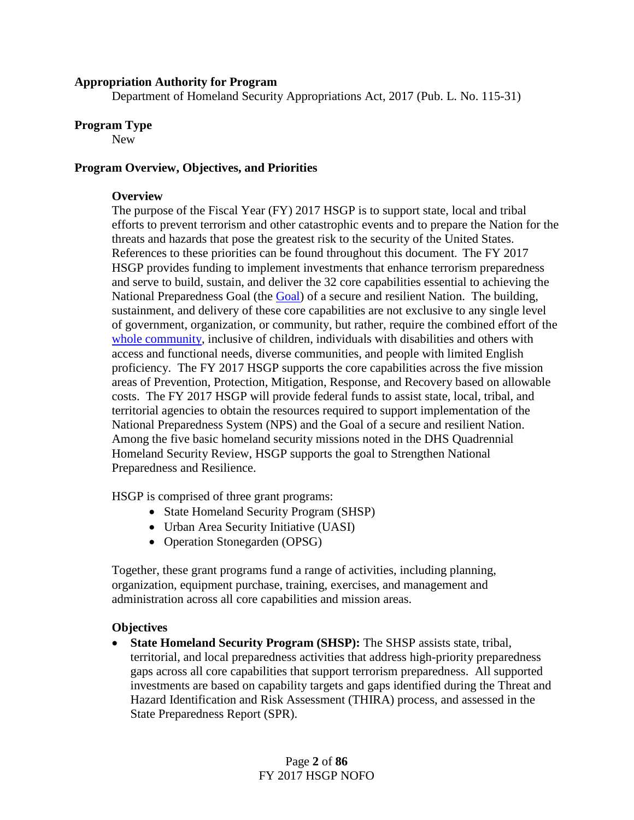#### **Appropriation Authority for Program**

Department of Homeland Security Appropriations Act, 2017 (Pub. L. No. 115-31)

#### **Program Type**

New

#### **Program Overview, Objectives, and Priorities**

#### **Overview**

The purpose of the Fiscal Year (FY) 2017 HSGP is to support state, local and tribal efforts to prevent terrorism and other catastrophic events and to prepare the Nation for the threats and hazards that pose the greatest risk to the security of the United States. References to these priorities can be found throughout this document. The FY 2017 HSGP provides funding to implement investments that enhance terrorism preparedness and serve to build, sustain, and deliver the 32 core capabilities essential to achieving the National Preparedness Goal (the [Goal\)](https://www.fema.gov/media-library/assets/documents/25959) of a secure and resilient Nation. The building, sustainment, and delivery of these core capabilities are not exclusive to any single level of government, organization, or community, but rather, require the combined effort of the [whole community,](https://www.fema.gov/national-preparedness/whole-community) inclusive of children, individuals with disabilities and others with access and functional needs, diverse communities, and people with limited English proficiency. The FY 2017 HSGP supports the core capabilities across the five mission areas of Prevention, Protection, Mitigation, Response, and Recovery based on allowable costs. The FY 2017 HSGP will provide federal funds to assist state, local, tribal, and territorial agencies to obtain the resources required to support implementation of the National Preparedness System (NPS) and the Goal of a secure and resilient Nation. Among the five basic homeland security missions noted in the DHS Quadrennial Homeland Security Review, HSGP supports the goal to Strengthen National Preparedness and Resilience.

HSGP is comprised of three grant programs:

- State Homeland Security Program (SHSP)
- Urban Area Security Initiative (UASI)
- Operation Stonegarden (OPSG)

Together, these grant programs fund a range of activities, including planning, organization, equipment purchase, training, exercises, and management and administration across all core capabilities and mission areas.

## **Objectives**

• **State Homeland Security Program (SHSP):** The SHSP assists state, tribal, territorial, and local preparedness activities that address high-priority preparedness gaps across all core capabilities that support terrorism preparedness. All supported investments are based on capability targets and gaps identified during the Threat and Hazard Identification and Risk Assessment (THIRA) process, and assessed in the State Preparedness Report (SPR).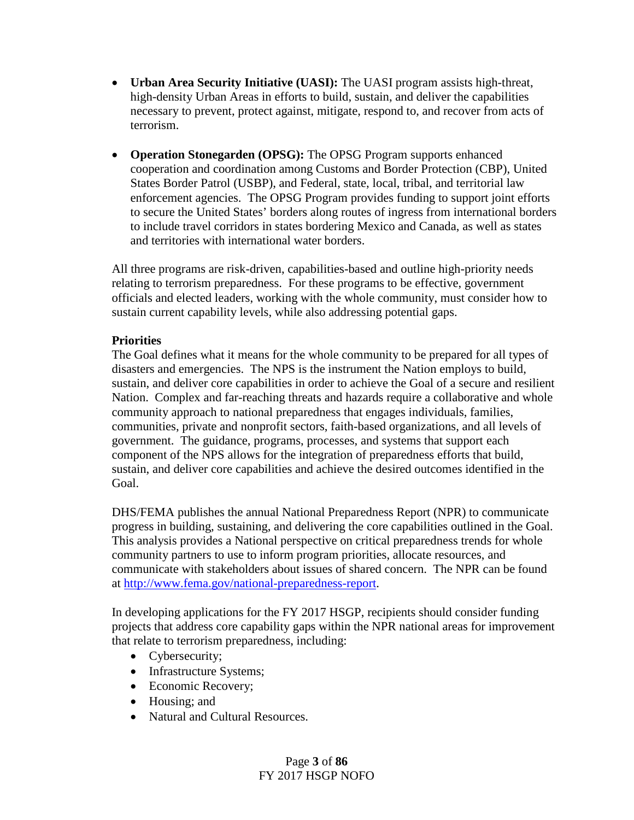- **Urban Area Security Initiative (UASI):** The UASI program assists high-threat, high-density Urban Areas in efforts to build, sustain, and deliver the capabilities necessary to prevent, protect against, mitigate, respond to, and recover from acts of terrorism.
- **Operation Stonegarden (OPSG):** The OPSG Program supports enhanced cooperation and coordination among Customs and Border Protection (CBP), United States Border Patrol (USBP), and Federal, state, local, tribal, and territorial law enforcement agencies. The OPSG Program provides funding to support joint efforts to secure the United States' borders along routes of ingress from international borders to include travel corridors in states bordering Mexico and Canada, as well as states and territories with international water borders.

All three programs are risk-driven, capabilities-based and outline high-priority needs relating to terrorism preparedness. For these programs to be effective, government officials and elected leaders, working with the whole community, must consider how to sustain current capability levels, while also addressing potential gaps.

## **Priorities**

The Goal defines what it means for the whole community to be prepared for all types of disasters and emergencies. The NPS is the instrument the Nation employs to build, sustain, and deliver core capabilities in order to achieve the Goal of a secure and resilient Nation. Complex and far-reaching threats and hazards require a collaborative and whole community approach to national preparedness that engages individuals, families, communities, private and nonprofit sectors, faith-based organizations, and all levels of government. The guidance, programs, processes, and systems that support each component of the NPS allows for the integration of preparedness efforts that build, sustain, and deliver core capabilities and achieve the desired outcomes identified in the Goal.

DHS/FEMA publishes the annual National Preparedness Report (NPR) to communicate progress in building, sustaining, and delivering the core capabilities outlined in the Goal. This analysis provides a National perspective on critical preparedness trends for whole community partners to use to inform program priorities, allocate resources, and communicate with stakeholders about issues of shared concern. The NPR can be found at [http://www.fema.gov/national-preparedness-report.](http://www.fema.gov/national-preparedness-report)

In developing applications for the FY 2017 HSGP, recipients should consider funding projects that address core capability gaps within the NPR national areas for improvement that relate to terrorism preparedness, including:

- Cybersecurity;
- Infrastructure Systems;
- Economic Recovery;
- Housing; and
- Natural and Cultural Resources.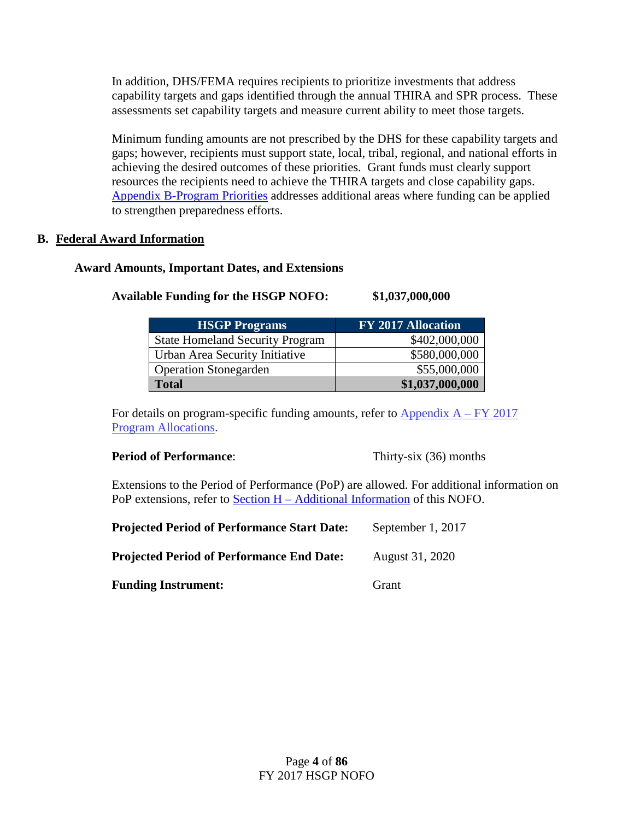In addition, DHS/FEMA requires recipients to prioritize investments that address capability targets and gaps identified through the annual THIRA and SPR process. These assessments set capability targets and measure current ability to meet those targets.

Minimum funding amounts are not prescribed by the DHS for these capability targets and gaps; however, recipients must support state, local, tribal, regional, and national efforts in achieving the desired outcomes of these priorities. Grant funds must clearly support resources the recipients need to achieve the THIRA targets and close capability gaps. [Appendix B-Program Priorities](#page-38-0) addresses additional areas where funding can be applied to strengthen preparedness efforts.

## **B. Federal Award Information**

## **Award Amounts, Important Dates, and Extensions**

# **Available Funding for the HSGP NOFO: \$1,037,000,000**

| <b>HSGP Programs</b>                   | <b>FY 2017 Allocation</b> |
|----------------------------------------|---------------------------|
| <b>State Homeland Security Program</b> | \$402,000,000             |
| Urban Area Security Initiative         | \$580,000,000             |
| <b>Operation Stonegarden</b>           | \$55,000,000              |
| <b>Total</b>                           | \$1,037,000,000           |

For details on program-specific funding amounts, refer to  $\Delta$ ppendix  $A$  – FY 2017 [Program Allocations.](#page-32-0)

## **Period of Performance:** Thirty-six (36) months

Extensions to the Period of Performance (PoP) are allowed. For additional information on PoP extensions, refer to Section H – [Additional Information](#page-30-0) of this NOFO.

| <b>Projected Period of Performance Start Date:</b> | September 1, 2017 |
|----------------------------------------------------|-------------------|
| <b>Projected Period of Performance End Date:</b>   | August 31, 2020   |
| <b>Funding Instrument:</b>                         | Grant             |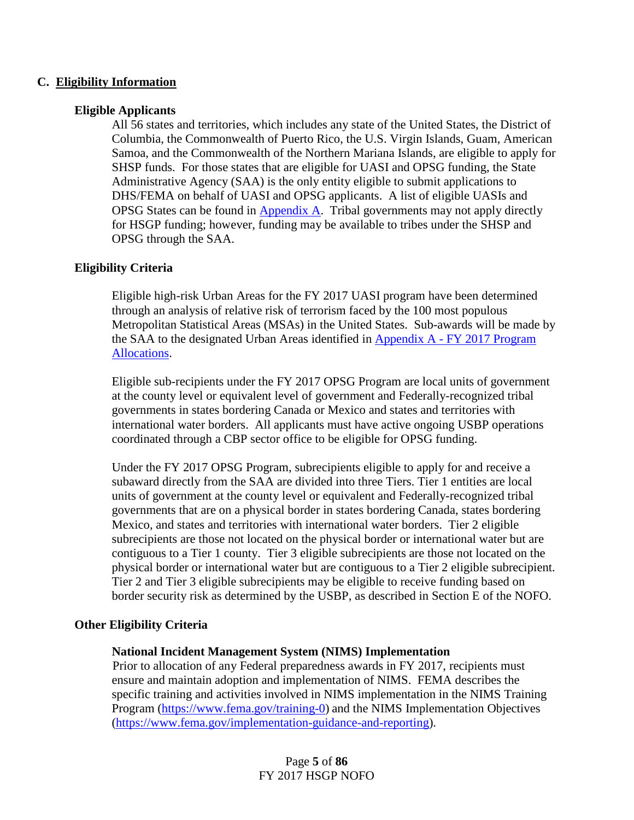## **C. Eligibility Information**

## **Eligible Applicants**

All 56 states and territories, which includes any state of the United States, the District of Columbia, the Commonwealth of Puerto Rico, the U.S. Virgin Islands, Guam, American Samoa, and the Commonwealth of the Northern Mariana Islands, are eligible to apply for SHSP funds. For those states that are eligible for UASI and OPSG funding, the State Administrative Agency (SAA) is the only entity eligible to submit applications to DHS/FEMA on behalf of UASI and OPSG applicants. A list of eligible UASIs and OPSG States can be found in **Appendix A.** Tribal governments may not apply directly for HSGP funding; however, funding may be available to tribes under the SHSP and OPSG through the SAA.

## **Eligibility Criteria**

Eligible high-risk Urban Areas for the FY 2017 UASI program have been determined through an analysis of relative risk of terrorism faced by the 100 most populous Metropolitan Statistical Areas (MSAs) in the United States. Sub-awards will be made by the SAA to the designated Urban Areas identified in [Appendix A -](#page-32-0) FY 2017 Program [Allocations.](#page-32-0)

Eligible sub-recipients under the FY 2017 OPSG Program are local units of government at the county level or equivalent level of government and Federally-recognized tribal governments in states bordering Canada or Mexico and states and territories with international water borders. All applicants must have active ongoing USBP operations coordinated through a CBP sector office to be eligible for OPSG funding.

Under the FY 2017 OPSG Program, subrecipients eligible to apply for and receive a subaward directly from the SAA are divided into three Tiers. Tier 1 entities are local units of government at the county level or equivalent and Federally-recognized tribal governments that are on a physical border in states bordering Canada, states bordering Mexico, and states and territories with international water borders. Tier 2 eligible subrecipients are those not located on the physical border or international water but are contiguous to a Tier 1 county. Tier 3 eligible subrecipients are those not located on the physical border or international water but are contiguous to a Tier 2 eligible subrecipient. Tier 2 and Tier 3 eligible subrecipients may be eligible to receive funding based on border security risk as determined by the USBP, as described in Section E of the NOFO.

#### **Other Eligibility Criteria**

#### **National Incident Management System (NIMS) Implementation**

Prior to allocation of any Federal preparedness awards in FY 2017, recipients must ensure and maintain adoption and implementation of NIMS. FEMA describes the specific training and activities involved in NIMS implementation in the NIMS Training Program [\(https://www.fema.gov/training-0\)](https://www.fema.gov/training-0) and the NIMS Implementation Objectives [\(https://www.fema.gov/implementation-guidance-and-reporting\)](https://www.fema.gov/implementation-guidance-and-reporting).

> Page **5** of **86** FY 2017 HSGP NOFO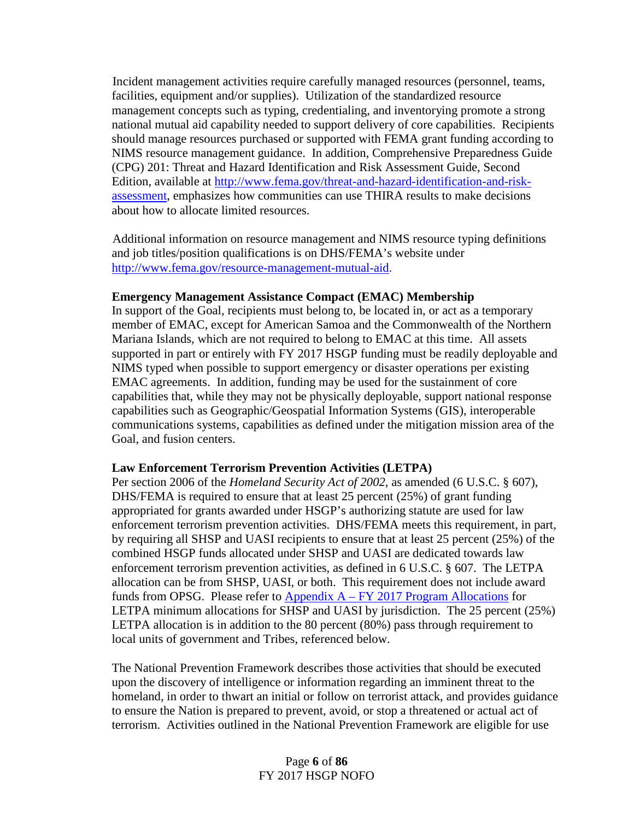Incident management activities require carefully managed resources (personnel, teams, facilities, equipment and/or supplies). Utilization of the standardized resource management concepts such as typing, credentialing, and inventorying promote a strong national mutual aid capability needed to support delivery of core capabilities. Recipients should manage resources purchased or supported with FEMA grant funding according to NIMS resource management guidance. In addition, Comprehensive Preparedness Guide (CPG) 201: Threat and Hazard Identification and Risk Assessment Guide, Second Edition, available at [http://www.fema.gov/threat-and-hazard-identification-and-risk](http://www.fema.gov/threat-and-hazard-identification-and-risk-assessment)[assessment,](http://www.fema.gov/threat-and-hazard-identification-and-risk-assessment) emphasizes how communities can use THIRA results to make decisions about how to allocate limited resources.

Additional information on resource management and NIMS resource typing definitions and job titles/position qualifications is on DHS/FEMA's website under <http://www.fema.gov/resource-management-mutual-aid>.

#### **Emergency Management Assistance Compact (EMAC) Membership**

In support of the Goal, recipients must belong to, be located in, or act as a temporary member of EMAC, except for American Samoa and the Commonwealth of the Northern Mariana Islands, which are not required to belong to EMAC at this time. All assets supported in part or entirely with FY 2017 HSGP funding must be readily deployable and NIMS typed when possible to support emergency or disaster operations per existing EMAC agreements. In addition, funding may be used for the sustainment of core capabilities that, while they may not be physically deployable, support national response capabilities such as Geographic/Geospatial Information Systems (GIS), interoperable communications systems, capabilities as defined under the mitigation mission area of the Goal, and fusion centers.

## **Law Enforcement Terrorism Prevention Activities (LETPA)**

Per section 2006 of the *Homeland Security Act of 2002*, as amended (6 U.S.C. § 607), DHS/FEMA is required to ensure that at least 25 percent (25%) of grant funding appropriated for grants awarded under HSGP's authorizing statute are used for law enforcement terrorism prevention activities. DHS/FEMA meets this requirement, in part, by requiring all SHSP and UASI recipients to ensure that at least 25 percent (25%) of the combined HSGP funds allocated under SHSP and UASI are dedicated towards law enforcement terrorism prevention activities, as defined in 6 U.S.C. § 607. The LETPA allocation can be from SHSP, UASI, or both. This requirement does not include award funds from OPSG. Please refer to Appendix  $A - FY 2017$  [Program Allocations](#page-32-0) for LETPA minimum allocations for SHSP and UASI by jurisdiction. The 25 percent (25%) LETPA allocation is in addition to the 80 percent (80%) pass through requirement to local units of government and Tribes, referenced below.

The National Prevention Framework describes those activities that should be executed upon the discovery of intelligence or information regarding an imminent threat to the homeland, in order to thwart an initial or follow on terrorist attack, and provides guidance to ensure the Nation is prepared to prevent, avoid, or stop a threatened or actual act of terrorism. Activities outlined in the National Prevention Framework are eligible for use

## Page **6** of **86** FY 2017 HSGP NOFO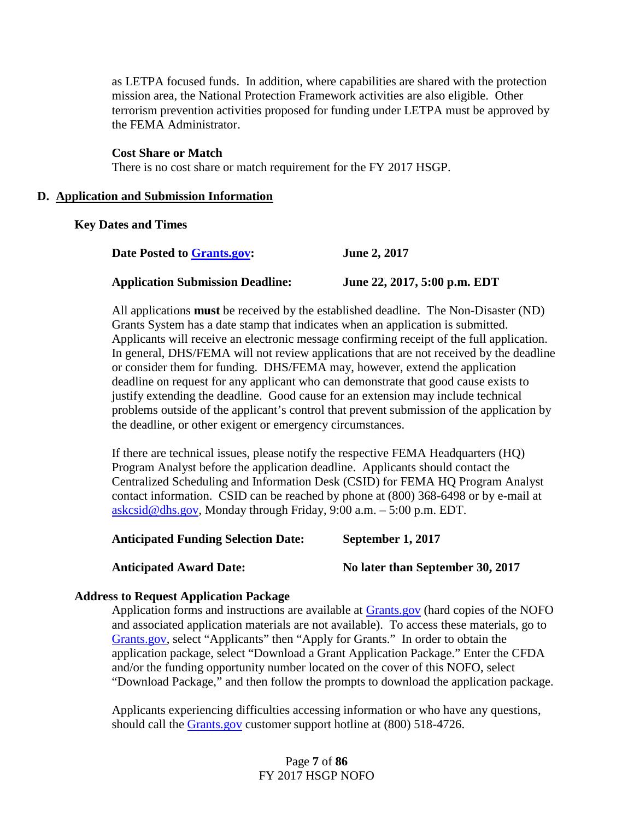as LETPA focused funds. In addition, where capabilities are shared with the protection mission area, the National Protection Framework activities are also eligible. Other terrorism prevention activities proposed for funding under LETPA must be approved by the FEMA Administrator.

**Cost Share or Match** There is no cost share or match requirement for the FY 2017 HSGP.

#### <span id="page-6-0"></span>**D. Application and Submission Information**

#### **Key Dates and Times**

| Date Posted to Grants.gov:              | <b>June 2, 2017</b>          |
|-----------------------------------------|------------------------------|
| <b>Application Submission Deadline:</b> | June 22, 2017, 5:00 p.m. EDT |

All applications **must** be received by the established deadline. The Non-Disaster (ND) Grants System has a date stamp that indicates when an application is submitted. Applicants will receive an electronic message confirming receipt of the full application. In general, DHS/FEMA will not review applications that are not received by the deadline or consider them for funding. DHS/FEMA may, however, extend the application deadline on request for any applicant who can demonstrate that good cause exists to justify extending the deadline. Good cause for an extension may include technical problems outside of the applicant's control that prevent submission of the application by the deadline, or other exigent or emergency circumstances.

If there are technical issues, please notify the respective FEMA Headquarters (HQ) Program Analyst before the application deadline. Applicants should contact the Centralized Scheduling and Information Desk (CSID) for FEMA HQ Program Analyst contact information. CSID can be reached by phone at (800) 368-6498 or by e-mail at [askcsid@dhs.gov,](mailto:askcsid@dhs.gov) Monday through Friday, 9:00 a.m. – 5:00 p.m. EDT.

**Anticipated Funding Selection Date: September 1, 2017**

**Anticipated Award Date: No later than September 30, 2017**

#### **Address to Request Application Package**

Application forms and instructions are available at [Grants.gov](http://www.grants.gov/) (hard copies of the NOFO and associated application materials are not available). To access these materials, go to [Grants.gov,](http://www.grants.gov/) select "Applicants" then "Apply for Grants." In order to obtain the application package, select "Download a Grant Application Package." Enter the CFDA and/or the funding opportunity number located on the cover of this NOFO, select "Download Package," and then follow the prompts to download the application package.

Applicants experiencing difficulties accessing information or who have any questions, should call the [Grants.gov](http://www.grants.gov/) customer support hotline at (800) 518-4726.

## Page **7** of **86** FY 2017 HSGP NOFO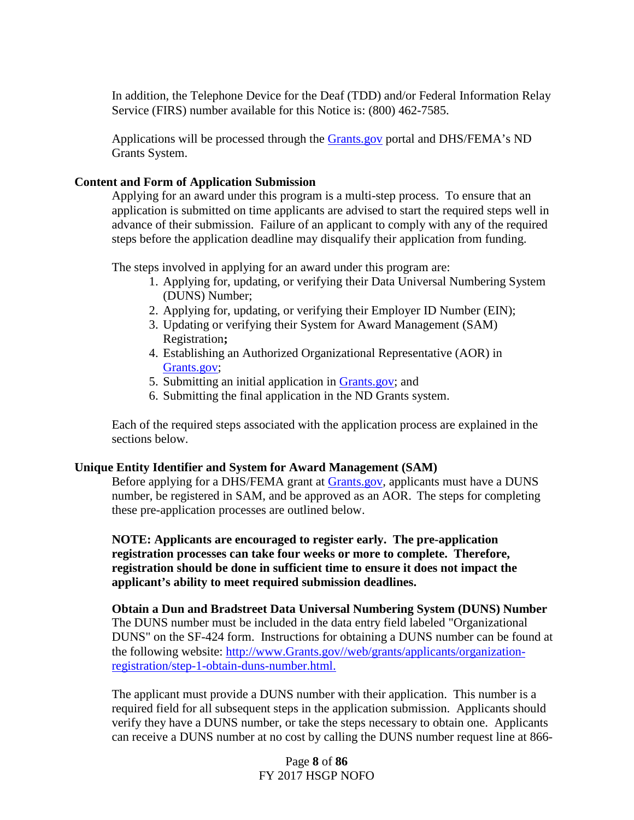In addition, the Telephone Device for the Deaf (TDD) and/or Federal Information Relay Service (FIRS) number available for this Notice is: (800) 462-7585.

Applications will be processed through the [Grants.gov](http://www.grants.gov/) portal and DHS/FEMA's ND Grants System.

## **Content and Form of Application Submission**

Applying for an award under this program is a multi-step process. To ensure that an application is submitted on time applicants are advised to start the required steps well in advance of their submission. Failure of an applicant to comply with any of the required steps before the application deadline may disqualify their application from funding.

The steps involved in applying for an award under this program are:

- 1. Applying for, updating, or verifying their Data Universal Numbering System (DUNS) Number;
- 2. Applying for, updating, or verifying their Employer ID Number (EIN);
- 3. Updating or verifying their System for Award Management (SAM) Registration**;**
- 4. Establishing an Authorized Organizational Representative (AOR) in [Grants.gov;](http://www.grants.gov/web/grants/applicants/applicant-resources.html)
- 5. Submitting an initial application in [Grants.gov;](http://www.grants.gov/web/grants/applicants/applicant-resources.html) and
- 6. Submitting the final application in the ND Grants system.

Each of the required steps associated with the application process are explained in the sections below.

## **Unique Entity Identifier and System for Award Management (SAM)**

Before applying for a DHS/FEMA grant at [Grants.gov,](http://www.grants.gov/) applicants must have a DUNS number, be registered in SAM, and be approved as an AOR. The steps for completing these pre-application processes are outlined below.

**NOTE: Applicants are encouraged to register early. The pre-application registration processes can take four weeks or more to complete. Therefore, registration should be done in sufficient time to ensure it does not impact the applicant's ability to meet required submission deadlines.**

**Obtain a Dun and Bradstreet Data Universal Numbering System (DUNS) Number**  The DUNS number must be included in the data entry field labeled "Organizational DUNS" on the SF-424 form. Instructions for obtaining a DUNS number can be found at the following website: [http://www.Grants.gov//web/grants/applicants/organization](http://www.grants.gov/web/grants/applicants/organization-registration/step-1-obtain-duns-number.html)[registration/step-1-obtain-duns-number.html.](http://www.grants.gov/web/grants/applicants/organization-registration/step-1-obtain-duns-number.html)

The applicant must provide a DUNS number with their application. This number is a required field for all subsequent steps in the application submission. Applicants should verify they have a DUNS number, or take the steps necessary to obtain one. Applicants can receive a DUNS number at no cost by calling the DUNS number request line at 866-

> Page **8** of **86** FY 2017 HSGP NOFO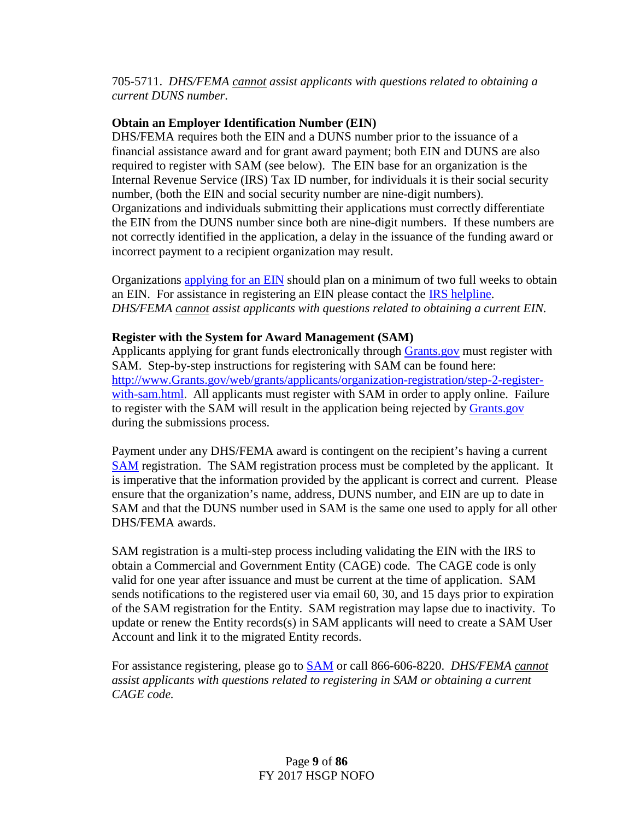705-5711. *DHS/FEMA cannot assist applicants with questions related to obtaining a current DUNS number*.

## **Obtain an Employer Identification Number (EIN)**

DHS/FEMA requires both the EIN and a DUNS number prior to the issuance of a financial assistance award and for grant award payment; both EIN and DUNS are also required to register with SAM (see below). The EIN base for an organization is the Internal Revenue Service (IRS) Tax ID number, for individuals it is their social security number, (both the EIN and social security number are nine-digit numbers). Organizations and individuals submitting their applications must correctly differentiate the EIN from the DUNS number since both are nine-digit numbers. If these numbers are not correctly identified in the application, a delay in the issuance of the funding award or incorrect payment to a recipient organization may result.

Organizations [applying for an EIN](http://www.irs.gov/Businesses/Small-Businesses-&-Self-Employed/Apply-for-an-Employer-Identification-Number-(EIN)-Online) should plan on a minimum of two full weeks to obtain an EIN. For assistance in registering an EIN please contact the [IRS helpline.](https://www.irs.gov/Help-&-Resources) *DHS/FEMA cannot assist applicants with questions related to obtaining a current EIN.*

## **Register with the System for Award Management (SAM)**

Applicants applying for grant funds electronically through [Grants.gov](http://www.grants.gov/web/grants/applicants/applicant-resources.html) must register with SAM. Step-by-step instructions for registering with SAM can be found here: [http://www.Grants.gov/web/grants/applicants/organization-registration/step-2-register](http://www.grants.gov/web/grants/applicants/organization-registration/step-2-register-with-sam.html)[with-sam.html.](http://www.grants.gov/web/grants/applicants/organization-registration/step-2-register-with-sam.html) All applicants must register with SAM in order to apply online. Failure to register with the SAM will result in the application being rejected by [Grants.gov](http://www.grants.gov/web/grants/applicants/applicant-resources.html) during the submissions process.

Payment under any DHS/FEMA award is contingent on the recipient's having a current [SAM](http://www.sam.gov/) registration. The SAM registration process must be completed by the applicant. It is imperative that the information provided by the applicant is correct and current. Please ensure that the organization's name, address, DUNS number, and EIN are up to date in SAM and that the DUNS number used in SAM is the same one used to apply for all other DHS/FEMA awards.

SAM registration is a multi-step process including validating the EIN with the IRS to obtain a Commercial and Government Entity (CAGE) code. The CAGE code is only valid for one year after issuance and must be current at the time of application. SAM sends notifications to the registered user via email 60, 30, and 15 days prior to expiration of the SAM registration for the Entity. SAM registration may lapse due to inactivity. To update or renew the Entity records(s) in SAM applicants will need to create a SAM User Account and link it to the migrated Entity records.

For assistance registering, please go to [SAM](http://www.sam.gov/) or call 866-606-8220. *DHS/FEMA cannot assist applicants with questions related to registering in SAM or obtaining a current CAGE code.*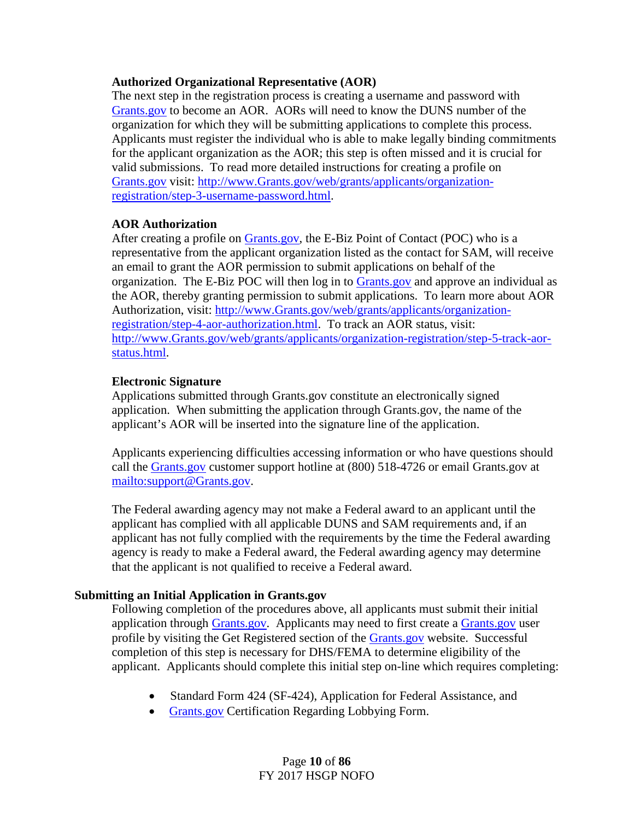## **Authorized Organizational Representative (AOR)**

The next step in the registration process is creating a username and password with [Grants.gov](http://www.grants.gov/) to become an AOR. AORs will need to know the DUNS number of the organization for which they will be submitting applications to complete this process. Applicants must register the individual who is able to make legally binding commitments for the applicant organization as the AOR; this step is often missed and it is crucial for valid submissions. To read more detailed instructions for creating a profile on [Grants.gov](http://www.grants.gov/) visit: [http://www.Grants.gov/web/grants/applicants/organization](http://www.grants.gov/web/grants/applicants/organization-registration/step-3-username-password.html)[registration/step-3-username-password.html.](http://www.grants.gov/web/grants/applicants/organization-registration/step-3-username-password.html)

## **AOR Authorization**

After creating a profile on [Grants.gov,](http://www.grants.gov/) the E-Biz Point of Contact (POC) who is a representative from the applicant organization listed as the contact for SAM, will receive an email to grant the AOR permission to submit applications on behalf of the organization. The E-Biz POC will then log in to [Grants.gov](http://www.grants.gov/) and approve an individual as the AOR, thereby granting permission to submit applications. To learn more about AOR Authorization, visit: [http://www.Grants.gov/web/grants/applicants/organization](http://www.grants.gov/web/grants/applicants/organization-registration/step-4-aor-authorization.html)[registration/step-4-aor-authorization.html.](http://www.grants.gov/web/grants/applicants/organization-registration/step-4-aor-authorization.html) To track an AOR status, visit: [http://www.Grants.gov/web/grants/applicants/organization-registration/step-5-track-aor](http://www.grants.gov/web/grants/applicants/organization-registration/step-5-track-aor-status.html)[status.html.](http://www.grants.gov/web/grants/applicants/organization-registration/step-5-track-aor-status.html)

## **Electronic Signature**

Applications submitted through Grants.gov constitute an electronically signed application. When submitting the application through Grants.gov, the name of the applicant's AOR will be inserted into the signature line of the application.

Applicants experiencing difficulties accessing information or who have questions should call the Grants.gov customer support hotline at (800) 518-4726 or email Grants.gov at [mailto:support@Grants.gov.](mailto:support@grants.gov)

The Federal awarding agency may not make a Federal award to an applicant until the applicant has complied with all applicable DUNS and SAM requirements and, if an applicant has not fully complied with the requirements by the time the Federal awarding agency is ready to make a Federal award, the Federal awarding agency may determine that the applicant is not qualified to receive a Federal award.

## **Submitting an Initial Application in Grants.gov**

Following completion of the procedures above, all applicants must submit their initial application through [Grants.gov.](http://www.grants.gov/) Applicants may need to first create a [Grants.gov](http://www.grants.gov/) user profile by visiting the Get Registered section of the [Grants.gov](http://www.grants.gov/) website. Successful completion of this step is necessary for DHS/FEMA to determine eligibility of the applicant. Applicants should complete this initial step on-line which requires completing:

- Standard Form 424 (SF-424), Application for Federal Assistance, and
- [Grants.gov](http://www.grants.gov/) Certification Regarding Lobbying Form.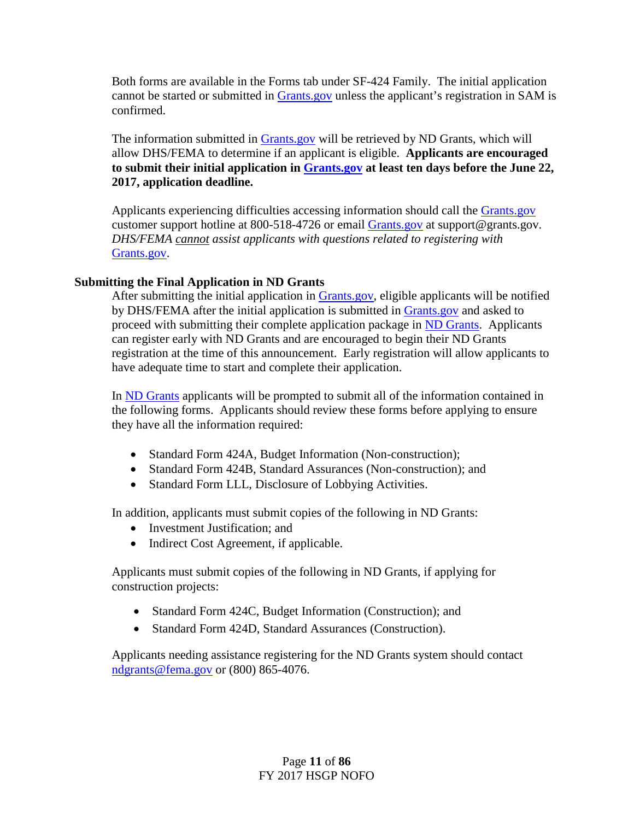Both forms are available in the Forms tab under SF-424 Family. The initial application cannot be started or submitted in [Grants.gov](http://www.grants.gov/) unless the applicant's registration in SAM is confirmed.

The information submitted in [Grants.gov](http://www.grants.gov/) will be retrieved by ND Grants, which will allow DHS/FEMA to determine if an applicant is eligible. **Applicants are encouraged to submit their initial application in [Grants.gov](http://www.grants.gov/) at least ten days before the June 22, 2017, application deadline.**

Applicants experiencing difficulties accessing information should call the [Grants.gov](http://www.grants.gov/) customer support hotline at 800-518-4726 or email [Grants.gov](http://www.grants.gov/) at support@grants.gov. *DHS/FEMA cannot assist applicants with questions related to registering with*  [Grants.gov.](http://www.grants.gov/)

## **Submitting the Final Application in ND Grants**

After submitting the initial application in [Grants.gov,](http://www.grants.gov/) eligible applicants will be notified by DHS/FEMA after the initial application is submitted in [Grants.gov](http://www.grants.gov/) and asked to proceed with submitting their complete application package in [ND Grants.](https://portal.fema.gov/) Applicants can register early with ND Grants and are encouraged to begin their ND Grants registration at the time of this announcement. Early registration will allow applicants to have adequate time to start and complete their application.

In [ND Grants](https://portal.fema.gov/) applicants will be prompted to submit all of the information contained in the following forms. Applicants should review these forms before applying to ensure they have all the information required:

- Standard Form 424A, Budget Information (Non-construction);
- Standard Form 424B, Standard Assurances (Non-construction); and
- Standard Form LLL, Disclosure of Lobbying Activities.

In addition, applicants must submit copies of the following in ND Grants:

- Investment Justification: and
- Indirect Cost Agreement, if applicable.

Applicants must submit copies of the following in ND Grants, if applying for construction projects:

- Standard Form 424C, Budget Information (Construction); and
- Standard Form 424D, Standard Assurances (Construction).

Applicants needing assistance registering for the ND Grants system should contact [ndgrants@fema.gov](mailto:ndgrants@fema.gov) or (800) 865-4076.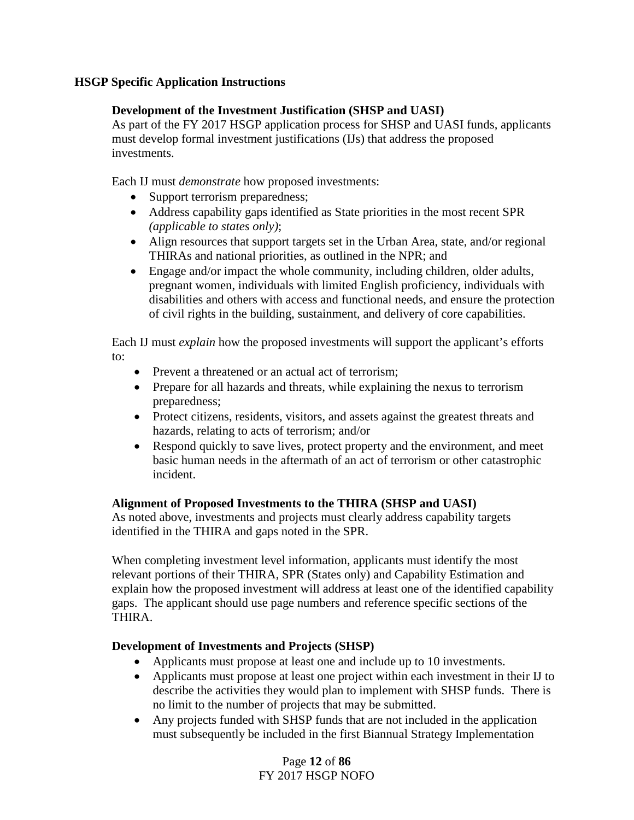## **HSGP Specific Application Instructions**

## **Development of the Investment Justification (SHSP and UASI)**

As part of the FY 2017 HSGP application process for SHSP and UASI funds, applicants must develop formal investment justifications (IJs) that address the proposed investments.

Each IJ must *demonstrate* how proposed investments:

- Support terrorism preparedness;
- Address capability gaps identified as State priorities in the most recent SPR *(applicable to states only)*;
- Align resources that support targets set in the Urban Area, state, and/or regional THIRAs and national priorities, as outlined in the NPR; and
- Engage and/or impact the whole community, including children, older adults, pregnant women, individuals with limited English proficiency, individuals with disabilities and others with access and functional needs, and ensure the protection of civil rights in the building, sustainment, and delivery of core capabilities.

Each IJ must *explain* how the proposed investments will support the applicant's efforts  $t \circ$ :

- Prevent a threatened or an actual act of terrorism:
- Prepare for all hazards and threats, while explaining the nexus to terrorism preparedness;
- Protect citizens, residents, visitors, and assets against the greatest threats and hazards, relating to acts of terrorism; and/or
- Respond quickly to save lives, protect property and the environment, and meet basic human needs in the aftermath of an act of terrorism or other catastrophic incident.

## **Alignment of Proposed Investments to the THIRA (SHSP and UASI)**

As noted above, investments and projects must clearly address capability targets identified in the THIRA and gaps noted in the SPR.

When completing investment level information, applicants must identify the most relevant portions of their THIRA, SPR (States only) and Capability Estimation and explain how the proposed investment will address at least one of the identified capability gaps. The applicant should use page numbers and reference specific sections of the THIRA.

## **Development of Investments and Projects (SHSP)**

- Applicants must propose at least one and include up to 10 investments.
- Applicants must propose at least one project within each investment in their IJ to describe the activities they would plan to implement with SHSP funds. There is no limit to the number of projects that may be submitted.
- Any projects funded with SHSP funds that are not included in the application must subsequently be included in the first Biannual Strategy Implementation

Page **12** of **86** FY 2017 HSGP NOFO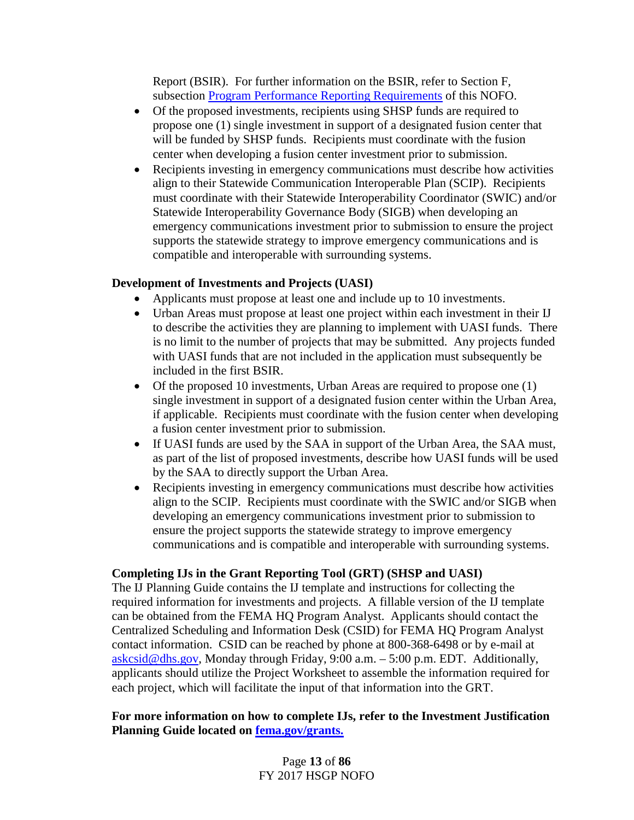Report (BSIR). For further information on the BSIR, refer to Section F, subsection [Program Performance Reporting Requirements](#page-23-0) of this NOFO.

- Of the proposed investments, recipients using SHSP funds are required to propose one (1) single investment in support of a designated fusion center that will be funded by SHSP funds. Recipients must coordinate with the fusion center when developing a fusion center investment prior to submission.
- Recipients investing in emergency communications must describe how activities align to their Statewide Communication Interoperable Plan (SCIP). Recipients must coordinate with their Statewide Interoperability Coordinator (SWIC) and/or Statewide Interoperability Governance Body (SIGB) when developing an emergency communications investment prior to submission to ensure the project supports the statewide strategy to improve emergency communications and is compatible and interoperable with surrounding systems.

## **Development of Investments and Projects (UASI)**

- Applicants must propose at least one and include up to 10 investments.
- Urban Areas must propose at least one project within each investment in their IJ to describe the activities they are planning to implement with UASI funds. There is no limit to the number of projects that may be submitted. Any projects funded with UASI funds that are not included in the application must subsequently be included in the first BSIR.
- Of the proposed 10 investments, Urban Areas are required to propose one (1) single investment in support of a designated fusion center within the Urban Area, if applicable. Recipients must coordinate with the fusion center when developing a fusion center investment prior to submission.
- If UASI funds are used by the SAA in support of the Urban Area, the SAA must, as part of the list of proposed investments, describe how UASI funds will be used by the SAA to directly support the Urban Area.
- Recipients investing in emergency communications must describe how activities align to the SCIP. Recipients must coordinate with the SWIC and/or SIGB when developing an emergency communications investment prior to submission to ensure the project supports the statewide strategy to improve emergency communications and is compatible and interoperable with surrounding systems.

## **Completing IJs in the Grant Reporting Tool (GRT) (SHSP and UASI)**

The IJ Planning Guide contains the IJ template and instructions for collecting the required information for investments and projects. A fillable version of the IJ template can be obtained from the FEMA HQ Program Analyst. Applicants should contact the Centralized Scheduling and Information Desk (CSID) for FEMA HQ Program Analyst contact information. CSID can be reached by phone at 800-368-6498 or by e-mail at  $askcsid@dhs.gov$ , Monday through Friday, 9:00 a.m.  $-5:00$  p.m. EDT. Additionally, applicants should utilize the Project Worksheet to assemble the information required for each project, which will facilitate the input of that information into the GRT.

## **For more information on how to complete IJs, refer to the Investment Justification Planning Guide located on [fema.gov/grants.](http://www.fema.gov/grants)**

Page **13** of **86** FY 2017 HSGP NOFO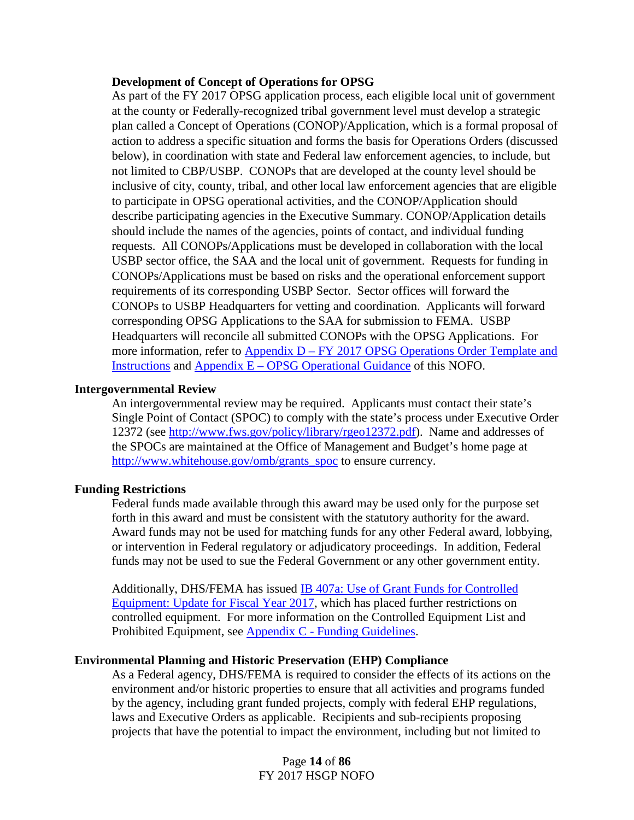#### **Development of Concept of Operations for OPSG**

As part of the FY 2017 OPSG application process, each eligible local unit of government at the county or Federally-recognized tribal government level must develop a strategic plan called a Concept of Operations (CONOP)/Application, which is a formal proposal of action to address a specific situation and forms the basis for Operations Orders (discussed below), in coordination with state and Federal law enforcement agencies, to include, but not limited to CBP/USBP. CONOPs that are developed at the county level should be inclusive of city, county, tribal, and other local law enforcement agencies that are eligible to participate in OPSG operational activities, and the CONOP/Application should describe participating agencies in the Executive Summary. CONOP/Application details should include the names of the agencies, points of contact, and individual funding requests. All CONOPs/Applications must be developed in collaboration with the local USBP sector office, the SAA and the local unit of government. Requests for funding in CONOPs/Applications must be based on risks and the operational enforcement support requirements of its corresponding USBP Sector. Sector offices will forward the CONOPs to USBP Headquarters for vetting and coordination. Applicants will forward corresponding OPSG Applications to the SAA for submission to FEMA. USBP Headquarters will reconcile all submitted CONOPs with the OPSG Applications. For more information, refer to Appendix D – FY 2017 OPSG Operations Order Template and [Instructions](#page-71-0) and Appendix E – [OPSG Operational Guidance](#page-71-1) of this NOFO.

## **Intergovernmental Review**

An intergovernmental review may be required. Applicants must contact their state's Single Point of Contact (SPOC) to comply with the state's process under Executive Order 12372 (see [http://www.fws.gov/policy/library/rgeo12372.pdf\)](http://www.fws.gov/policy/library/rgeo12372.pdf). Name and addresses of the SPOCs are maintained at the Office of Management and Budget's home page at [http://www.whitehouse.gov/omb/grants\\_spoc](http://www.whitehouse.gov/omb/grants_spoc) to ensure currency.

## **Funding Restrictions**

Federal funds made available through this award may be used only for the purpose set forth in this award and must be consistent with the statutory authority for the award. Award funds may not be used for matching funds for any other Federal award, lobbying, or intervention in Federal regulatory or adjudicatory proceedings. In addition, Federal funds may not be used to sue the Federal Government or any other government entity.

Additionally, DHS/FEMA has issued [IB 407a: Use of Grant Funds for Controlled](https://www.fema.gov/media-library-data/1485452831667-ab397ce1d370652ec49c25a280419af4/IB_407a_Controlled_Equipment_FY2017_Update_GPD_FINAL_508.pdf)  [Equipment: Update for Fiscal Year 2017](https://www.fema.gov/media-library-data/1485452831667-ab397ce1d370652ec49c25a280419af4/IB_407a_Controlled_Equipment_FY2017_Update_GPD_FINAL_508.pdf)*,* which has placed further restrictions on controlled equipment. For more information on the Controlled Equipment List and Prohibited Equipment, see Appendix C - [Funding Guidelines.](#page-55-0)

## **Environmental Planning and Historic Preservation (EHP) Compliance**

As a Federal agency, DHS/FEMA is required to consider the effects of its actions on the environment and/or historic properties to ensure that all activities and programs funded by the agency, including grant funded projects, comply with federal EHP regulations, laws and Executive Orders as applicable. Recipients and sub-recipients proposing projects that have the potential to impact the environment, including but not limited to

> Page **14** of **86** FY 2017 HSGP NOFO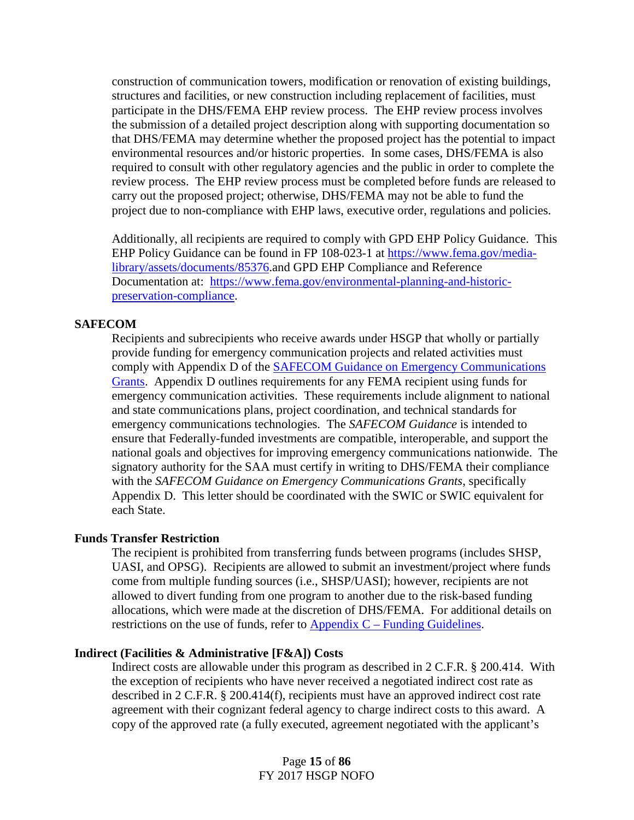construction of communication towers, modification or renovation of existing buildings, structures and facilities, or new construction including replacement of facilities, must participate in the DHS/FEMA EHP review process. The EHP review process involves the submission of a detailed project description along with supporting documentation so that DHS/FEMA may determine whether the proposed project has the potential to impact environmental resources and/or historic properties. In some cases, DHS/FEMA is also required to consult with other regulatory agencies and the public in order to complete the review process. The EHP review process must be completed before funds are released to carry out the proposed project; otherwise, DHS/FEMA may not be able to fund the project due to non-compliance with EHP laws, executive order, regulations and policies.

Additionally, all recipients are required to comply with GPD EHP Policy Guidance. This EHP Policy Guidance can be found in FP 108-023-1 at [https://www.fema.gov/media](https://www.fema.gov/media-library/assets/documents/85376)[library/assets/documents/85376.](https://www.fema.gov/media-library/assets/documents/85376)and GPD EHP Compliance and Reference Documentation at: [https://www.fema.gov/environmental-planning-and-historic](https://www.fema.gov/environmental-planning-and-historic-preservation-compliance)[preservation-compliance.](https://www.fema.gov/environmental-planning-and-historic-preservation-compliance)

#### **SAFECOM**

Recipients and subrecipients who receive awards under HSGP that wholly or partially provide funding for emergency communication projects and related activities must comply with Appendix D of the **SAFECOM Guidance on Emergency Communications** [Grants.](https://www.dhs.gov/safecom) Appendix D outlines requirements for any FEMA recipient using funds for emergency communication activities. These requirements include alignment to national and state communications plans, project coordination, and technical standards for emergency communications technologies. The *SAFECOM Guidance* is intended to ensure that Federally-funded investments are compatible, interoperable, and support the national goals and objectives for improving emergency communications nationwide. The signatory authority for the SAA must certify in writing to DHS/FEMA their compliance with the *SAFECOM Guidance on Emergency Communications Grants*, specifically Appendix D. This letter should be coordinated with the SWIC or SWIC equivalent for each State.

#### **Funds Transfer Restriction**

The recipient is prohibited from transferring funds between programs (includes SHSP, UASI, and OPSG). Recipients are allowed to submit an investment/project where funds come from multiple funding sources (i.e., SHSP/UASI); however, recipients are not allowed to divert funding from one program to another due to the risk-based funding allocations, which were made at the discretion of DHS/FEMA. For additional details on restrictions on the use of funds, refer to Appendix C – [Funding Guidelines.](#page-55-0)

#### **Indirect (Facilities & Administrative [F&A]) Costs**

Indirect costs are allowable under this program as described in 2 C.F.R. § 200.414. With the exception of recipients who have never received a negotiated indirect cost rate as described in 2 C.F.R. § 200.414(f), recipients must have an approved indirect cost rate agreement with their cognizant federal agency to charge indirect costs to this award. A copy of the approved rate (a fully executed, agreement negotiated with the applicant's

> Page **15** of **86** FY 2017 HSGP NOFO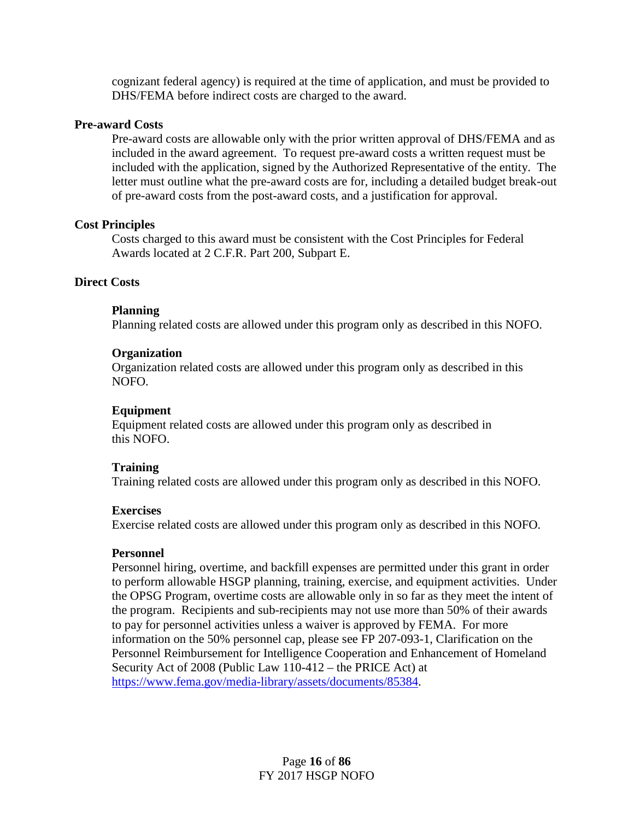cognizant federal agency) is required at the time of application, and must be provided to DHS/FEMA before indirect costs are charged to the award.

## **Pre-award Costs**

Pre-award costs are allowable only with the prior written approval of DHS/FEMA and as included in the award agreement. To request pre-award costs a written request must be included with the application, signed by the Authorized Representative of the entity. The letter must outline what the pre-award costs are for, including a detailed budget break-out of pre-award costs from the post-award costs, and a justification for approval.

#### **Cost Principles**

Costs charged to this award must be consistent with the Cost Principles for Federal Awards located at 2 C.F.R. Part 200, Subpart E.

#### **Direct Costs**

#### **Planning**

Planning related costs are allowed under this program only as described in this NOFO.

#### **Organization**

Organization related costs are allowed under this program only as described in this NOFO.

## **Equipment**

Equipment related costs are allowed under this program only as described in this NOFO.

## **Training**

Training related costs are allowed under this program only as described in this NOFO.

#### **Exercises**

Exercise related costs are allowed under this program only as described in this NOFO.

#### **Personnel**

Personnel hiring, overtime, and backfill expenses are permitted under this grant in order to perform allowable HSGP planning, training, exercise, and equipment activities. Under the OPSG Program, overtime costs are allowable only in so far as they meet the intent of the program. Recipients and sub-recipients may not use more than 50% of their awards to pay for personnel activities unless a waiver is approved by FEMA. For more information on the 50% personnel cap, please see FP 207-093-1, Clarification on the Personnel Reimbursement for Intelligence Cooperation and Enhancement of Homeland Security Act of 2008 (Public Law 110-412 – the PRICE Act) at [https://www.fema.gov/media-library/assets/documents/85384.](https://www.fema.gov/media-library/assets/documents/85384)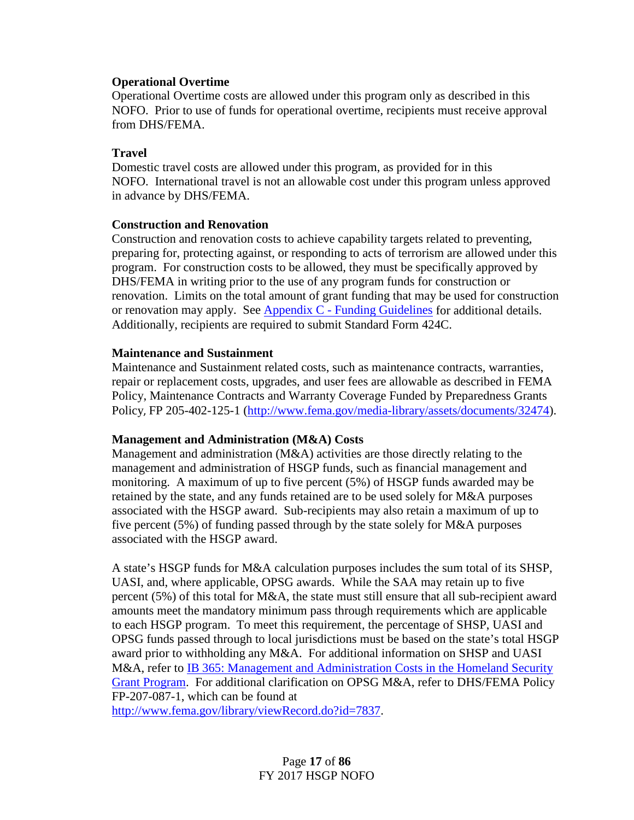## **Operational Overtime**

Operational Overtime costs are allowed under this program only as described in this NOFO. Prior to use of funds for operational overtime, recipients must receive approval from DHS/FEMA.

## **Travel**

Domestic travel costs are allowed under this program, as provided for in this NOFO. International travel is not an allowable cost under this program unless approved in advance by DHS/FEMA.

#### **Construction and Renovation**

Construction and renovation costs to achieve capability targets related to preventing, preparing for, protecting against, or responding to acts of terrorism are allowed under this program. For construction costs to be allowed, they must be specifically approved by DHS/FEMA in writing prior to the use of any program funds for construction or renovation. Limits on the total amount of grant funding that may be used for construction or renovation may apply. See Appendix C - [Funding Guidelines](#page-55-0) for additional details. Additionally, recipients are required to submit Standard Form 424C.

## **Maintenance and Sustainment**

Maintenance and Sustainment related costs, such as maintenance contracts, warranties, repair or replacement costs, upgrades, and user fees are allowable as described in FEMA Policy, Maintenance Contracts and Warranty Coverage Funded by Preparedness Grants Policy, FP 205-402-125-1 [\(http://www.fema.gov/media-library/assets/documents/32474\)](http://www.fema.gov/media-library/assets/documents/32474).

## **Management and Administration (M&A) Costs**

Management and administration (M&A) activities are those directly relating to the management and administration of HSGP funds, such as financial management and monitoring. A maximum of up to five percent (5%) of HSGP funds awarded may be retained by the state, and any funds retained are to be used solely for M&A purposes associated with the HSGP award. Sub-recipients may also retain a maximum of up to five percent (5%) of funding passed through by the state solely for M&A purposes associated with the HSGP award.

A state's HSGP funds for M&A calculation purposes includes the sum total of its SHSP, UASI, and, where applicable, OPSG awards. While the SAA may retain up to five percent (5%) of this total for M&A, the state must still ensure that all sub-recipient award amounts meet the mandatory minimum pass through requirements which are applicable to each HSGP program. To meet this requirement, the percentage of SHSP, UASI and OPSG funds passed through to local jurisdictions must be based on the state's total HSGP award prior to withholding any M&A. For additional information on SHSP and UASI M&A, refer to IB 365: Management and Administration Costs in the Homeland Security [Grant Program.](https://www.fema.gov/pdf/government/grant/bulletins/info365.pdf) For additional clarification on OPSG M&A, refer to DHS/FEMA Policy FP-207-087-1, which can be found at

[http://www.fema.gov/library/viewRecord.do?id=7837.](http://www.fema.gov/library/viewRecord.do?id=7837)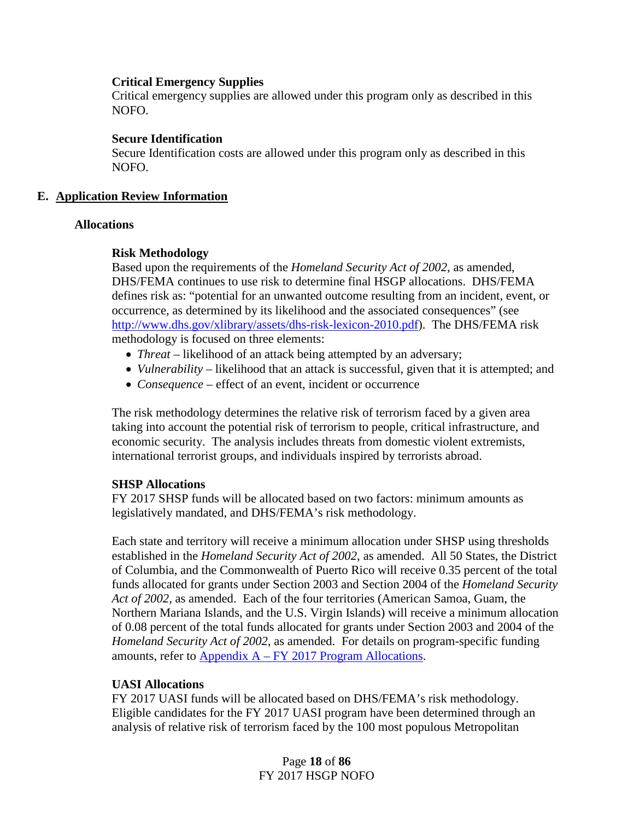## **Critical Emergency Supplies**

Critical emergency supplies are allowed under this program only as described in this NOFO.

#### **Secure Identification**

Secure Identification costs are allowed under this program only as described in this NOFO.

#### **E. Application Review Information**

#### **Allocations**

#### **Risk Methodology**

Based upon the requirements of the *Homeland Security Act of 2002*, as amended, DHS/FEMA continues to use risk to determine final HSGP allocations. DHS/FEMA defines risk as: "potential for an unwanted outcome resulting from an incident, event, or occurrence, as determined by its likelihood and the associated consequences" (see [http://www.dhs.gov/xlibrary/assets/dhs-risk-lexicon-2010.pdf\)](http://www.dhs.gov/xlibrary/assets/dhs-risk-lexicon-2010.pdf). The DHS/FEMA risk methodology is focused on three elements:

- *Threat* likelihood of an attack being attempted by an adversary;
- *Vulnerability* likelihood that an attack is successful, given that it is attempted; and
- *Consequence* effect of an event, incident or occurrence

The risk methodology determines the relative risk of terrorism faced by a given area taking into account the potential risk of terrorism to people, critical infrastructure, and economic security. The analysis includes threats from domestic violent extremists, international terrorist groups, and individuals inspired by terrorists abroad.

## **SHSP Allocations**

FY 2017 SHSP funds will be allocated based on two factors: minimum amounts as legislatively mandated, and DHS/FEMA's risk methodology.

Each state and territory will receive a minimum allocation under SHSP using thresholds established in the *Homeland Security Act of 2002*, as amended. All 50 States, the District of Columbia, and the Commonwealth of Puerto Rico will receive 0.35 percent of the total funds allocated for grants under Section 2003 and Section 2004 of the *Homeland Security Act of 2002*, as amended. Each of the four territories (American Samoa, Guam, the Northern Mariana Islands, and the U.S. Virgin Islands) will receive a minimum allocation of 0.08 percent of the total funds allocated for grants under Section 2003 and 2004 of the *Homeland Security Act of 2002*, as amended. For details on program-specific funding amounts, refer to Appendix A – FY 2017 [Program Allocations.](#page-32-0)

## **UASI Allocations**

FY 2017 UASI funds will be allocated based on DHS/FEMA's risk methodology. Eligible candidates for the FY 2017 UASI program have been determined through an analysis of relative risk of terrorism faced by the 100 most populous Metropolitan

> Page **18** of **86** FY 2017 HSGP NOFO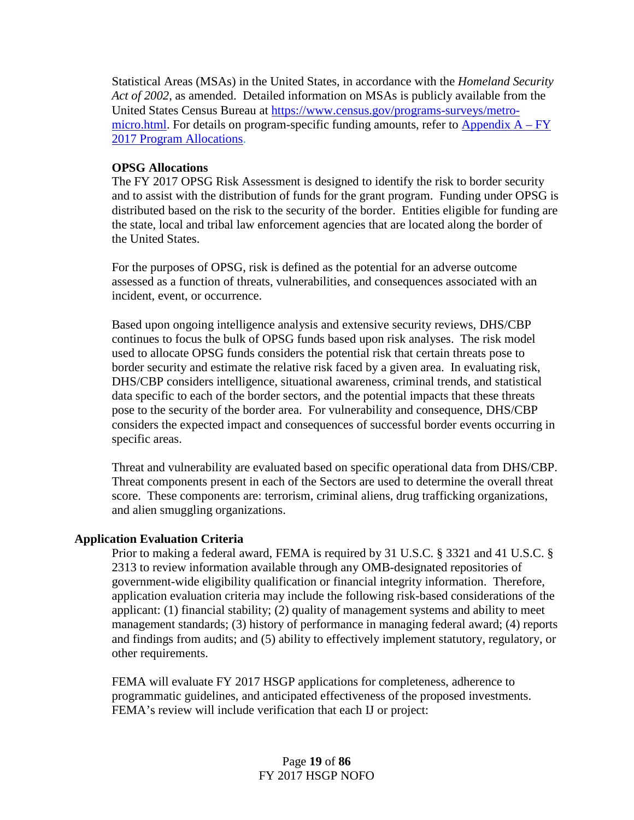Statistical Areas (MSAs) in the United States, in accordance with the *Homeland Security Act of 2002*, as amended. Detailed information on MSAs is publicly available from the United States Census Bureau at [https://www.census.gov/programs-surveys/metro](https://www.census.gov/programs-surveys/metro-micro.html)[micro.html.](https://www.census.gov/programs-surveys/metro-micro.html) For details on program-specific funding amounts, refer to Appendix  $A - FY$ 2017 [Program Allocations.](#page-32-0)

## **OPSG Allocations**

The FY 2017 OPSG Risk Assessment is designed to identify the risk to border security and to assist with the distribution of funds for the grant program. Funding under OPSG is distributed based on the risk to the security of the border. Entities eligible for funding are the state, local and tribal law enforcement agencies that are located along the border of the United States.

For the purposes of OPSG, risk is defined as the potential for an adverse outcome assessed as a function of threats, vulnerabilities, and consequences associated with an incident, event, or occurrence.

Based upon ongoing intelligence analysis and extensive security reviews, DHS/CBP continues to focus the bulk of OPSG funds based upon risk analyses. The risk model used to allocate OPSG funds considers the potential risk that certain threats pose to border security and estimate the relative risk faced by a given area. In evaluating risk, DHS/CBP considers intelligence, situational awareness, criminal trends, and statistical data specific to each of the border sectors, and the potential impacts that these threats pose to the security of the border area. For vulnerability and consequence, DHS/CBP considers the expected impact and consequences of successful border events occurring in specific areas.

Threat and vulnerability are evaluated based on specific operational data from DHS/CBP. Threat components present in each of the Sectors are used to determine the overall threat score. These components are: terrorism, criminal aliens, drug trafficking organizations, and alien smuggling organizations.

#### **Application Evaluation Criteria**

Prior to making a federal award, FEMA is required by 31 U.S.C. § 3321 and 41 U.S.C. § 2313 to review information available through any OMB-designated repositories of government-wide eligibility qualification or financial integrity information. Therefore, application evaluation criteria may include the following risk-based considerations of the applicant: (1) financial stability; (2) quality of management systems and ability to meet management standards; (3) history of performance in managing federal award; (4) reports and findings from audits; and (5) ability to effectively implement statutory, regulatory, or other requirements.

FEMA will evaluate FY 2017 HSGP applications for completeness, adherence to programmatic guidelines, and anticipated effectiveness of the proposed investments. FEMA's review will include verification that each IJ or project: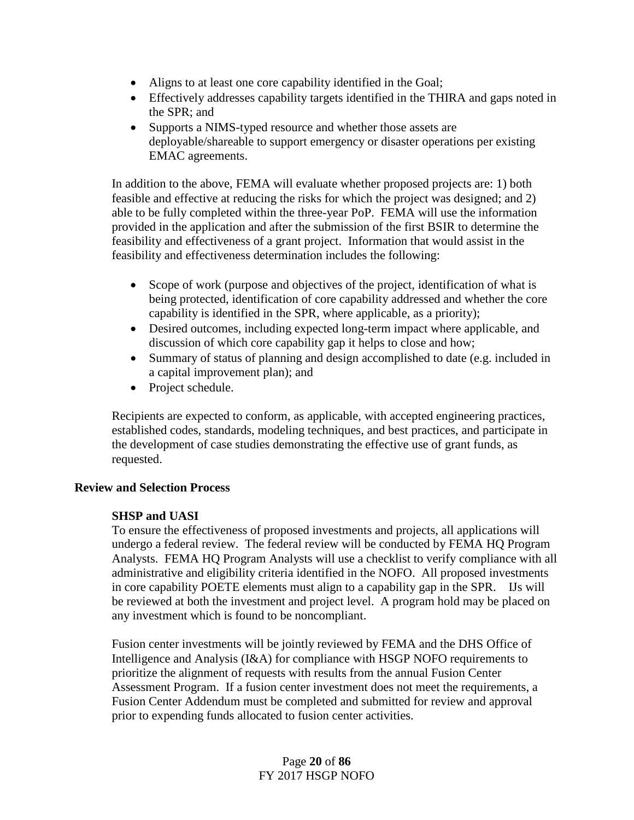- Aligns to at least one core capability identified in the Goal;
- Effectively addresses capability targets identified in the THIRA and gaps noted in the SPR; and
- Supports a NIMS-typed resource and whether those assets are deployable/shareable to support emergency or disaster operations per existing EMAC agreements.

In addition to the above, FEMA will evaluate whether proposed projects are: 1) both feasible and effective at reducing the risks for which the project was designed; and 2) able to be fully completed within the three-year PoP. FEMA will use the information provided in the application and after the submission of the first BSIR to determine the feasibility and effectiveness of a grant project. Information that would assist in the feasibility and effectiveness determination includes the following:

- Scope of work (purpose and objectives of the project, identification of what is being protected, identification of core capability addressed and whether the core capability is identified in the SPR, where applicable, as a priority);
- Desired outcomes, including expected long-term impact where applicable, and discussion of which core capability gap it helps to close and how;
- Summary of status of planning and design accomplished to date (e.g. included in a capital improvement plan); and
- Project schedule.

Recipients are expected to conform, as applicable, with accepted engineering practices, established codes, standards, modeling techniques, and best practices, and participate in the development of case studies demonstrating the effective use of grant funds, as requested.

## **Review and Selection Process**

## **SHSP and UASI**

To ensure the effectiveness of proposed investments and projects, all applications will undergo a federal review. The federal review will be conducted by FEMA HQ Program Analysts. FEMA HQ Program Analysts will use a checklist to verify compliance with all administrative and eligibility criteria identified in the NOFO. All proposed investments in core capability POETE elements must align to a capability gap in the SPR. IJs will be reviewed at both the investment and project level. A program hold may be placed on any investment which is found to be noncompliant.

Fusion center investments will be jointly reviewed by FEMA and the DHS Office of Intelligence and Analysis (I&A) for compliance with HSGP NOFO requirements to prioritize the alignment of requests with results from the annual Fusion Center Assessment Program. If a fusion center investment does not meet the requirements, a Fusion Center Addendum must be completed and submitted for review and approval prior to expending funds allocated to fusion center activities.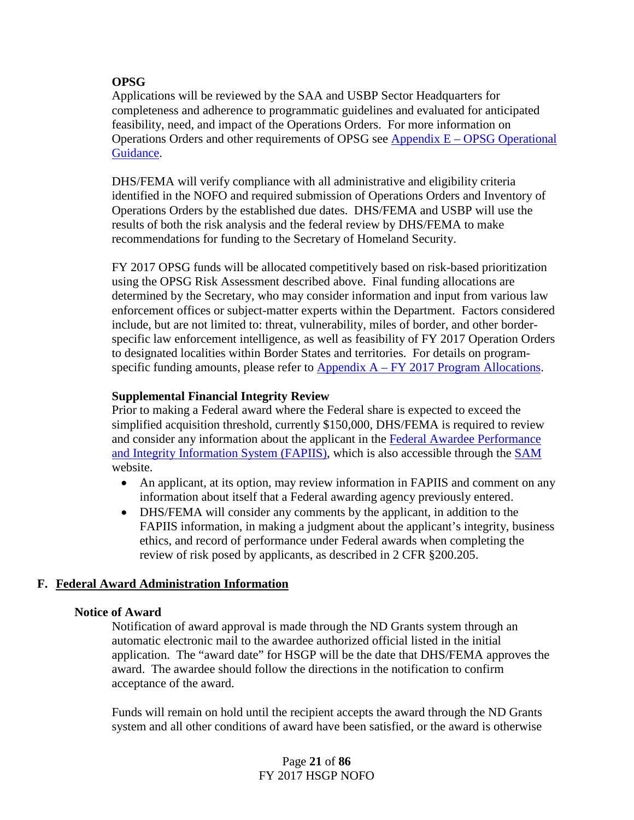## **OPSG**

Applications will be reviewed by the SAA and USBP Sector Headquarters for completeness and adherence to programmatic guidelines and evaluated for anticipated feasibility, need, and impact of the Operations Orders. For more information on Operations Orders and other requirements of OPSG see Appendix E – [OPSG Operational](#page-72-0)  [Guidance.](#page-72-0)

DHS/FEMA will verify compliance with all administrative and eligibility criteria identified in the NOFO and required submission of Operations Orders and Inventory of Operations Orders by the established due dates. DHS/FEMA and USBP will use the results of both the risk analysis and the federal review by DHS/FEMA to make recommendations for funding to the Secretary of Homeland Security.

FY 2017 OPSG funds will be allocated competitively based on risk-based prioritization using the OPSG Risk Assessment described above. Final funding allocations are determined by the Secretary, who may consider information and input from various law enforcement offices or subject-matter experts within the Department. Factors considered include, but are not limited to: threat, vulnerability, miles of border, and other borderspecific law enforcement intelligence, as well as feasibility of FY 2017 Operation Orders to designated localities within Border States and territories. For details on programspecific funding amounts, please refer to Appendix  $A - FY 2017$  [Program Allocations.](#page-32-0)

## **Supplemental Financial Integrity Review**

Prior to making a Federal award where the Federal share is expected to exceed the simplified acquisition threshold, currently \$150,000, DHS/FEMA is required to review and consider any information about the applicant in the [Federal Awardee Performance](https://www.fapiis.gov/fapiis/index.action)  [and Integrity Information System \(FAPIIS\),](https://www.fapiis.gov/fapiis/index.action) which is also accessible through the [SAM](https://www.sam.gov/portal/SAM/#1) website.

- An applicant, at its option, may review information in FAPIIS and comment on any information about itself that a Federal awarding agency previously entered.
- DHS/FEMA will consider any comments by the applicant, in addition to the FAPIIS information, in making a judgment about the applicant's integrity, business ethics, and record of performance under Federal awards when completing the review of risk posed by applicants, as described in 2 CFR §200.205.

## **F. Federal Award Administration Information**

## **Notice of Award**

Notification of award approval is made through the ND Grants system through an automatic electronic mail to the awardee authorized official listed in the initial application. The "award date" for HSGP will be the date that DHS/FEMA approves the award. The awardee should follow the directions in the notification to confirm acceptance of the award.

Funds will remain on hold until the recipient accepts the award through the ND Grants system and all other conditions of award have been satisfied, or the award is otherwise

> Page **21** of **86** FY 2017 HSGP NOFO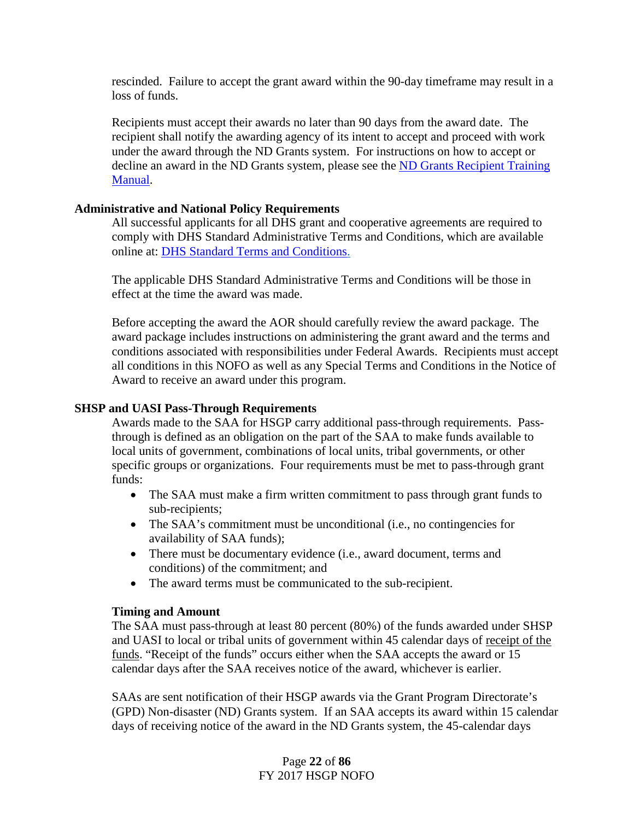rescinded. Failure to accept the grant award within the 90-day timeframe may result in a loss of funds.

Recipients must accept their awards no later than 90 days from the award date. The recipient shall notify the awarding agency of its intent to accept and proceed with work under the award through the ND Grants system. For instructions on how to accept or decline an award in the ND Grants system, please see the [ND Grants Recipient](https://www.fema.gov/media-library/assets/documents/25949) Training [Manual.](https://www.fema.gov/media-library/assets/documents/25949)

## **Administrative and National Policy Requirements**

All successful applicants for all DHS grant and cooperative agreements are required to comply with DHS Standard Administrative Terms and Conditions, which are available online at: [DHS Standard Terms and Conditions.](http://www.dhs.gov/publication/fy15-dhs-standard-terms-and-conditions)

The applicable DHS Standard Administrative Terms and Conditions will be those in effect at the time the award was made.

Before accepting the award the AOR should carefully review the award package. The award package includes instructions on administering the grant award and the terms and conditions associated with responsibilities under Federal Awards. Recipients must accept all conditions in this NOFO as well as any Special Terms and Conditions in the Notice of Award to receive an award under this program.

## **SHSP and UASI Pass-Through Requirements**

Awards made to the SAA for HSGP carry additional pass-through requirements. Passthrough is defined as an obligation on the part of the SAA to make funds available to local units of government, combinations of local units, tribal governments, or other specific groups or organizations. Four requirements must be met to pass-through grant funds:

- The SAA must make a firm written commitment to pass through grant funds to sub-recipients;
- The SAA's commitment must be unconditional (i.e., no contingencies for availability of SAA funds);
- There must be documentary evidence (i.e., award document, terms and conditions) of the commitment; and
- The award terms must be communicated to the sub-recipient.

## **Timing and Amount**

The SAA must pass-through at least 80 percent (80%) of the funds awarded under SHSP and UASI to local or tribal units of government within 45 calendar days of receipt of the funds. "Receipt of the funds" occurs either when the SAA accepts the award or 15 calendar days after the SAA receives notice of the award, whichever is earlier.

SAAs are sent notification of their HSGP awards via the Grant Program Directorate's (GPD) Non-disaster (ND) Grants system. If an SAA accepts its award within 15 calendar days of receiving notice of the award in the ND Grants system, the 45-calendar days

> Page **22** of **86** FY 2017 HSGP NOFO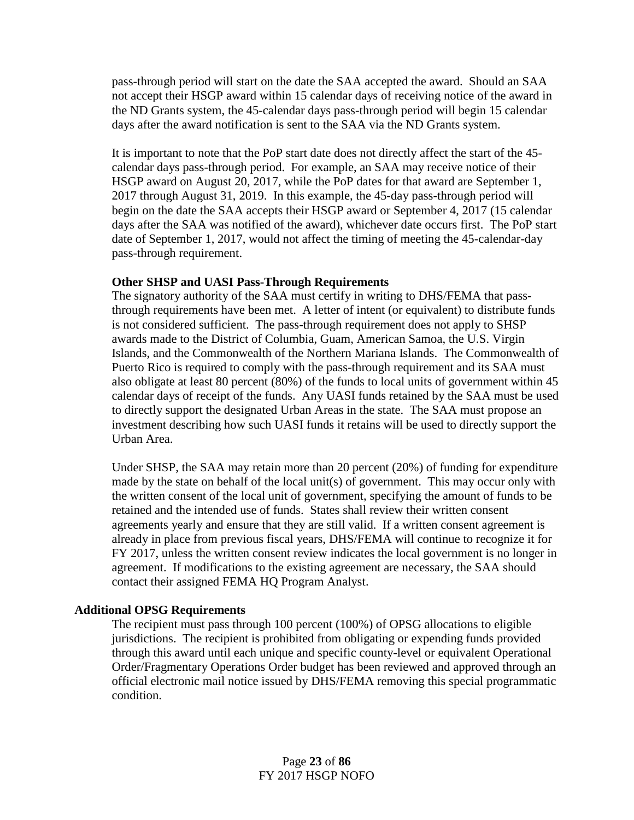pass-through period will start on the date the SAA accepted the award. Should an SAA not accept their HSGP award within 15 calendar days of receiving notice of the award in the ND Grants system, the 45-calendar days pass-through period will begin 15 calendar days after the award notification is sent to the SAA via the ND Grants system.

It is important to note that the PoP start date does not directly affect the start of the 45 calendar days pass-through period. For example, an SAA may receive notice of their HSGP award on August 20, 2017, while the PoP dates for that award are September 1, 2017 through August 31, 2019. In this example, the 45-day pass-through period will begin on the date the SAA accepts their HSGP award or September 4, 2017 (15 calendar days after the SAA was notified of the award), whichever date occurs first. The PoP start date of September 1, 2017, would not affect the timing of meeting the 45-calendar-day pass-through requirement.

## **Other SHSP and UASI Pass-Through Requirements**

The signatory authority of the SAA must certify in writing to DHS/FEMA that passthrough requirements have been met. A letter of intent (or equivalent) to distribute funds is not considered sufficient. The pass-through requirement does not apply to SHSP awards made to the District of Columbia, Guam, American Samoa, the U.S. Virgin Islands, and the Commonwealth of the Northern Mariana Islands. The Commonwealth of Puerto Rico is required to comply with the pass-through requirement and its SAA must also obligate at least 80 percent (80%) of the funds to local units of government within 45 calendar days of receipt of the funds. Any UASI funds retained by the SAA must be used to directly support the designated Urban Areas in the state. The SAA must propose an investment describing how such UASI funds it retains will be used to directly support the Urban Area.

Under SHSP, the SAA may retain more than 20 percent (20%) of funding for expenditure made by the state on behalf of the local unit(s) of government. This may occur only with the written consent of the local unit of government, specifying the amount of funds to be retained and the intended use of funds. States shall review their written consent agreements yearly and ensure that they are still valid. If a written consent agreement is already in place from previous fiscal years, DHS/FEMA will continue to recognize it for FY 2017, unless the written consent review indicates the local government is no longer in agreement. If modifications to the existing agreement are necessary, the SAA should contact their assigned FEMA HQ Program Analyst.

## **Additional OPSG Requirements**

The recipient must pass through 100 percent (100%) of OPSG allocations to eligible jurisdictions. The recipient is prohibited from obligating or expending funds provided through this award until each unique and specific county-level or equivalent Operational Order/Fragmentary Operations Order budget has been reviewed and approved through an official electronic mail notice issued by DHS/FEMA removing this special programmatic condition.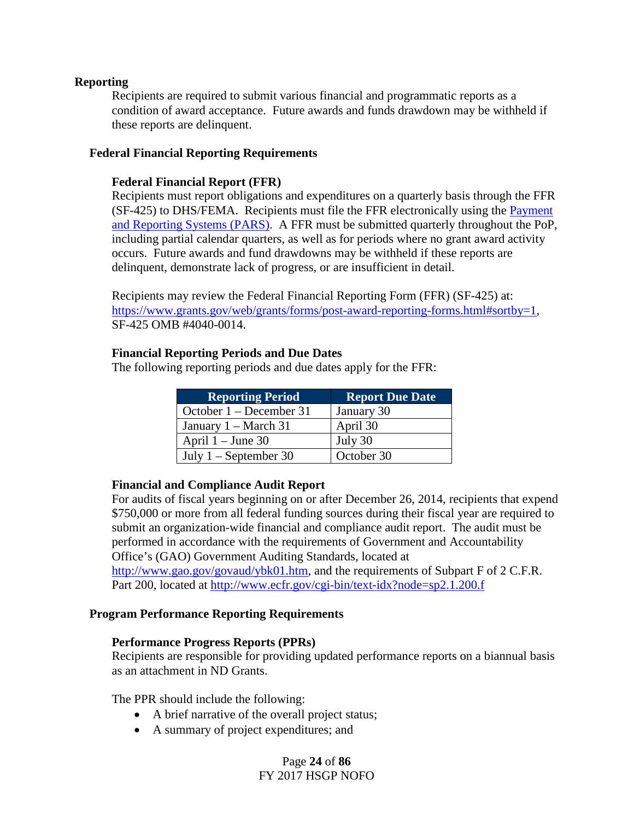#### **Reporting**

Recipients are required to submit various financial and programmatic reports as a condition of award acceptance. Future awards and funds drawdown may be withheld if these reports are delinquent.

## **Federal Financial Reporting Requirements**

#### **Federal Financial Report (FFR)**

Recipients must report obligations and expenditures on a quarterly basis through the FFR (SF-425) to DHS/FEMA. Recipients must file the FFR electronically using the Payment [and Reporting Systems \(PARS\).](https://isource.fema.gov/sf269/execute/OnlineUserRegistration) A FFR must be submitted quarterly throughout the PoP, including partial calendar quarters, as well as for periods where no grant award activity occurs. Future awards and fund drawdowns may be withheld if these reports are delinquent, demonstrate lack of progress, or are insufficient in detail.

Recipients may review the Federal Financial Reporting Form (FFR) (SF-425) at: [https://www.grants.gov/web/grants/forms/post-award-reporting-forms.html#sortby=1,](https://www.grants.gov/web/grants/forms/post-award-reporting-forms.html#sortby=1) SF-425 OMB #4040-0014.

#### **Financial Reporting Periods and Due Dates**

The following reporting periods and due dates apply for the FFR:

| <b>Reporting Period</b>        | <b>Report Due Date</b> |  |  |
|--------------------------------|------------------------|--|--|
| October $1 -$ December 31      | January 30             |  |  |
| January $1 - \text{March } 31$ | April 30               |  |  |
| April $1 -$ June 30            | July 30                |  |  |
| July $1 -$ September 30        | October 30             |  |  |

## **Financial and Compliance Audit Report**

For audits of fiscal years beginning on or after December 26, 2014, recipients that expend \$750,000 or more from all federal funding sources during their fiscal year are required to submit an organization-wide financial and compliance audit report. The audit must be performed in accordance with the requirements of Government and Accountability Office's (GAO) Government Auditing Standards, located at [http://www.gao.gov/govaud/ybk01.htm,](http://www.gao.gov/govaud/ybk01.htm) and the requirements of Subpart F of 2 C.F.R. Part 200, located at<http://www.ecfr.gov/cgi-bin/text-idx?node=sp2.1.200.f>

#### <span id="page-23-0"></span>**Program Performance Reporting Requirements**

#### **Performance Progress Reports (PPRs)**

Recipients are responsible for providing updated performance reports on a biannual basis as an attachment in ND Grants.

The PPR should include the following:

- A brief narrative of the overall project status;
- A summary of project expenditures; and

## Page **24** of **86** FY 2017 HSGP NOFO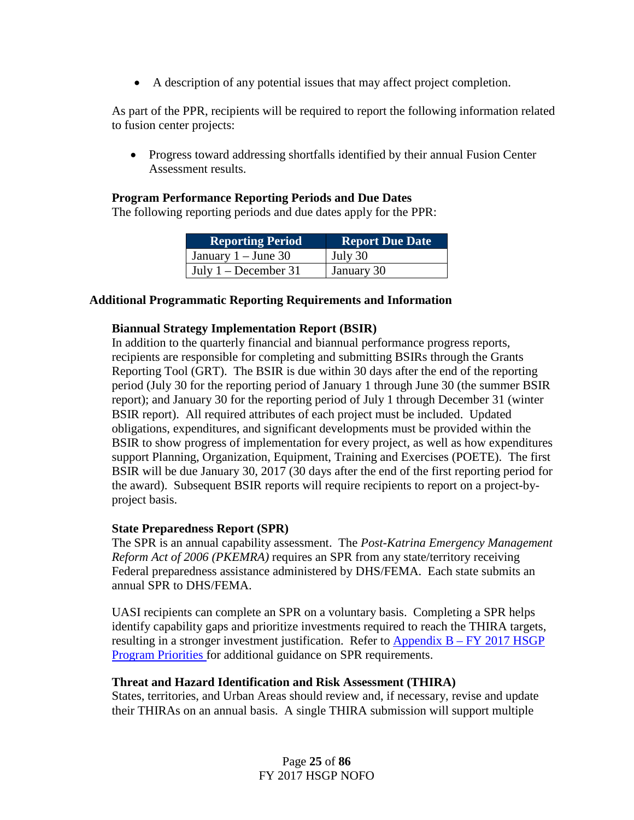• A description of any potential issues that may affect project completion.

As part of the PPR, recipients will be required to report the following information related to fusion center projects:

• Progress toward addressing shortfalls identified by their annual Fusion Center Assessment results.

## **Program Performance Reporting Periods and Due Dates**

The following reporting periods and due dates apply for the PPR:

| <b>Reporting Period</b>      | <b>Report Due Date</b> |
|------------------------------|------------------------|
| January $1 -$ June 30        | July 30                |
| $\vert$ July 1 – December 31 | January 30             |

## **Additional Programmatic Reporting Requirements and Information**

## **Biannual Strategy Implementation Report (BSIR)**

In addition to the quarterly financial and biannual performance progress reports, recipients are responsible for completing and submitting BSIRs through the Grants Reporting Tool (GRT). The BSIR is due within 30 days after the end of the reporting period (July 30 for the reporting period of January 1 through June 30 (the summer BSIR report); and January 30 for the reporting period of July 1 through December 31 (winter BSIR report). All required attributes of each project must be included. Updated obligations, expenditures, and significant developments must be provided within the BSIR to show progress of implementation for every project, as well as how expenditures support Planning, Organization, Equipment, Training and Exercises (POETE). The first BSIR will be due January 30, 2017 (30 days after the end of the first reporting period for the award). Subsequent BSIR reports will require recipients to report on a project-byproject basis.

## **State Preparedness Report (SPR)**

The SPR is an annual capability assessment. The *Post-Katrina Emergency Management Reform Act of 2006 (PKEMRA)* requires an SPR from any state/territory receiving Federal preparedness assistance administered by DHS/FEMA. Each state submits an annual SPR to DHS/FEMA.

UASI recipients can complete an SPR on a voluntary basis. Completing a SPR helps identify capability gaps and prioritize investments required to reach the THIRA targets, resulting in a stronger investment justification. Refer to Appendix  $B - FY 2017 HSGP$ [Program Priorities](#page-38-0) for additional guidance on SPR requirements.

## **Threat and Hazard Identification and Risk Assessment (THIRA)**

States, territories, and Urban Areas should review and, if necessary, revise and update their THIRAs on an annual basis. A single THIRA submission will support multiple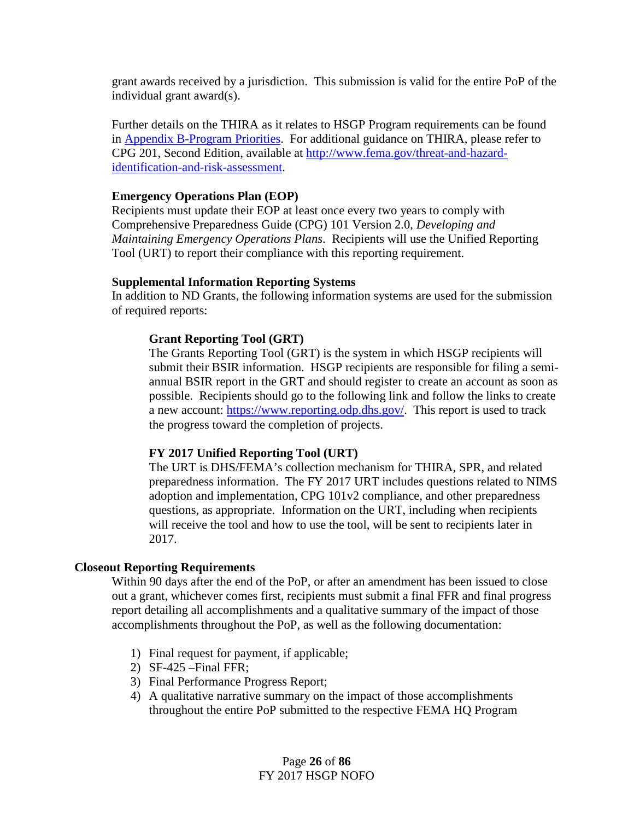grant awards received by a jurisdiction. This submission is valid for the entire PoP of the individual grant award(s).

Further details on the THIRA as it relates to HSGP Program requirements can be found in [Appendix B-Program Priorities.](#page-38-0) For additional guidance on THIRA, please refer to CPG 201, Second Edition, available at [http://www.fema.gov/threat-and-hazard](http://www.fema.gov/threat-and-hazard-identification-and-risk-assessment)[identification-and-risk-assessment.](http://www.fema.gov/threat-and-hazard-identification-and-risk-assessment)

## **Emergency Operations Plan (EOP)**

Recipients must update their EOP at least once every two years to comply with Comprehensive Preparedness Guide (CPG) 101 Version 2.0, *Developing and Maintaining Emergency Operations Plans*. Recipients will use the Unified Reporting Tool (URT) to report their compliance with this reporting requirement.

## **Supplemental Information Reporting Systems**

In addition to ND Grants, the following information systems are used for the submission of required reports:

## **Grant Reporting Tool (GRT)**

The Grants Reporting Tool (GRT) is the system in which HSGP recipients will submit their BSIR information. HSGP recipients are responsible for filing a semiannual BSIR report in the GRT and should register to create an account as soon as possible. Recipients should go to the following link and follow the links to create a new account: [https://www.reporting.odp.dhs.gov/.](https://www.reporting.odp.dhs.gov/) This report is used to track the progress toward the completion of projects.

## **FY 2017 Unified Reporting Tool (URT)**

The URT is DHS/FEMA's collection mechanism for THIRA, SPR, and related preparedness information. The FY 2017 URT includes questions related to NIMS adoption and implementation, CPG 101v2 compliance, and other preparedness questions, as appropriate. Information on the URT, including when recipients will receive the tool and how to use the tool, will be sent to recipients later in 2017.

## **Closeout Reporting Requirements**

Within 90 days after the end of the PoP, or after an amendment has been issued to close out a grant, whichever comes first, recipients must submit a final FFR and final progress report detailing all accomplishments and a qualitative summary of the impact of those accomplishments throughout the PoP, as well as the following documentation:

- 1) Final request for payment, if applicable;
- 2) SF-425 –Final FFR;
- 3) Final Performance Progress Report;
- 4) A qualitative narrative summary on the impact of those accomplishments throughout the entire PoP submitted to the respective FEMA HQ Program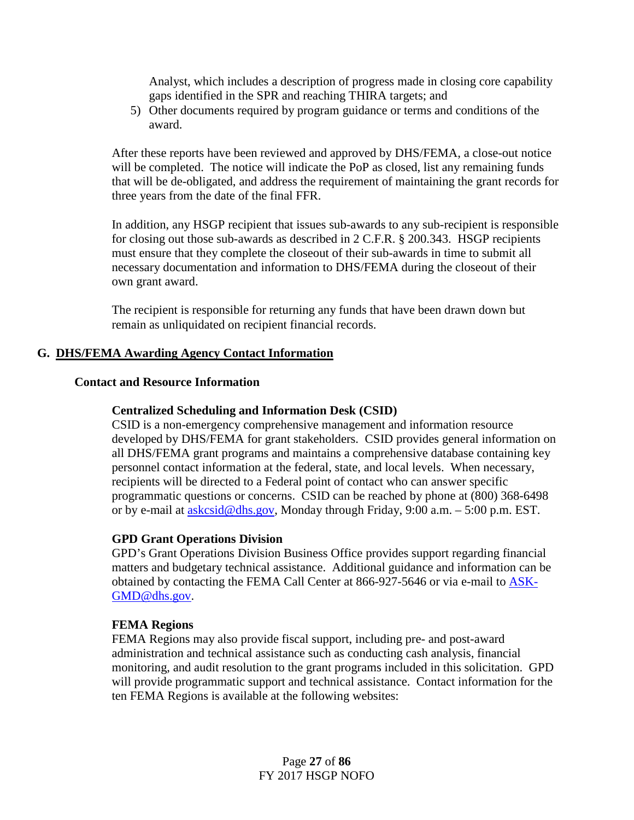Analyst, which includes a description of progress made in closing core capability gaps identified in the SPR and reaching THIRA targets; and

5) Other documents required by program guidance or terms and conditions of the award.

After these reports have been reviewed and approved by DHS/FEMA, a close-out notice will be completed. The notice will indicate the PoP as closed, list any remaining funds that will be de-obligated, and address the requirement of maintaining the grant records for three years from the date of the final FFR.

In addition, any HSGP recipient that issues sub-awards to any sub-recipient is responsible for closing out those sub-awards as described in 2 C.F.R. § 200.343. HSGP recipients must ensure that they complete the closeout of their sub-awards in time to submit all necessary documentation and information to DHS/FEMA during the closeout of their own grant award.

The recipient is responsible for returning any funds that have been drawn down but remain as unliquidated on recipient financial records.

## **G. DHS/FEMA Awarding Agency Contact Information**

## **Contact and Resource Information**

## **Centralized Scheduling and Information Desk (CSID)**

CSID is a non-emergency comprehensive management and information resource developed by DHS/FEMA for grant stakeholders. CSID provides general information on all DHS/FEMA grant programs and maintains a comprehensive database containing key personnel contact information at the federal, state, and local levels. When necessary, recipients will be directed to a Federal point of contact who can answer specific programmatic questions or concerns. CSID can be reached by phone at (800) 368-6498 or by e-mail at [askcsid@dhs.gov,](mailto:askcsid@dhs.gov) Monday through Friday, 9:00 a.m. – 5:00 p.m. EST.

#### **GPD Grant Operations Division**

GPD's Grant Operations Division Business Office provides support regarding financial matters and budgetary technical assistance. Additional guidance and information can be obtained by contacting the FEMA Call Center at 866-927-5646 or via e-mail to [ASK-](mailto:ASK-GMD@dhs.gov)[GMD@dhs.gov.](mailto:ASK-GMD@dhs.gov)

#### **FEMA Regions**

FEMA Regions may also provide fiscal support, including pre- and post-award administration and technical assistance such as conducting cash analysis, financial monitoring, and audit resolution to the grant programs included in this solicitation. GPD will provide programmatic support and technical assistance. Contact information for the ten FEMA Regions is available at the following websites: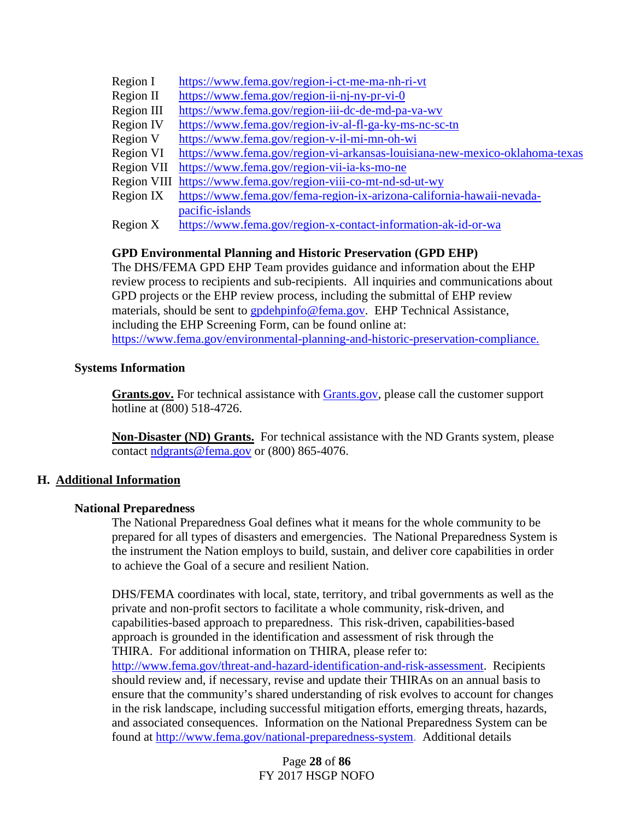- Region I <https://www.fema.gov/region-i-ct-me-ma-nh-ri-vt>
- Region II <https://www.fema.gov/region-ii-nj-ny-pr-vi-0>
- Region III <https://www.fema.gov/region-iii-dc-de-md-pa-va-wv>
- Region IV <https://www.fema.gov/region-iv-al-fl-ga-ky-ms-nc-sc-tn>
- Region V <https://www.fema.gov/region-v-il-mi-mn-oh-wi>
- Region VI <https://www.fema.gov/region-vi-arkansas-louisiana-new-mexico-oklahoma-texas>
- Region VII <https://www.fema.gov/region-vii-ia-ks-mo-ne>
- Region VIII <https://www.fema.gov/region-viii-co-mt-nd-sd-ut-wy>
- Region IX [https://www.fema.gov/fema-region-ix-arizona-california-hawaii-nevada](https://www.fema.gov/fema-region-ix-arizona-california-hawaii-nevada-pacific-islands)[pacific-islands](https://www.fema.gov/fema-region-ix-arizona-california-hawaii-nevada-pacific-islands)
- Region X <https://www.fema.gov/region-x-contact-information-ak-id-or-wa>

## **GPD Environmental Planning and Historic Preservation (GPD EHP)**

The DHS/FEMA GPD EHP Team provides guidance and information about the EHP review process to recipients and sub-recipients. All inquiries and communications about GPD projects or the EHP review process, including the submittal of EHP review materials, should be sent to [gpdehpinfo@fema.gov.](mailto:gpdehpinfo@fema.gov) EHP Technical Assistance, including the EHP Screening Form, can be found online at: [https://www.fema.gov/environmental-planning-and-historic-preservation-compliance.](https://www.fema.gov/environmental-planning-and-historic-preservation-compliance)

## **Systems Information**

Grants.gov. For technical assistance with **Grants**.gov, please call the customer support hotline at (800) 518-4726.

**Non-Disaster (ND) Grants.** For technical assistance with the ND Grants system, please contact [ndgrants@fema.gov](mailto:ndgrants@fema.gov) or (800) 865-4076.

## **H. Additional Information**

## **National Preparedness**

The National Preparedness Goal defines what it means for the whole community to be prepared for all types of disasters and emergencies. The National Preparedness System is the instrument the Nation employs to build, sustain, and deliver core capabilities in order to achieve the Goal of a secure and resilient Nation.

DHS/FEMA coordinates with local, state, territory, and tribal governments as well as the private and non-profit sectors to facilitate a whole community, risk-driven, and capabilities-based approach to preparedness. This risk-driven, capabilities-based approach is grounded in the identification and assessment of risk through the THIRA. For additional information on THIRA, please refer to: [http://www.fema.gov/threat-and-hazard-identification-and-risk-assessment.](http://www.fema.gov/threat-and-hazard-identification-and-risk-assessment) Recipients should review and, if necessary, revise and update their THIRAs on an annual basis to ensure that the community's shared understanding of risk evolves to account for changes in the risk landscape, including successful mitigation efforts, emerging threats, hazards, and associated consequences. Information on the National Preparedness System can be found at [http://www.fema.gov/national-preparedness-system.](http://www.fema.gov/national-preparedness-system) Additional details

> Page **28** of **86** FY 2017 HSGP NOFO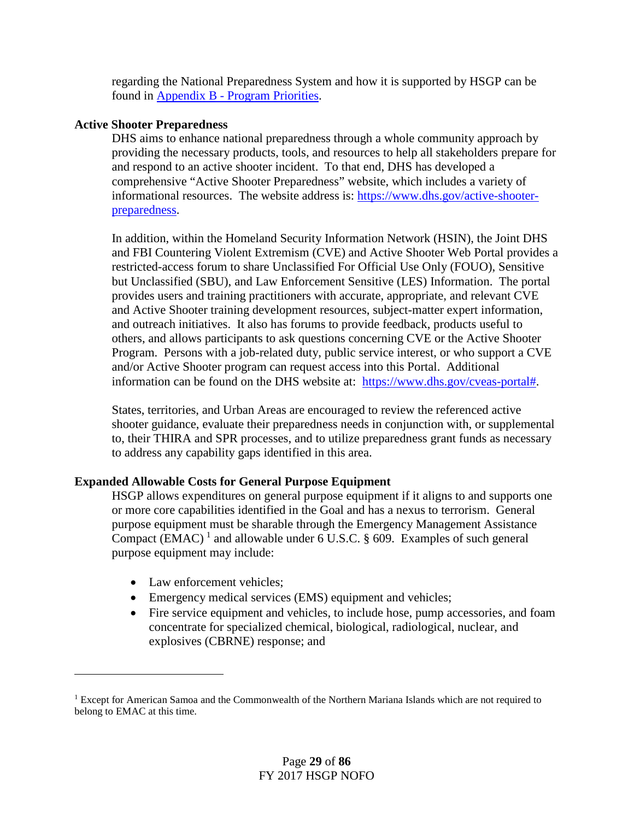regarding the National Preparedness System and how it is supported by HSGP can be found in Appendix B - [Program Priorities.](#page-38-0)

## **Active Shooter Preparedness**

DHS aims to enhance national preparedness through a whole community approach by providing the necessary products, tools, and resources to help all stakeholders prepare for and respond to an active shooter incident. To that end, DHS has developed a comprehensive "Active Shooter Preparedness" website, which includes a variety of informational resources. The website address is: [https://www.dhs.gov/active-shooter](https://www.dhs.gov/active-shooter-preparedness)[preparedness.](https://www.dhs.gov/active-shooter-preparedness)

In addition, within the Homeland Security Information Network (HSIN), the Joint DHS and FBI Countering Violent Extremism (CVE) and Active Shooter Web Portal provides a restricted-access forum to share Unclassified For Official Use Only (FOUO), Sensitive but Unclassified (SBU), and Law Enforcement Sensitive (LES) Information. The portal provides users and training practitioners with accurate, appropriate, and relevant CVE and Active Shooter training development resources, subject-matter expert information, and outreach initiatives. It also has forums to provide feedback, products useful to others, and allows participants to ask questions concerning CVE or the Active Shooter Program. Persons with a job-related duty, public service interest, or who support a CVE and/or Active Shooter program can request access into this Portal. Additional information can be found on the DHS website at: [https://www.dhs.gov/cveas-portal#.](https://www.dhs.gov/cveas-portal)

States, territories, and Urban Areas are encouraged to review the referenced active shooter guidance, evaluate their preparedness needs in conjunction with, or supplemental to, their THIRA and SPR processes, and to utilize preparedness grant funds as necessary to address any capability gaps identified in this area.

## **Expanded Allowable Costs for General Purpose Equipment**

HSGP allows expenditures on general purpose equipment if it aligns to and supports one or more core capabilities identified in the Goal and has a nexus to terrorism. General purpose equipment must be sharable through the Emergency Management Assistance Compact (EMAC)<sup>[1](#page-28-0)</sup> and allowable under 6 U.S.C. § 609. Examples of such general purpose equipment may include:

• Law enforcement vehicles:

l

- Emergency medical services (EMS) equipment and vehicles;
- Fire service equipment and vehicles, to include hose, pump accessories, and foam concentrate for specialized chemical, biological, radiological, nuclear, and explosives (CBRNE) response; and

<span id="page-28-0"></span><sup>&</sup>lt;sup>1</sup> Except for American Samoa and the Commonwealth of the Northern Mariana Islands which are not required to belong to EMAC at this time.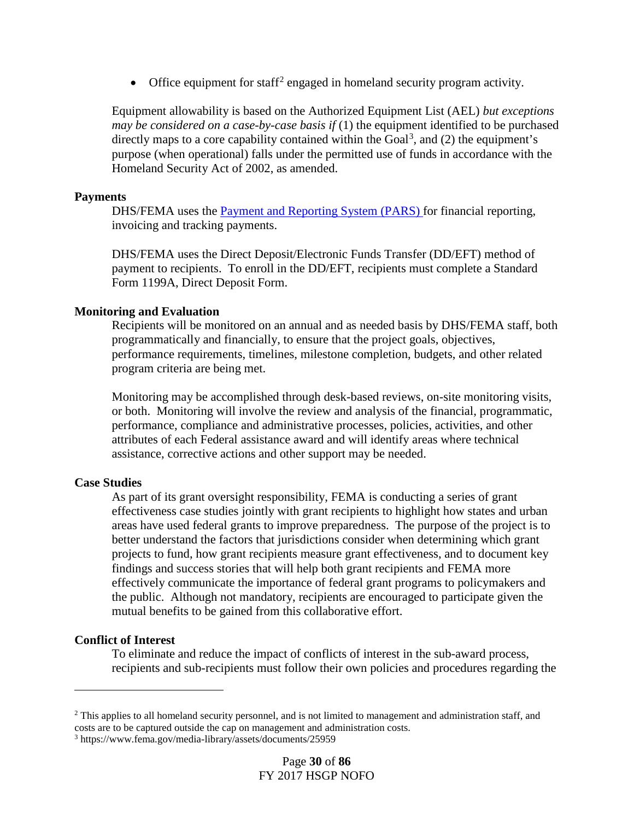• Office equipment for staff<sup>[2](#page-29-0)</sup> engaged in homeland security program activity.

Equipment allowability is based on the Authorized Equipment List (AEL) *but exceptions may be considered on a case-by-case basis if* (1) the equipment identified to be purchased directly maps to a core capability contained within the Goal<sup>[3](#page-29-1)</sup>, and  $(2)$  the equipment's purpose (when operational) falls under the permitted use of funds in accordance with the Homeland Security Act of 2002, as amended.

#### **Payments**

DHS/FEMA uses the [Payment and Reporting System \(PARS\)](https://isource.fema.gov/sf269/execute/LogIn?sawContentMessage=true.) for financial reporting, invoicing and tracking payments.

DHS/FEMA uses the Direct Deposit/Electronic Funds Transfer (DD/EFT) method of payment to recipients. To enroll in the DD/EFT, recipients must complete a Standard Form 1199A, Direct Deposit Form.

#### **Monitoring and Evaluation**

Recipients will be monitored on an annual and as needed basis by DHS/FEMA staff, both programmatically and financially, to ensure that the project goals, objectives, performance requirements, timelines, milestone completion, budgets, and other related program criteria are being met.

Monitoring may be accomplished through desk-based reviews, on-site monitoring visits, or both. Monitoring will involve the review and analysis of the financial, programmatic, performance, compliance and administrative processes, policies, activities, and other attributes of each Federal assistance award and will identify areas where technical assistance, corrective actions and other support may be needed.

#### **Case Studies**

As part of its grant oversight responsibility, FEMA is conducting a series of grant effectiveness case studies jointly with grant recipients to highlight how states and urban areas have used federal grants to improve preparedness. The purpose of the project is to better understand the factors that jurisdictions consider when determining which grant projects to fund, how grant recipients measure grant effectiveness, and to document key findings and success stories that will help both grant recipients and FEMA more effectively communicate the importance of federal grant programs to policymakers and the public. Although not mandatory, recipients are encouraged to participate given the mutual benefits to be gained from this collaborative effort.

## **Conflict of Interest**

l

To eliminate and reduce the impact of conflicts of interest in the sub-award process, recipients and sub-recipients must follow their own policies and procedures regarding the

<span id="page-29-0"></span><sup>&</sup>lt;sup>2</sup> This applies to all homeland security personnel, and is not limited to management and administration staff, and costs are to be captured outside the cap on management and administration costs.

<span id="page-29-1"></span><sup>3</sup> https://www.fema.gov/media-library/assets/documents/25959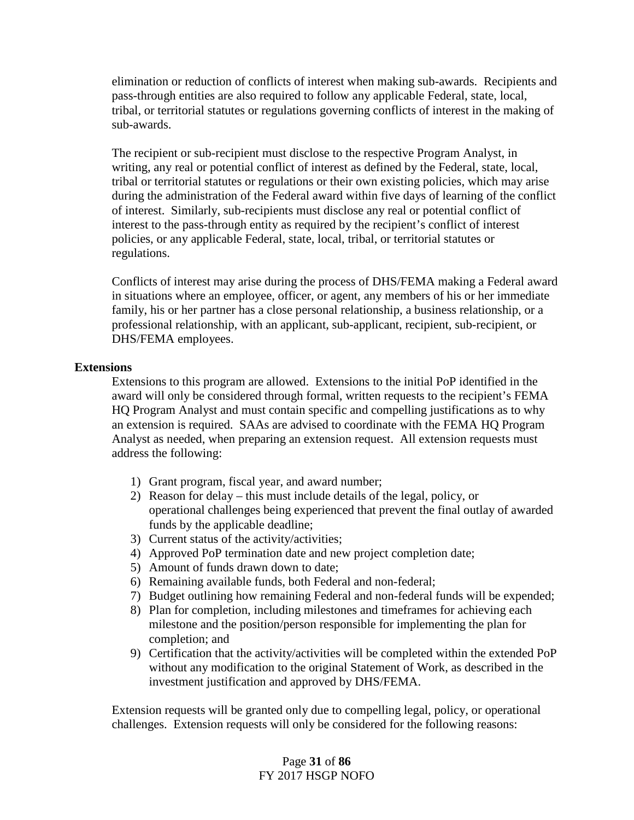elimination or reduction of conflicts of interest when making sub-awards. Recipients and pass-through entities are also required to follow any applicable Federal, state, local, tribal, or territorial statutes or regulations governing conflicts of interest in the making of sub-awards.

The recipient or sub-recipient must disclose to the respective Program Analyst, in writing, any real or potential conflict of interest as defined by the Federal, state, local, tribal or territorial statutes or regulations or their own existing policies, which may arise during the administration of the Federal award within five days of learning of the conflict of interest. Similarly, sub-recipients must disclose any real or potential conflict of interest to the pass-through entity as required by the recipient's conflict of interest policies, or any applicable Federal, state, local, tribal, or territorial statutes or regulations.

Conflicts of interest may arise during the process of DHS/FEMA making a Federal award in situations where an employee, officer, or agent, any members of his or her immediate family, his or her partner has a close personal relationship, a business relationship, or a professional relationship, with an applicant, sub-applicant, recipient, sub-recipient, or DHS/FEMA employees.

## <span id="page-30-0"></span>**Extensions**

Extensions to this program are allowed. Extensions to the initial PoP identified in the award will only be considered through formal, written requests to the recipient's FEMA HQ Program Analyst and must contain specific and compelling justifications as to why an extension is required. SAAs are advised to coordinate with the FEMA HQ Program Analyst as needed, when preparing an extension request. All extension requests must address the following:

- 1) Grant program, fiscal year, and award number;
- 2) Reason for delay this must include details of the legal, policy, or operational challenges being experienced that prevent the final outlay of awarded funds by the applicable deadline;
- 3) Current status of the activity/activities;
- 4) Approved PoP termination date and new project completion date;
- 5) Amount of funds drawn down to date;
- 6) Remaining available funds, both Federal and non-federal;
- 7) Budget outlining how remaining Federal and non-federal funds will be expended;
- 8) Plan for completion, including milestones and timeframes for achieving each milestone and the position/person responsible for implementing the plan for completion; and
- 9) Certification that the activity/activities will be completed within the extended PoP without any modification to the original Statement of Work, as described in the investment justification and approved by DHS/FEMA.

Extension requests will be granted only due to compelling legal, policy, or operational challenges. Extension requests will only be considered for the following reasons:

## Page **31** of **86** FY 2017 HSGP NOFO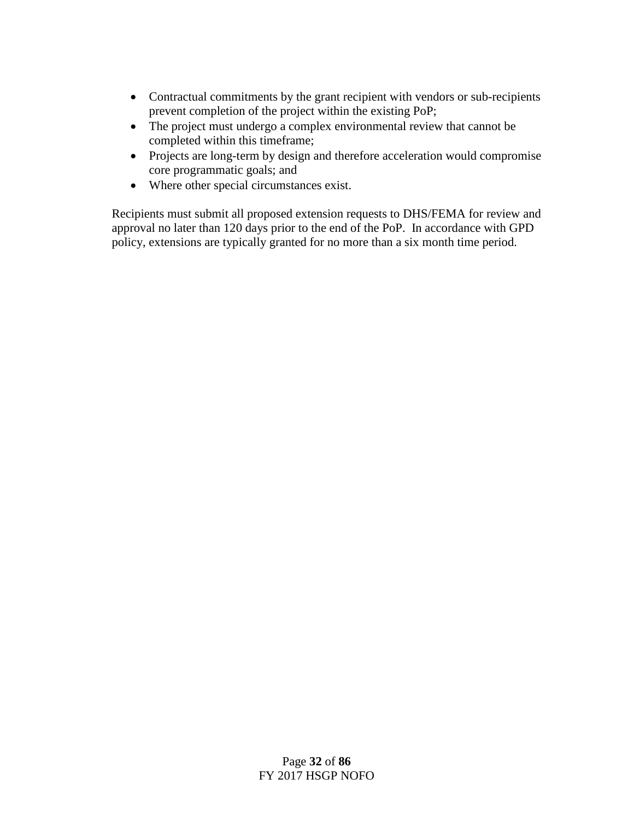- Contractual commitments by the grant recipient with vendors or sub-recipients prevent completion of the project within the existing PoP;
- The project must undergo a complex environmental review that cannot be completed within this timeframe;
- Projects are long-term by design and therefore acceleration would compromise core programmatic goals; and
- Where other special circumstances exist.

Recipients must submit all proposed extension requests to DHS/FEMA for review and approval no later than 120 days prior to the end of the PoP. In accordance with GPD policy, extensions are typically granted for no more than a six month time period.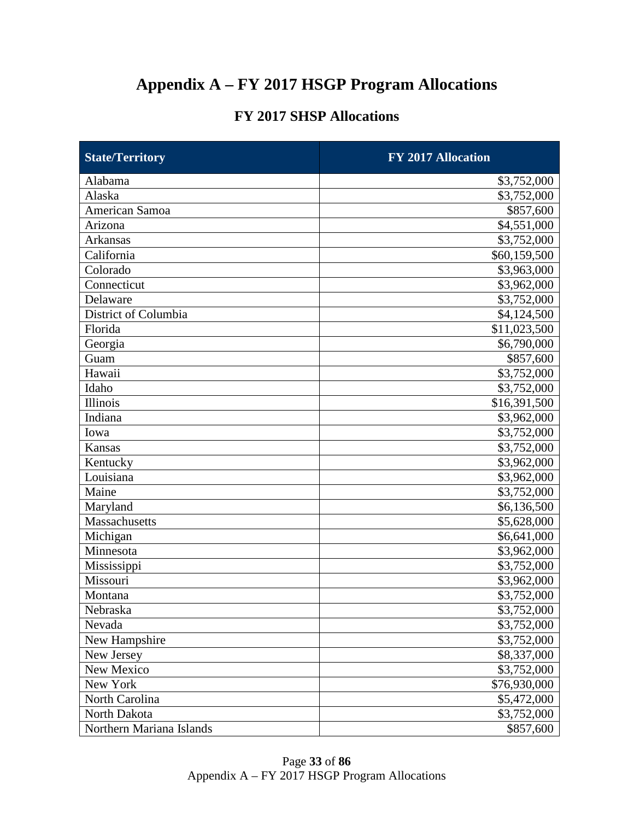# <span id="page-32-0"></span>**Appendix A – FY 2017 HSGP Program Allocations**

## **FY 2017 SHSP Allocations**

| <b>State/Territory</b>   | FY 2017 Allocation |  |  |
|--------------------------|--------------------|--|--|
| Alabama                  | \$3,752,000        |  |  |
| Alaska                   | \$3,752,000        |  |  |
| American Samoa           | \$857,600          |  |  |
| Arizona                  | \$4,551,000        |  |  |
| <b>Arkansas</b>          | \$3,752,000        |  |  |
| California               | \$60,159,500       |  |  |
| Colorado                 | \$3,963,000        |  |  |
| Connecticut              | \$3,962,000        |  |  |
| Delaware                 | \$3,752,000        |  |  |
| District of Columbia     | \$4,124,500        |  |  |
| Florida                  | \$11,023,500       |  |  |
| Georgia                  | \$6,790,000        |  |  |
| Guam                     | \$857,600          |  |  |
| Hawaii                   | \$3,752,000        |  |  |
| Idaho                    | \$3,752,000        |  |  |
| <b>Illinois</b>          | \$16,391,500       |  |  |
| Indiana                  | \$3,962,000        |  |  |
| Iowa                     | \$3,752,000        |  |  |
| Kansas                   | \$3,752,000        |  |  |
| Kentucky                 | \$3,962,000        |  |  |
| Louisiana                | \$3,962,000        |  |  |
| Maine                    | \$3,752,000        |  |  |
| Maryland                 | \$6,136,500        |  |  |
| Massachusetts            | \$5,628,000        |  |  |
| Michigan                 | \$6,641,000        |  |  |
| Minnesota                | \$3,962,000        |  |  |
| Mississippi              | \$3,752,000        |  |  |
| Missouri                 | \$3,962,000        |  |  |
| Montana                  | \$3,752,000        |  |  |
| Nebraska                 | \$3,752,000        |  |  |
| Nevada                   | \$3,752,000        |  |  |
| New Hampshire            | \$3,752,000        |  |  |
| New Jersey               | \$8,337,000        |  |  |
| New Mexico               | \$3,752,000        |  |  |
| New York                 | \$76,930,000       |  |  |
| North Carolina           | \$5,472,000        |  |  |
| North Dakota             | \$3,752,000        |  |  |
| Northern Mariana Islands | \$857,600          |  |  |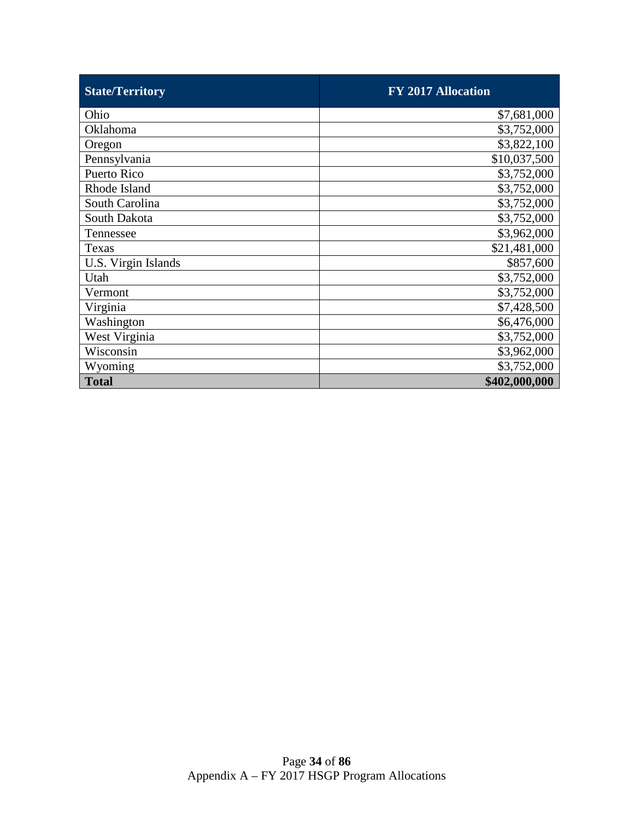| <b>State/Territory</b> | <b>FY 2017 Allocation</b> |
|------------------------|---------------------------|
| Ohio                   | \$7,681,000               |
| Oklahoma               | \$3,752,000               |
| Oregon                 | \$3,822,100               |
| Pennsylvania           | \$10,037,500              |
| Puerto Rico            | \$3,752,000               |
| Rhode Island           | \$3,752,000               |
| South Carolina         | \$3,752,000               |
| South Dakota           | \$3,752,000               |
| Tennessee              | \$3,962,000               |
| Texas                  | \$21,481,000              |
| U.S. Virgin Islands    | \$857,600                 |
| Utah                   | \$3,752,000               |
| Vermont                | \$3,752,000               |
| Virginia               | \$7,428,500               |
| Washington             | \$6,476,000               |
| West Virginia          | \$3,752,000               |
| Wisconsin              | \$3,962,000               |
| Wyoming                | \$3,752,000               |
| <b>Total</b>           | \$402,000,000             |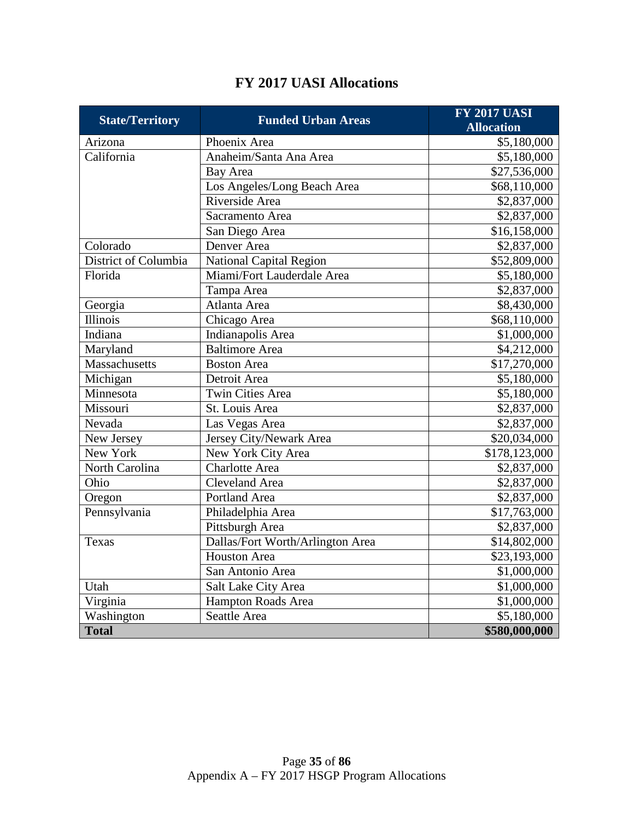| <b>State/Territory</b> | <b>Funded Urban Areas</b>        | <b>FY 2017 UASI</b>     |
|------------------------|----------------------------------|-------------------------|
|                        |                                  | <b>Allocation</b>       |
| Arizona                | Phoenix Area                     | \$5,180,000             |
| California             | Anaheim/Santa Ana Area           | \$5,180,000             |
|                        | Bay Area                         | \$27,536,000            |
|                        | Los Angeles/Long Beach Area      | \$68,110,000            |
|                        | Riverside Area                   | \$2,837,000             |
|                        | Sacramento Area                  | \$2,837,000             |
|                        | San Diego Area                   | \$16,158,000            |
| Colorado               | Denver Area                      | \$2,837,000             |
| District of Columbia   | National Capital Region          | \$52,809,000            |
| Florida                | Miami/Fort Lauderdale Area       | \$5,180,000             |
|                        | Tampa Area                       | \$2,837,000             |
| Georgia                | Atlanta Area                     | \$8,430,000             |
| <b>Illinois</b>        | Chicago Area                     | \$68,110,000            |
| Indiana                | Indianapolis Area                | \$1,000,000             |
| Maryland               | Baltimore Area                   | \$4,212,000             |
| Massachusetts          | <b>Boston Area</b>               | \$17,270,000            |
| Michigan               | Detroit Area                     | \$5,180,000             |
| Minnesota              | Twin Cities Area                 | \$5,180,000             |
| Missouri               | St. Louis Area                   | \$2,837,000             |
| Nevada                 | Las Vegas Area                   | $\overline{$}2,837,000$ |
| New Jersey             | Jersey City/Newark Area          | \$20,034,000            |
| New York               | New York City Area               | \$178,123,000           |
| North Carolina         | Charlotte Area                   | \$2,837,000             |
| Ohio                   | <b>Cleveland Area</b>            | \$2,837,000             |
| Oregon                 | Portland Area                    | \$2,837,000             |
| Pennsylvania           | Philadelphia Area                | \$17,763,000            |
|                        | Pittsburgh Area                  | \$2,837,000             |
| Texas                  | Dallas/Fort Worth/Arlington Area | \$14,802,000            |
|                        | <b>Houston Area</b>              | \$23,193,000            |
|                        | San Antonio Area                 | \$1,000,000             |
| Utah                   | Salt Lake City Area              | \$1,000,000             |
| Virginia               | Hampton Roads Area               | \$1,000,000             |
| Washington             | Seattle Area                     | \$5,180,000             |
| <b>Total</b>           |                                  | \$580,000,000           |

## **FY 2017 UASI Allocations**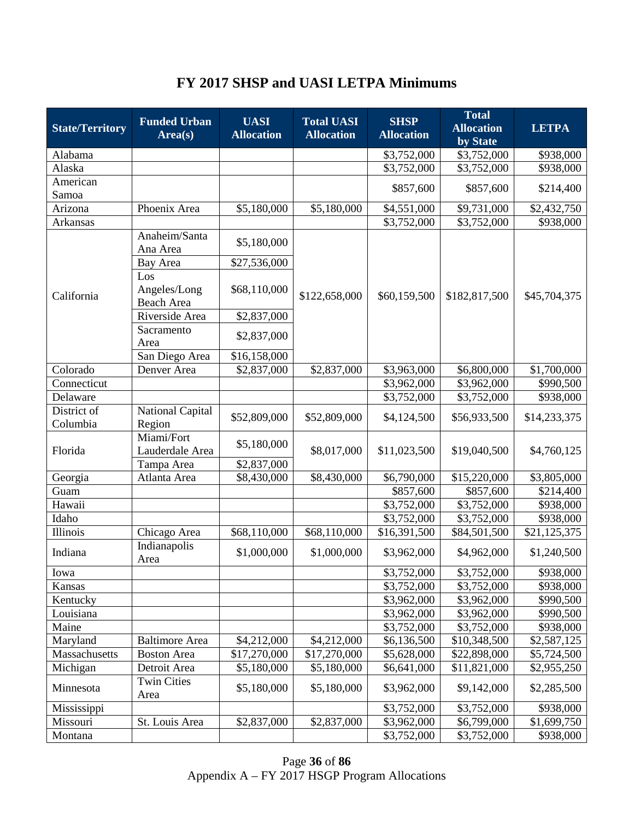# **FY 2017 SHSP and UASI LETPA Minimums**

| <b>State/Territory</b>    | <b>Funded Urban</b><br>Area(s)     | <b>UASI</b><br><b>Allocation</b> | <b>Total UASI</b><br><b>Allocation</b> | <b>SHSP</b><br><b>Allocation</b> | <b>Total</b><br><b>Allocation</b> | <b>LETPA</b>                |
|---------------------------|------------------------------------|----------------------------------|----------------------------------------|----------------------------------|-----------------------------------|-----------------------------|
|                           |                                    |                                  |                                        |                                  | by State                          |                             |
| Alabama                   |                                    |                                  |                                        | \$3,752,000                      | \$3,752,000                       | \$938,000                   |
| Alaska<br>American        |                                    |                                  |                                        | \$3,752,000                      | \$3,752,000                       | \$938,000                   |
| Samoa                     |                                    |                                  |                                        | \$857,600                        | \$857,600                         | \$214,400                   |
| Arizona                   | Phoenix Area                       | \$5,180,000                      | \$5,180,000                            | \$4,551,000                      | \$9,731,000                       | \$2,432,750                 |
| Arkansas                  |                                    |                                  |                                        | \$3,752,000                      | \$3,752,000                       | \$938,000                   |
|                           | Anaheim/Santa<br>Ana Area          | \$5,180,000                      |                                        |                                  |                                   |                             |
|                           | Bay Area                           | \$27,536,000                     |                                        |                                  |                                   | \$45,704,375                |
| California                | Los<br>Angeles/Long<br>Beach Area  | \$68,110,000                     | \$122,658,000                          | \$60,159,500                     | \$182,817,500                     |                             |
|                           | Riverside Area                     | \$2,837,000                      |                                        |                                  |                                   |                             |
|                           | Sacramento<br>Area                 | \$2,837,000                      |                                        |                                  |                                   |                             |
|                           | San Diego Area                     | \$16,158,000                     |                                        |                                  |                                   |                             |
| Colorado                  | Denver Area                        | \$2,837,000                      | \$2,837,000                            | \$3,963,000                      | \$6,800,000                       | \$1,700,000                 |
| Connecticut               |                                    |                                  |                                        | \$3,962,000                      | \$3,962,000                       | \$990,500                   |
| Delaware                  |                                    |                                  |                                        | \$3,752,000                      | \$3,752,000                       | \$938,000                   |
| District of<br>Columbia   | National Capital<br>Region         | \$52,809,000                     | \$52,809,000                           | \$4,124,500                      | \$56,933,500                      | \$14,233,375                |
| Florida                   | Miami/Fort<br>Lauderdale Area      | \$5,180,000                      | \$8,017,000                            | \$11,023,500                     | \$19,040,500                      | \$4,760,125                 |
|                           | Tampa Area                         | \$2,837,000                      |                                        |                                  |                                   |                             |
| Georgia                   | Atlanta Area                       | \$8,430,000                      | \$8,430,000                            | \$6,790,000                      | \$15,220,000                      | \$3,805,000                 |
| Guam                      |                                    |                                  |                                        | \$857,600                        | \$857,600                         | \$214,400                   |
| Hawaii                    |                                    |                                  |                                        | \$3,752,000                      | \$3,752,000                       | \$938,000                   |
| Idaho                     |                                    |                                  |                                        | \$3,752,000                      | \$3,752,000                       | \$938,000                   |
| Illinois<br>Indiana       | Chicago Area<br>Indianapolis       | \$68,110,000<br>\$1,000,000      | \$68,110,000<br>\$1,000,000            | \$16,391,500<br>\$3,962,000      | \$84,501,500<br>\$4,962,000       | \$21,125,375<br>\$1,240,500 |
|                           | Area                               |                                  |                                        |                                  |                                   |                             |
| Iowa                      |                                    |                                  |                                        | \$3,752,000                      | \$3,752,000                       | \$938,000                   |
| Kansas                    |                                    |                                  |                                        | \$3,752,000                      | \$3,752,000                       | \$938,000                   |
| Kentucky                  |                                    |                                  |                                        | \$3,962,000                      | \$3,962,000                       | \$990,500                   |
| Louisiana                 |                                    |                                  |                                        | \$3,962,000                      | \$3,962,000                       | \$990,500                   |
| Maine                     |                                    |                                  |                                        | \$3,752,000                      | \$3,752,000                       | \$938,000                   |
| Maryland                  | <b>Baltimore</b> Area              | \$4,212,000                      | \$4,212,000                            | \$6,136,500                      | \$10,348,500                      | \$2,587,125                 |
| Massachusetts<br>Michigan | <b>Boston Area</b><br>Detroit Area | \$17,270,000<br>\$5,180,000      | \$17,270,000<br>\$5,180,000            | \$5,628,000<br>\$6,641,000       | \$22,898,000<br>\$11,821,000      | \$5,724,500<br>\$2,955,250  |
| Minnesota                 | <b>Twin Cities</b><br>Area         | \$5,180,000                      | \$5,180,000                            | \$3,962,000                      | \$9,142,000                       | \$2,285,500                 |
| Mississippi               |                                    |                                  |                                        | \$3,752,000                      | \$3,752,000                       | \$938,000                   |
| Missouri                  | St. Louis Area                     | \$2,837,000                      | \$2,837,000                            | \$3,962,000                      | \$6,799,000                       | \$1,699,750                 |
| Montana                   |                                    |                                  |                                        | \$3,752,000                      | \$3,752,000                       | \$938,000                   |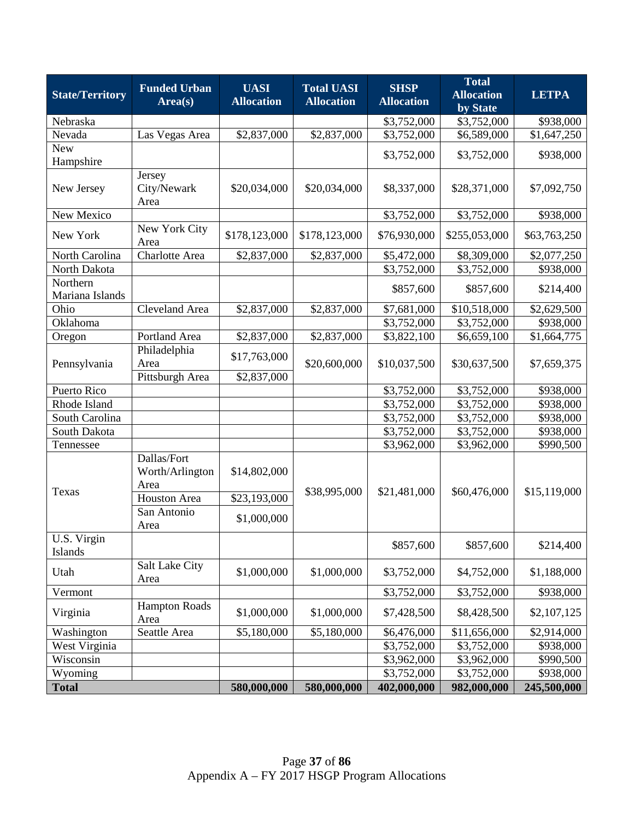| <b>State/Territory</b>      | <b>Funded Urban</b><br>Area(s)         | <b>UASI</b><br><b>Allocation</b> | <b>Total UASI</b><br><b>Allocation</b> | <b>SHSP</b><br><b>Allocation</b> | <b>Total</b><br><b>Allocation</b><br>by State | <b>LETPA</b>              |
|-----------------------------|----------------------------------------|----------------------------------|----------------------------------------|----------------------------------|-----------------------------------------------|---------------------------|
| Nebraska                    |                                        |                                  |                                        | \$3,752,000                      | \$3,752,000                                   | \$938,000                 |
| Nevada                      | Las Vegas Area                         | \$2,837,000                      | \$2,837,000                            | \$3,752,000                      | \$6,589,000                                   | $\overline{1,647,250}$    |
| <b>New</b><br>Hampshire     |                                        |                                  |                                        | \$3,752,000                      | \$3,752,000                                   | \$938,000                 |
| New Jersey                  | Jersey<br>City/Newark<br>Area          | \$20,034,000                     | \$20,034,000                           | \$8,337,000                      | \$28,371,000                                  | \$7,092,750               |
| New Mexico                  |                                        |                                  |                                        | $\overline{$3,752,000}$          | \$3,752,000                                   | \$938,000                 |
| New York                    | New York City<br>Area                  | \$178,123,000                    | \$178,123,000                          | \$76,930,000                     | \$255,053,000                                 | \$63,763,250              |
| North Carolina              | Charlotte Area                         | \$2,837,000                      | \$2,837,000                            | \$5,472,000                      | \$8,309,000                                   | \$2,077,250               |
| North Dakota                |                                        |                                  |                                        | \$3,752,000                      | \$3,752,000                                   | \$938,000                 |
| Northern<br>Mariana Islands |                                        |                                  |                                        | \$857,600                        | \$857,600                                     | \$214,400                 |
| Ohio                        | <b>Cleveland Area</b>                  | \$2,837,000                      | \$2,837,000                            | \$7,681,000                      | \$10,518,000                                  | \$2,629,500               |
| Oklahoma                    |                                        |                                  |                                        | \$3,752,000                      | \$3,752,000                                   | \$938,000                 |
| Oregon                      | Portland Area                          | \$2,837,000                      | \$2,837,000                            | \$3,822,100                      | \$6,659,100                                   | \$1,664,775               |
| Pennsylvania                | Philadelphia<br>Area                   | \$17,763,000                     | \$20,600,000                           | \$10,037,500                     | \$30,637,500                                  | \$7,659,375               |
|                             | Pittsburgh Area                        | \$2,837,000                      |                                        |                                  |                                               |                           |
| Puerto Rico                 |                                        |                                  |                                        | \$3,752,000                      | \$3,752,000                                   | \$938,000                 |
| Rhode Island                |                                        |                                  |                                        | \$3,752,000                      | \$3,752,000                                   | \$938,000                 |
| South Carolina              |                                        |                                  |                                        | \$3,752,000                      | \$3,752,000                                   | \$938,000                 |
| South Dakota                |                                        |                                  |                                        | \$3,752,000                      | \$3,752,000                                   | \$938,000                 |
| Tennessee<br>Texas          | Dallas/Fort<br>Worth/Arlington<br>Area | \$14,802,000                     | \$38,995,000                           | \$3,962,000<br>\$21,481,000      | \$3,962,000<br>\$60,476,000                   | \$990,500<br>\$15,119,000 |
|                             | <b>Houston Area</b>                    | \$23,193,000                     |                                        |                                  |                                               |                           |
|                             | San Antonio<br>Area                    | \$1,000,000                      |                                        |                                  |                                               |                           |
| U.S. Virgin<br>Islands      |                                        |                                  |                                        | \$857,600                        | \$857,600                                     | \$214,400                 |
| Utah                        | Salt Lake City<br>Area                 | \$1,000,000                      | \$1,000,000                            | \$3,752,000                      | \$4,752,000                                   | \$1,188,000               |
| Vermont                     |                                        |                                  |                                        | \$3,752,000                      | \$3,752,000                                   | \$938,000                 |
| Virginia                    | <b>Hampton Roads</b><br>Area           | \$1,000,000                      | \$1,000,000                            | \$7,428,500                      | \$8,428,500                                   | \$2,107,125               |
| Washington                  | Seattle Area                           | \$5,180,000                      | \$5,180,000                            | \$6,476,000                      | \$11,656,000                                  | \$2,914,000               |
| West Virginia               |                                        |                                  |                                        | \$3,752,000                      | \$3,752,000                                   | \$938,000                 |
| Wisconsin                   |                                        |                                  |                                        | \$3,962,000                      | \$3,962,000                                   | \$990,500                 |
| Wyoming                     |                                        |                                  |                                        | \$3,752,000                      | \$3,752,000                                   | \$938,000                 |
| <b>Total</b>                |                                        | 580,000,000                      | 580,000,000                            | 402,000,000                      | 982,000,000                                   | 245,500,000               |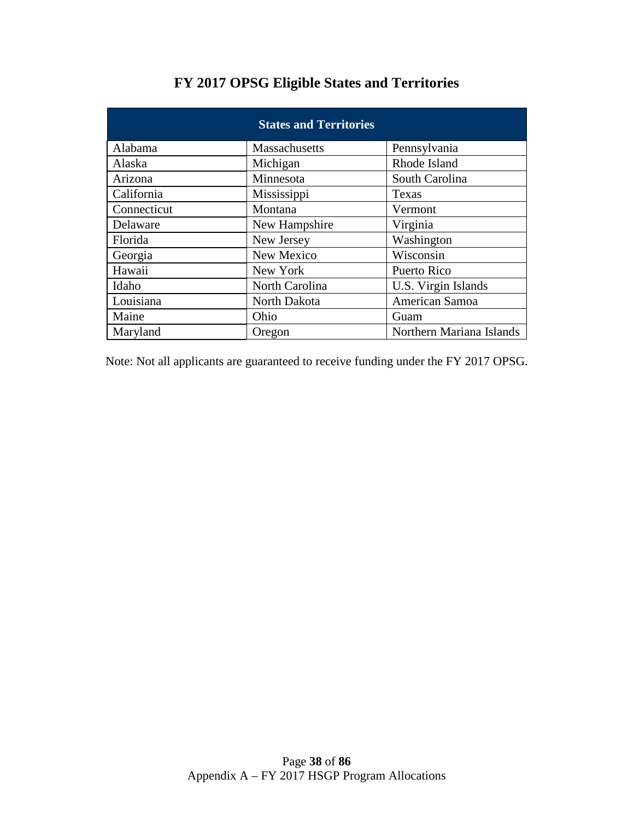| <b>States and Territories</b> |                |                          |  |  |  |  |
|-------------------------------|----------------|--------------------------|--|--|--|--|
| Alabama                       | Massachusetts  | Pennsylvania             |  |  |  |  |
| Alaska                        | Michigan       | Rhode Island             |  |  |  |  |
| Arizona                       | Minnesota      | South Carolina           |  |  |  |  |
| California                    | Mississippi    | Texas                    |  |  |  |  |
| Connecticut                   | Montana        | Vermont                  |  |  |  |  |
| Delaware                      | New Hampshire  | Virginia                 |  |  |  |  |
| Florida                       | New Jersey     | Washington               |  |  |  |  |
| Georgia                       | New Mexico     | Wisconsin                |  |  |  |  |
| Hawaii                        | New York       | Puerto Rico              |  |  |  |  |
| Idaho                         | North Carolina | U.S. Virgin Islands      |  |  |  |  |
| Louisiana                     | North Dakota   | American Samoa           |  |  |  |  |
| Maine                         | Ohio           | Guam                     |  |  |  |  |
| Maryland                      | Oregon         | Northern Mariana Islands |  |  |  |  |

# **FY 2017 OPSG Eligible States and Territories**

Note: Not all applicants are guaranteed to receive funding under the FY 2017 OPSG.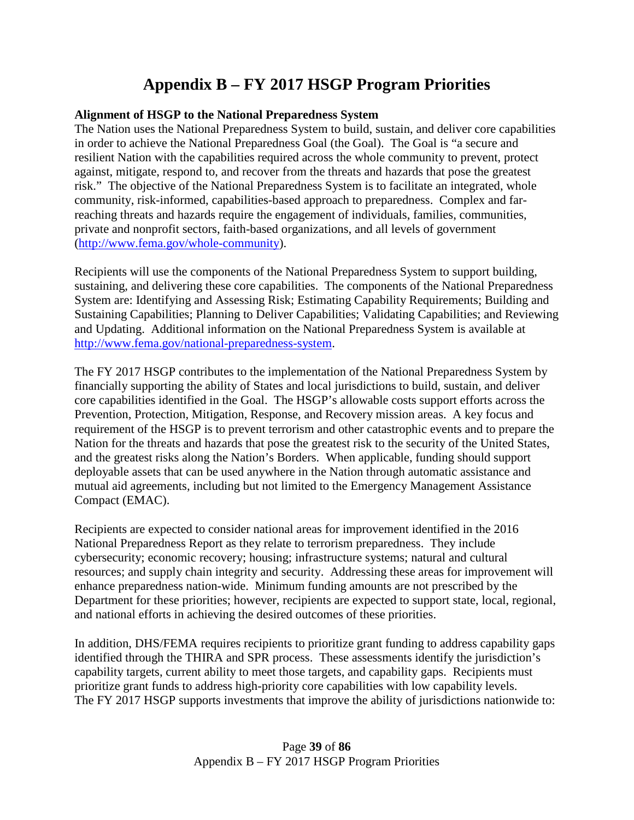# **Appendix B – FY 2017 HSGP Program Priorities**

#### **Alignment of HSGP to the National Preparedness System**

The Nation uses the National Preparedness System to build, sustain, and deliver core capabilities in order to achieve the National Preparedness Goal (the Goal). The Goal is "a secure and resilient Nation with the capabilities required across the whole community to prevent, protect against, mitigate, respond to, and recover from the threats and hazards that pose the greatest risk." The objective of the National Preparedness System is to facilitate an integrated, whole community, risk-informed, capabilities-based approach to preparedness. Complex and farreaching threats and hazards require the engagement of individuals, families, communities, private and nonprofit sectors, faith-based organizations, and all levels of government [\(http://www.fema.gov/whole-community\)](http://www.fema.gov/whole-community).

Recipients will use the components of the National Preparedness System to support building, sustaining, and delivering these core capabilities. The components of the National Preparedness System are: Identifying and Assessing Risk; Estimating Capability Requirements; Building and Sustaining Capabilities; Planning to Deliver Capabilities; Validating Capabilities; and Reviewing and Updating. Additional information on the National Preparedness System is available at [http://www.fema.gov/national-preparedness-system.](http://www.fema.gov/national-preparedness-system)

The FY 2017 HSGP contributes to the implementation of the National Preparedness System by financially supporting the ability of States and local jurisdictions to build, sustain, and deliver core capabilities identified in the Goal. The HSGP's allowable costs support efforts across the Prevention, Protection, Mitigation, Response, and Recovery mission areas. A key focus and requirement of the HSGP is to prevent terrorism and other catastrophic events and to prepare the Nation for the threats and hazards that pose the greatest risk to the security of the United States, and the greatest risks along the Nation's Borders. When applicable, funding should support deployable assets that can be used anywhere in the Nation through automatic assistance and mutual aid agreements, including but not limited to the Emergency Management Assistance Compact (EMAC).

Recipients are expected to consider national areas for improvement identified in the 2016 National Preparedness Report as they relate to terrorism preparedness. They include cybersecurity; economic recovery; housing; infrastructure systems; natural and cultural resources; and supply chain integrity and security. Addressing these areas for improvement will enhance preparedness nation-wide. Minimum funding amounts are not prescribed by the Department for these priorities; however, recipients are expected to support state, local, regional, and national efforts in achieving the desired outcomes of these priorities.

In addition, DHS/FEMA requires recipients to prioritize grant funding to address capability gaps identified through the THIRA and SPR process. These assessments identify the jurisdiction's capability targets, current ability to meet those targets, and capability gaps. Recipients must prioritize grant funds to address high-priority core capabilities with low capability levels. The FY 2017 HSGP supports investments that improve the ability of jurisdictions nationwide to: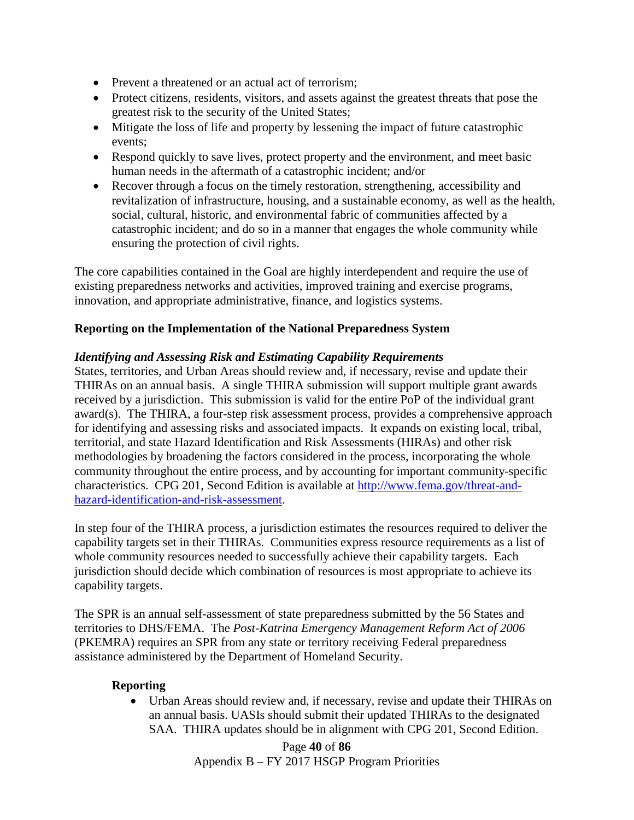- Prevent a threatened or an actual act of terrorism;
- Protect citizens, residents, visitors, and assets against the greatest threats that pose the greatest risk to the security of the United States;
- Mitigate the loss of life and property by lessening the impact of future catastrophic events;
- Respond quickly to save lives, protect property and the environment, and meet basic human needs in the aftermath of a catastrophic incident; and/or
- Recover through a focus on the timely restoration, strengthening, accessibility and revitalization of infrastructure, housing, and a sustainable economy, as well as the health, social, cultural, historic, and environmental fabric of communities affected by a catastrophic incident; and do so in a manner that engages the whole community while ensuring the protection of civil rights.

The core capabilities contained in the Goal are highly interdependent and require the use of existing preparedness networks and activities, improved training and exercise programs, innovation, and appropriate administrative, finance, and logistics systems.

## **Reporting on the Implementation of the National Preparedness System**

#### *Identifying and Assessing Risk and Estimating Capability Requirements*

States, territories, and Urban Areas should review and, if necessary, revise and update their THIRAs on an annual basis. A single THIRA submission will support multiple grant awards received by a jurisdiction. This submission is valid for the entire PoP of the individual grant award(s). The THIRA, a four-step risk assessment process, provides a comprehensive approach for identifying and assessing risks and associated impacts. It expands on existing local, tribal, territorial, and state Hazard Identification and Risk Assessments (HIRAs) and other risk methodologies by broadening the factors considered in the process, incorporating the whole community throughout the entire process, and by accounting for important community-specific characteristics. CPG 201, Second Edition is available at [http://www.fema.gov/threat-and](http://www.fema.gov/threat-and-hazard-identification-and-risk-assessment)[hazard-identification-and-risk-assessment.](http://www.fema.gov/threat-and-hazard-identification-and-risk-assessment)

In step four of the THIRA process, a jurisdiction estimates the resources required to deliver the capability targets set in their THIRAs. Communities express resource requirements as a list of whole community resources needed to successfully achieve their capability targets. Each jurisdiction should decide which combination of resources is most appropriate to achieve its capability targets.

The SPR is an annual self-assessment of state preparedness submitted by the 56 States and territories to DHS/FEMA. The *Post-Katrina Emergency Management Reform Act of 2006* (PKEMRA) requires an SPR from any state or territory receiving Federal preparedness assistance administered by the Department of Homeland Security.

#### **Reporting**

• Urban Areas should review and, if necessary, revise and update their THIRAs on an annual basis. UASIs should submit their updated THIRAs to the designated SAA. THIRA updates should be in alignment with CPG 201, Second Edition.

> Page **40** of **86** Appendix B – FY 2017 HSGP Program Priorities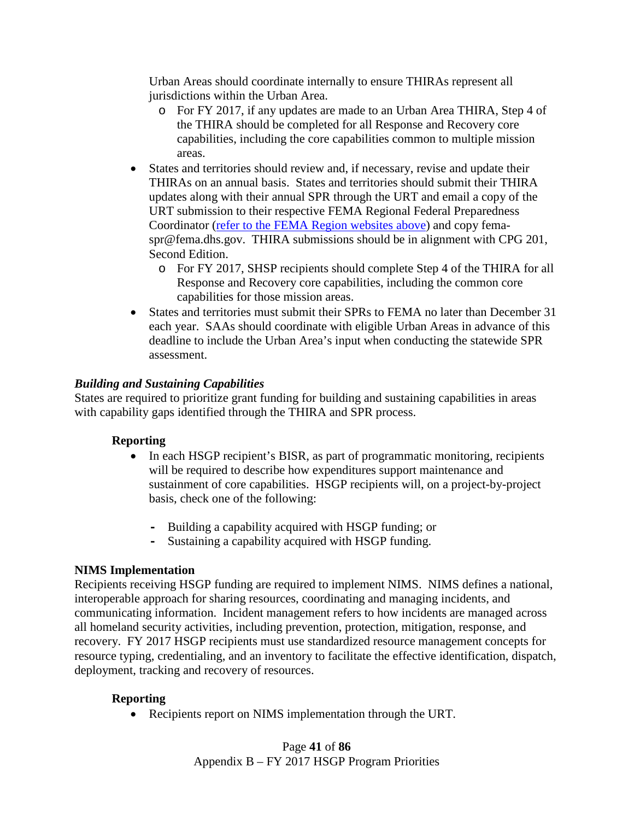Urban Areas should coordinate internally to ensure THIRAs represent all jurisdictions within the Urban Area.

- o For FY 2017, if any updates are made to an Urban Area THIRA, Step 4 of the THIRA should be completed for all Response and Recovery core capabilities, including the core capabilities common to multiple mission areas.
- States and territories should review and, if necessary, revise and update their THIRAs on an annual basis. States and territories should submit their THIRA updates along with their annual SPR through the URT and email a copy of the URT submission to their respective FEMA Regional Federal Preparedness Coordinator [\(refer to the FEMA Region websites above\)](mailto:refer%20to%20the%20FEMA%20Region%20websites%20above) and copy femaspr@fema.dhs.gov. THIRA submissions should be in alignment with CPG 201, Second Edition.
	- o For FY 2017, SHSP recipients should complete Step 4 of the THIRA for all Response and Recovery core capabilities, including the common core capabilities for those mission areas.
- States and territories must submit their SPRs to FEMA no later than December 31 each year. SAAs should coordinate with eligible Urban Areas in advance of this deadline to include the Urban Area's input when conducting the statewide SPR assessment.

## *Building and Sustaining Capabilities*

States are required to prioritize grant funding for building and sustaining capabilities in areas with capability gaps identified through the THIRA and SPR process.

## **Reporting**

- In each HSGP recipient's BISR, as part of programmatic monitoring, recipients will be required to describe how expenditures support maintenance and sustainment of core capabilities. HSGP recipients will, on a project-by-project basis, check one of the following:
	- **-** Building a capability acquired with HSGP funding; or
	- **-** Sustaining a capability acquired with HSGP funding.

## **NIMS Implementation**

Recipients receiving HSGP funding are required to implement NIMS. NIMS defines a national, interoperable approach for sharing resources, coordinating and managing incidents, and communicating information. Incident management refers to how incidents are managed across all homeland security activities, including prevention, protection, mitigation, response, and recovery. FY 2017 HSGP recipients must use standardized resource management concepts for resource typing, credentialing, and an inventory to facilitate the effective identification, dispatch, deployment, tracking and recovery of resources.

## **Reporting**

• Recipients report on NIMS implementation through the URT.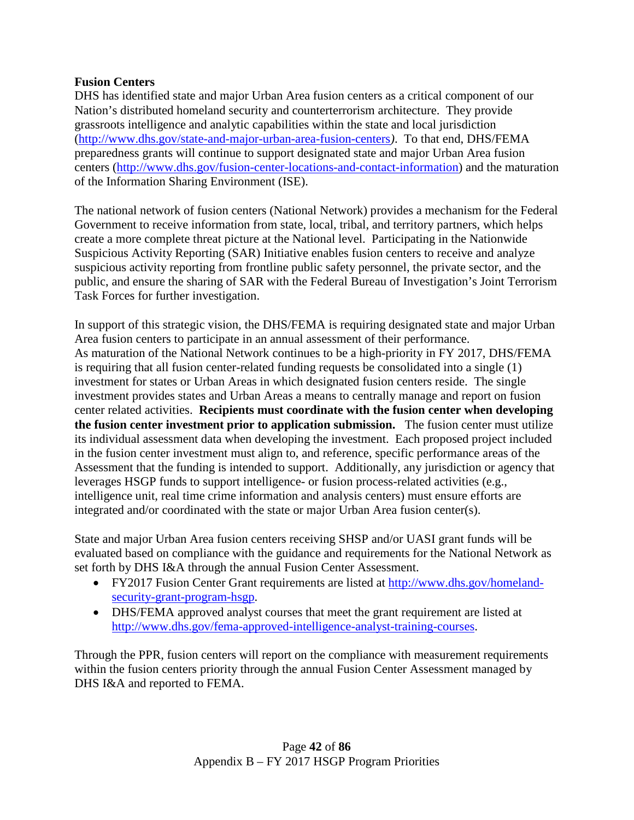#### **Fusion Centers**

DHS has identified state and major Urban Area fusion centers as a critical component of our Nation's distributed homeland security and counterterrorism architecture. They provide grassroots intelligence and analytic capabilities within the state and local jurisdiction [\(http://www.dhs.gov/state-and-major-urban-area-fusion-centers](http://www.dhs.gov/state-and-major-urban-area-fusion-centers)*)*. To that end, DHS/FEMA preparedness grants will continue to support designated state and major Urban Area fusion centers [\(http://www.dhs.gov/fusion-center-locations-and-contact-information\)](http://www.dhs.gov/fusion-center-locations-and-contact-information) and the maturation of the Information Sharing Environment (ISE).

The national network of fusion centers (National Network) provides a mechanism for the Federal Government to receive information from state, local, tribal, and territory partners, which helps create a more complete threat picture at the National level. Participating in the Nationwide Suspicious Activity Reporting (SAR) Initiative enables fusion centers to receive and analyze suspicious activity reporting from frontline public safety personnel, the private sector, and the public, and ensure the sharing of SAR with the Federal Bureau of Investigation's Joint Terrorism Task Forces for further investigation.

In support of this strategic vision, the DHS/FEMA is requiring designated state and major Urban Area fusion centers to participate in an annual assessment of their performance. As maturation of the National Network continues to be a high-priority in FY 2017, DHS/FEMA is requiring that all fusion center-related funding requests be consolidated into a single (1) investment for states or Urban Areas in which designated fusion centers reside. The single investment provides states and Urban Areas a means to centrally manage and report on fusion center related activities. **Recipients must coordinate with the fusion center when developing the fusion center investment prior to application submission.** The fusion center must utilize its individual assessment data when developing the investment. Each proposed project included in the fusion center investment must align to, and reference, specific performance areas of the Assessment that the funding is intended to support. Additionally, any jurisdiction or agency that leverages HSGP funds to support intelligence- or fusion process-related activities (e.g., intelligence unit, real time crime information and analysis centers) must ensure efforts are integrated and/or coordinated with the state or major Urban Area fusion center(s).

State and major Urban Area fusion centers receiving SHSP and/or UASI grant funds will be evaluated based on compliance with the guidance and requirements for the National Network as set forth by DHS I&A through the annual Fusion Center Assessment.

- FY2017 Fusion Center Grant requirements are listed at [http://www.dhs.gov/homeland](http://www.dhs.gov/homeland-security-grant-program-hsgp)[security-grant-program-hsgp.](http://www.dhs.gov/homeland-security-grant-program-hsgp)
- DHS/FEMA approved analyst courses that meet the grant requirement are listed at [http://www.dhs.gov/fema-approved-intelligence-analyst-training-courses.](http://www.dhs.gov/fema-approved-intelligence-analyst-training-courses)

Through the PPR, fusion centers will report on the compliance with measurement requirements within the fusion centers priority through the annual Fusion Center Assessment managed by DHS I&A and reported to FEMA.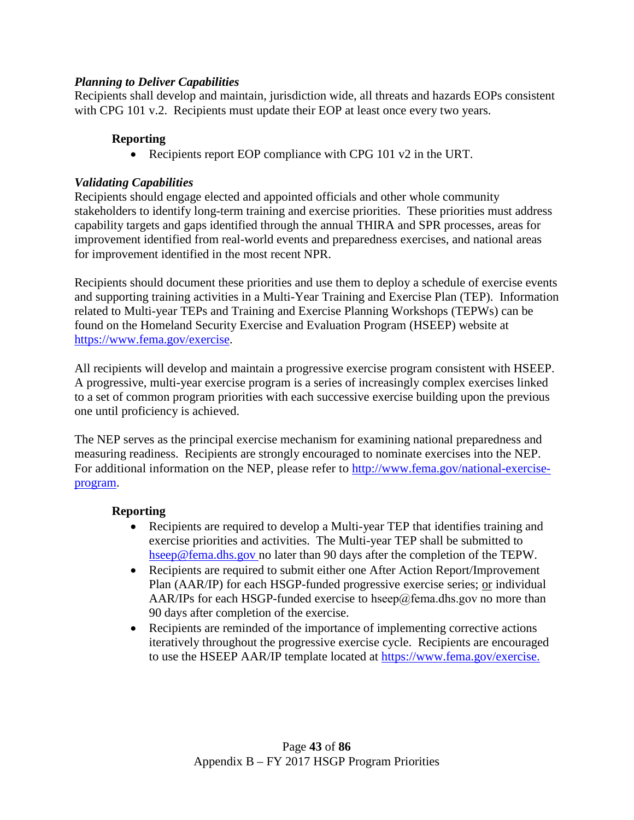## *Planning to Deliver Capabilities*

Recipients shall develop and maintain, jurisdiction wide, all threats and hazards EOPs consistent with CPG 101 v.2. Recipients must update their EOP at least once every two years.

#### **Reporting**

• Recipients report EOP compliance with CPG 101 v2 in the URT.

#### *Validating Capabilities*

Recipients should engage elected and appointed officials and other whole community stakeholders to identify long-term training and exercise priorities. These priorities must address capability targets and gaps identified through the annual THIRA and SPR processes, areas for improvement identified from real-world events and preparedness exercises, and national areas for improvement identified in the most recent NPR.

Recipients should document these priorities and use them to deploy a schedule of exercise events and supporting training activities in a Multi-Year Training and Exercise Plan (TEP). Information related to Multi-year TEPs and Training and Exercise Planning Workshops (TEPWs) can be found on the Homeland Security Exercise and Evaluation Program (HSEEP) website at [https://www.fema.gov/exercise.](https://www.fema.gov/exercise)

All recipients will develop and maintain a progressive exercise program consistent with HSEEP. A progressive, multi-year exercise program is a series of increasingly complex exercises linked to a set of common program priorities with each successive exercise building upon the previous one until proficiency is achieved.

The NEP serves as the principal exercise mechanism for examining national preparedness and measuring readiness. Recipients are strongly encouraged to nominate exercises into the NEP. For additional information on the NEP, please refer to [http://www.fema.gov/national-exercise](http://www.fema.gov/national-exercise-program)[program.](http://www.fema.gov/national-exercise-program)

#### **Reporting**

- Recipients are required to develop a Multi-year TEP that identifies training and exercise priorities and activities. The Multi-year TEP shall be submitted to [hseep@fema.dhs.gov](mailto:hseep@fema.dhs.gov) no later than 90 days after the completion of the TEPW.
- Recipients are required to submit either one After Action Report/Improvement Plan (AAR/IP) for each HSGP-funded progressive exercise series; or individual AAR/IPs for each HSGP-funded exercise to [hseep@fema.dhs.gov](file://HQEI3FR7/GPDShare/FY%202015%20Grant%20Programs/HSGP/FOA/hseep@fema.dhs.gov) no more than 90 days after completion of the exercise.
- Recipients are reminded of the importance of implementing corrective actions iteratively throughout the progressive exercise cycle. Recipients are encouraged to use the HSEEP AAR/IP template located at [https://www.fema.gov/exercise.](https://www.fema.gov/exercise)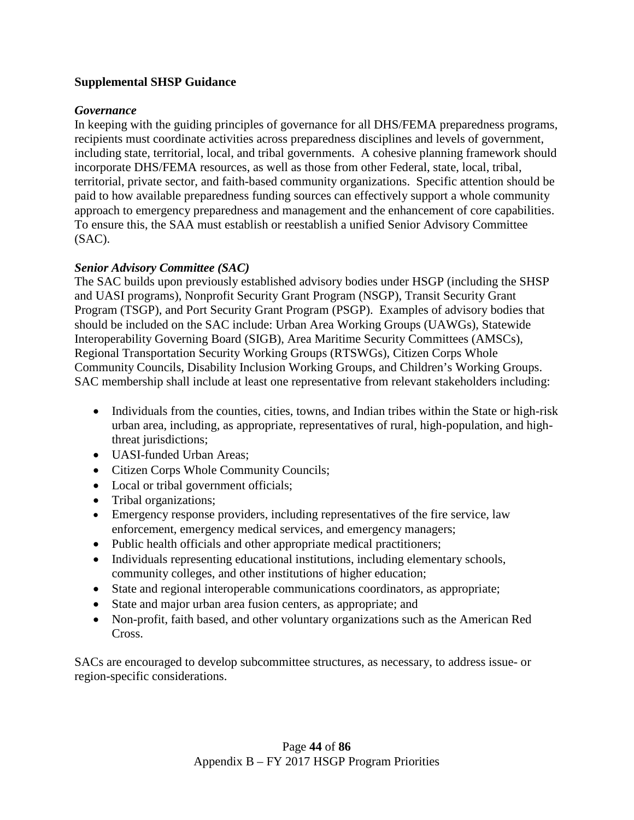## **Supplemental SHSP Guidance**

## *Governance*

In keeping with the guiding principles of governance for all DHS/FEMA preparedness programs, recipients must coordinate activities across preparedness disciplines and levels of government, including state, territorial, local, and tribal governments. A cohesive planning framework should incorporate DHS/FEMA resources, as well as those from other Federal, state, local, tribal, territorial, private sector, and faith-based community organizations. Specific attention should be paid to how available preparedness funding sources can effectively support a whole community approach to emergency preparedness and management and the enhancement of core capabilities. To ensure this, the SAA must establish or reestablish a unified Senior Advisory Committee (SAC).

## *Senior Advisory Committee (SAC)*

The SAC builds upon previously established advisory bodies under HSGP (including the SHSP and UASI programs), Nonprofit Security Grant Program (NSGP), Transit Security Grant Program (TSGP), and Port Security Grant Program (PSGP). Examples of advisory bodies that should be included on the SAC include: Urban Area Working Groups (UAWGs), Statewide Interoperability Governing Board (SIGB), Area Maritime Security Committees (AMSCs), Regional Transportation Security Working Groups (RTSWGs), Citizen Corps Whole Community Councils, Disability Inclusion Working Groups, and Children's Working Groups. SAC membership shall include at least one representative from relevant stakeholders including:

- Individuals from the counties, cities, towns, and Indian tribes within the State or high-risk urban area, including, as appropriate, representatives of rural, high-population, and highthreat jurisdictions;
- UASI-funded Urban Areas;
- Citizen Corps Whole Community Councils;
- Local or tribal government officials;
- Tribal organizations;
- Emergency response providers, including representatives of the fire service, law enforcement, emergency medical services, and emergency managers;
- Public health officials and other appropriate medical practitioners;
- Individuals representing educational institutions, including elementary schools, community colleges, and other institutions of higher education;
- State and regional interoperable communications coordinators, as appropriate;
- State and major urban area fusion centers, as appropriate; and
- Non-profit, faith based, and other voluntary organizations such as the American Red Cross.

SACs are encouraged to develop subcommittee structures, as necessary, to address issue- or region-specific considerations.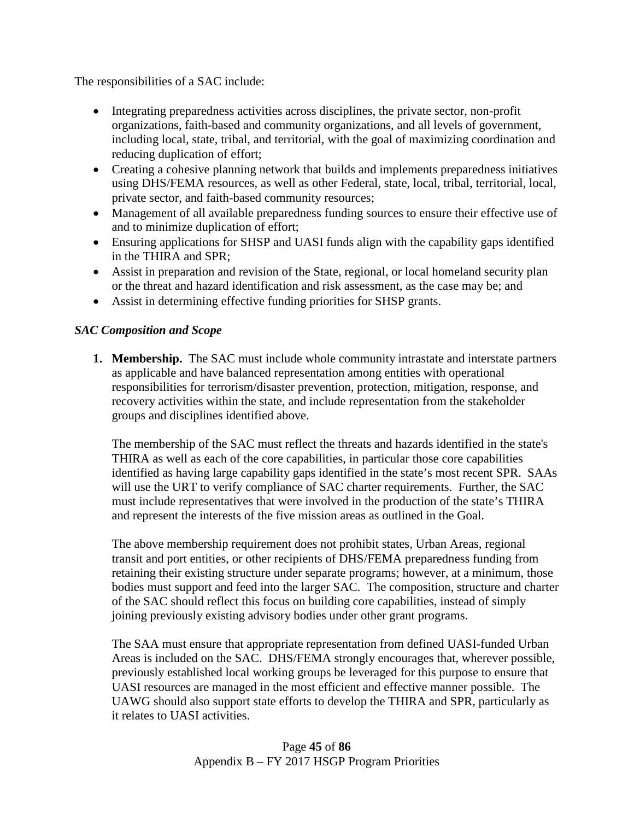The responsibilities of a SAC include:

- Integrating preparedness activities across disciplines, the private sector, non-profit organizations, faith-based and community organizations, and all levels of government, including local, state, tribal, and territorial, with the goal of maximizing coordination and reducing duplication of effort;
- Creating a cohesive planning network that builds and implements preparedness initiatives using DHS/FEMA resources, as well as other Federal, state, local, tribal, territorial, local, private sector, and faith-based community resources;
- Management of all available preparedness funding sources to ensure their effective use of and to minimize duplication of effort;
- Ensuring applications for SHSP and UASI funds align with the capability gaps identified in the THIRA and SPR;
- Assist in preparation and revision of the State, regional, or local homeland security plan or the threat and hazard identification and risk assessment, as the case may be; and
- Assist in determining effective funding priorities for SHSP grants.

## *SAC Composition and Scope*

**1. Membership.** The SAC must include whole community intrastate and interstate partners as applicable and have balanced representation among entities with operational responsibilities for terrorism/disaster prevention, protection, mitigation, response, and recovery activities within the state, and include representation from the stakeholder groups and disciplines identified above.

The membership of the SAC must reflect the threats and hazards identified in the state's THIRA as well as each of the core capabilities, in particular those core capabilities identified as having large capability gaps identified in the state's most recent SPR. SAAs will use the URT to verify compliance of SAC charter requirements. Further, the SAC must include representatives that were involved in the production of the state's THIRA and represent the interests of the five mission areas as outlined in the Goal.

The above membership requirement does not prohibit states, Urban Areas, regional transit and port entities, or other recipients of DHS/FEMA preparedness funding from retaining their existing structure under separate programs; however, at a minimum, those bodies must support and feed into the larger SAC. The composition, structure and charter of the SAC should reflect this focus on building core capabilities, instead of simply joining previously existing advisory bodies under other grant programs.

The SAA must ensure that appropriate representation from defined UASI-funded Urban Areas is included on the SAC. DHS/FEMA strongly encourages that, wherever possible, previously established local working groups be leveraged for this purpose to ensure that UASI resources are managed in the most efficient and effective manner possible. The UAWG should also support state efforts to develop the THIRA and SPR, particularly as it relates to UASI activities.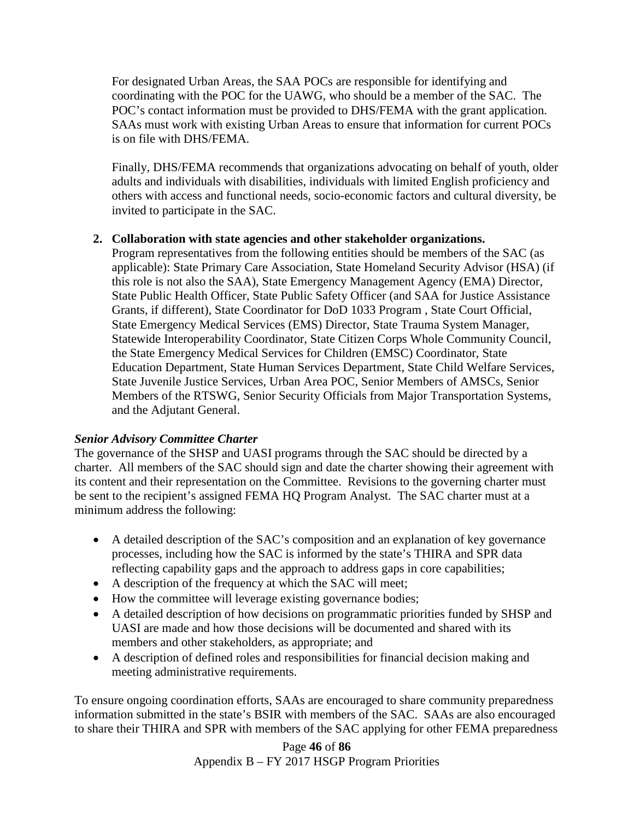For designated Urban Areas, the SAA POCs are responsible for identifying and coordinating with the POC for the UAWG, who should be a member of the SAC. The POC's contact information must be provided to DHS/FEMA with the grant application. SAAs must work with existing Urban Areas to ensure that information for current POCs is on file with DHS/FEMA.

Finally, DHS/FEMA recommends that organizations advocating on behalf of youth, older adults and individuals with disabilities, individuals with limited English proficiency and others with access and functional needs, socio-economic factors and cultural diversity, be invited to participate in the SAC.

#### **2. Collaboration with state agencies and other stakeholder organizations.**

Program representatives from the following entities should be members of the SAC (as applicable): State Primary Care Association, State Homeland Security Advisor (HSA) (if this role is not also the SAA), State Emergency Management Agency (EMA) Director, State Public Health Officer, State Public Safety Officer (and SAA for Justice Assistance Grants, if different), State Coordinator for DoD 1033 Program , State Court Official, State Emergency Medical Services (EMS) Director, State Trauma System Manager, Statewide Interoperability Coordinator, State Citizen Corps Whole Community Council, the State Emergency Medical Services for Children (EMSC) Coordinator, State Education Department, State Human Services Department, State Child Welfare Services, State Juvenile Justice Services, Urban Area POC, Senior Members of AMSCs, Senior Members of the RTSWG, Senior Security Officials from Major Transportation Systems, and the Adjutant General.

## *Senior Advisory Committee Charter*

The governance of the SHSP and UASI programs through the SAC should be directed by a charter. All members of the SAC should sign and date the charter showing their agreement with its content and their representation on the Committee. Revisions to the governing charter must be sent to the recipient's assigned FEMA HQ Program Analyst. The SAC charter must at a minimum address the following:

- A detailed description of the SAC's composition and an explanation of key governance processes, including how the SAC is informed by the state's THIRA and SPR data reflecting capability gaps and the approach to address gaps in core capabilities;
- A description of the frequency at which the SAC will meet;
- How the committee will leverage existing governance bodies;
- A detailed description of how decisions on programmatic priorities funded by SHSP and UASI are made and how those decisions will be documented and shared with its members and other stakeholders, as appropriate; and
- A description of defined roles and responsibilities for financial decision making and meeting administrative requirements.

To ensure ongoing coordination efforts, SAAs are encouraged to share community preparedness information submitted in the state's BSIR with members of the SAC. SAAs are also encouraged to share their THIRA and SPR with members of the SAC applying for other FEMA preparedness

> Page **46** of **86** Appendix B – FY 2017 HSGP Program Priorities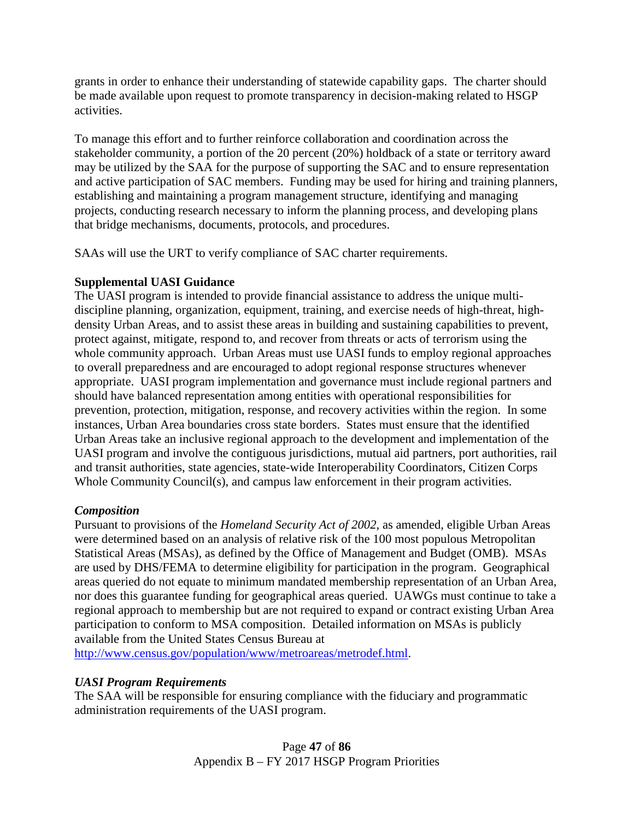grants in order to enhance their understanding of statewide capability gaps. The charter should be made available upon request to promote transparency in decision-making related to HSGP activities.

To manage this effort and to further reinforce collaboration and coordination across the stakeholder community, a portion of the 20 percent (20%) holdback of a state or territory award may be utilized by the SAA for the purpose of supporting the SAC and to ensure representation and active participation of SAC members. Funding may be used for hiring and training planners, establishing and maintaining a program management structure, identifying and managing projects, conducting research necessary to inform the planning process, and developing plans that bridge mechanisms, documents, protocols, and procedures.

SAAs will use the URT to verify compliance of SAC charter requirements.

# **Supplemental UASI Guidance**

The UASI program is intended to provide financial assistance to address the unique multidiscipline planning, organization, equipment, training, and exercise needs of high-threat, highdensity Urban Areas, and to assist these areas in building and sustaining capabilities to prevent, protect against, mitigate, respond to, and recover from threats or acts of terrorism using the whole community approach. Urban Areas must use UASI funds to employ regional approaches to overall preparedness and are encouraged to adopt regional response structures whenever appropriate. UASI program implementation and governance must include regional partners and should have balanced representation among entities with operational responsibilities for prevention, protection, mitigation, response, and recovery activities within the region. In some instances, Urban Area boundaries cross state borders. States must ensure that the identified Urban Areas take an inclusive regional approach to the development and implementation of the UASI program and involve the contiguous jurisdictions, mutual aid partners, port authorities, rail and transit authorities, state agencies, state-wide Interoperability Coordinators, Citizen Corps Whole Community Council(s), and campus law enforcement in their program activities.

# *Composition*

Pursuant to provisions of the *Homeland Security Act of 2002*, as amended, eligible Urban Areas were determined based on an analysis of relative risk of the 100 most populous Metropolitan Statistical Areas (MSAs), as defined by the Office of Management and Budget (OMB). MSAs are used by DHS/FEMA to determine eligibility for participation in the program. Geographical areas queried do not equate to minimum mandated membership representation of an Urban Area, nor does this guarantee funding for geographical areas queried. UAWGs must continue to take a regional approach to membership but are not required to expand or contract existing Urban Area participation to conform to MSA composition. Detailed information on MSAs is publicly available from the United States Census Bureau at

[http://www.census.gov/population/www/metroareas/metrodef.html.](http://www.census.gov/population/www/metroareas/metrodef.html)

## *UASI Program Requirements*

The SAA will be responsible for ensuring compliance with the fiduciary and programmatic administration requirements of the UASI program.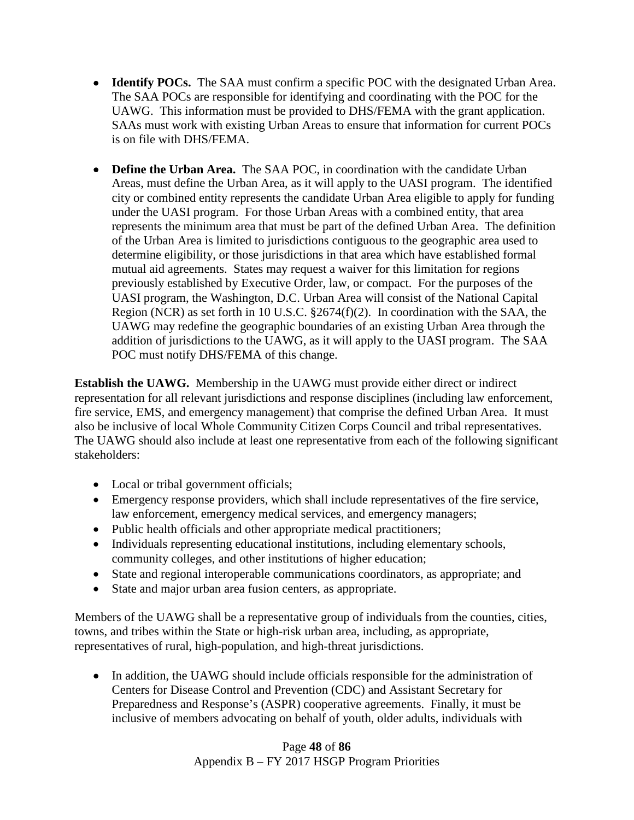- **Identify POCs.** The SAA must confirm a specific POC with the designated Urban Area. The SAA POCs are responsible for identifying and coordinating with the POC for the UAWG. This information must be provided to DHS/FEMA with the grant application. SAAs must work with existing Urban Areas to ensure that information for current POCs is on file with DHS/FEMA.
- **Define the Urban Area.** The SAA POC, in coordination with the candidate Urban Areas, must define the Urban Area, as it will apply to the UASI program. The identified city or combined entity represents the candidate Urban Area eligible to apply for funding under the UASI program. For those Urban Areas with a combined entity, that area represents the minimum area that must be part of the defined Urban Area. The definition of the Urban Area is limited to jurisdictions contiguous to the geographic area used to determine eligibility, or those jurisdictions in that area which have established formal mutual aid agreements. States may request a waiver for this limitation for regions previously established by Executive Order, law, or compact. For the purposes of the UASI program, the Washington, D.C. Urban Area will consist of the National Capital Region (NCR) as set forth in 10 U.S.C. §2674(f)(2). In coordination with the SAA, the UAWG may redefine the geographic boundaries of an existing Urban Area through the addition of jurisdictions to the UAWG, as it will apply to the UASI program. The SAA POC must notify DHS/FEMA of this change.

**Establish the UAWG.** Membership in the UAWG must provide either direct or indirect representation for all relevant jurisdictions and response disciplines (including law enforcement, fire service, EMS, and emergency management) that comprise the defined Urban Area. It must also be inclusive of local Whole Community Citizen Corps Council and tribal representatives. The UAWG should also include at least one representative from each of the following significant stakeholders:

- Local or tribal government officials;
- Emergency response providers, which shall include representatives of the fire service, law enforcement, emergency medical services, and emergency managers;
- Public health officials and other appropriate medical practitioners;
- Individuals representing educational institutions, including elementary schools, community colleges, and other institutions of higher education;
- State and regional interoperable communications coordinators, as appropriate; and
- State and major urban area fusion centers, as appropriate.

Members of the UAWG shall be a representative group of individuals from the counties, cities, towns, and tribes within the State or high-risk urban area, including, as appropriate, representatives of rural, high-population, and high-threat jurisdictions.

• In addition, the UAWG should include officials responsible for the administration of Centers for Disease Control and Prevention (CDC) and Assistant Secretary for Preparedness and Response's (ASPR) cooperative agreements. Finally, it must be inclusive of members advocating on behalf of youth, older adults, individuals with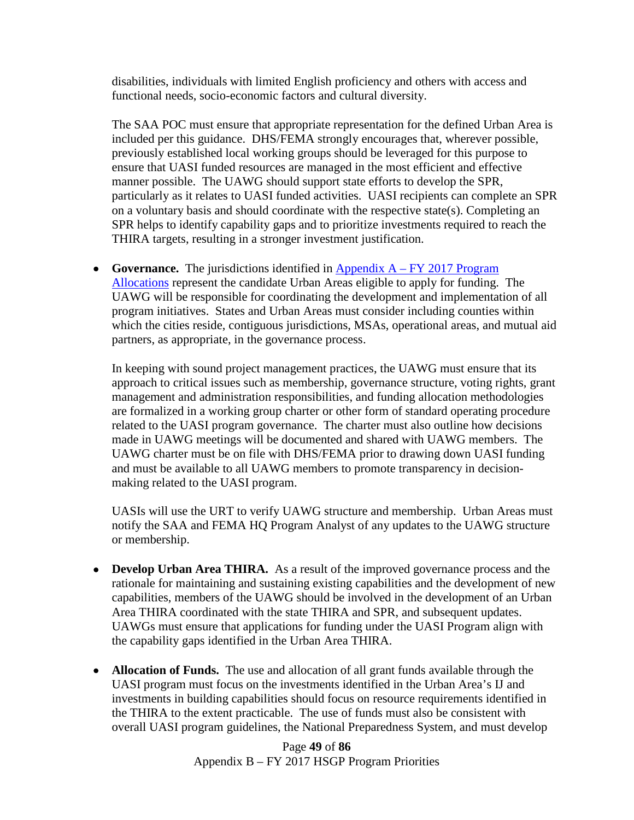disabilities, individuals with limited English proficiency and others with access and functional needs, socio-economic factors and cultural diversity.

The SAA POC must ensure that appropriate representation for the defined Urban Area is included per this guidance. DHS/FEMA strongly encourages that, wherever possible, previously established local working groups should be leveraged for this purpose to ensure that UASI funded resources are managed in the most efficient and effective manner possible. The UAWG should support state efforts to develop the SPR, particularly as it relates to UASI funded activities. UASI recipients can complete an SPR on a voluntary basis and should coordinate with the respective state(s). Completing an SPR helps to identify capability gaps and to prioritize investments required to reach the THIRA targets, resulting in a stronger investment justification.

• **Governance.** The jurisdictions identified in **Appendix A – FY 2017 Program** [Allocations](#page-32-0) represent the candidate Urban Areas eligible to apply for funding. The UAWG will be responsible for coordinating the development and implementation of all program initiatives. States and Urban Areas must consider including counties within which the cities reside, contiguous jurisdictions, MSAs, operational areas, and mutual aid partners, as appropriate, in the governance process.

In keeping with sound project management practices, the UAWG must ensure that its approach to critical issues such as membership, governance structure, voting rights, grant management and administration responsibilities, and funding allocation methodologies are formalized in a working group charter or other form of standard operating procedure related to the UASI program governance. The charter must also outline how decisions made in UAWG meetings will be documented and shared with UAWG members. The UAWG charter must be on file with DHS/FEMA prior to drawing down UASI funding and must be available to all UAWG members to promote transparency in decisionmaking related to the UASI program.

UASIs will use the URT to verify UAWG structure and membership. Urban Areas must notify the SAA and FEMA HQ Program Analyst of any updates to the UAWG structure or membership.

- **Develop Urban Area THIRA.** As a result of the improved governance process and the rationale for maintaining and sustaining existing capabilities and the development of new capabilities, members of the UAWG should be involved in the development of an Urban Area THIRA coordinated with the state THIRA and SPR, and subsequent updates. UAWGs must ensure that applications for funding under the UASI Program align with the capability gaps identified in the Urban Area THIRA.
- **Allocation of Funds.** The use and allocation of all grant funds available through the UASI program must focus on the investments identified in the Urban Area's IJ and investments in building capabilities should focus on resource requirements identified in the THIRA to the extent practicable. The use of funds must also be consistent with overall UASI program guidelines, the National Preparedness System, and must develop

Page **49** of **86** Appendix B – FY 2017 HSGP Program Priorities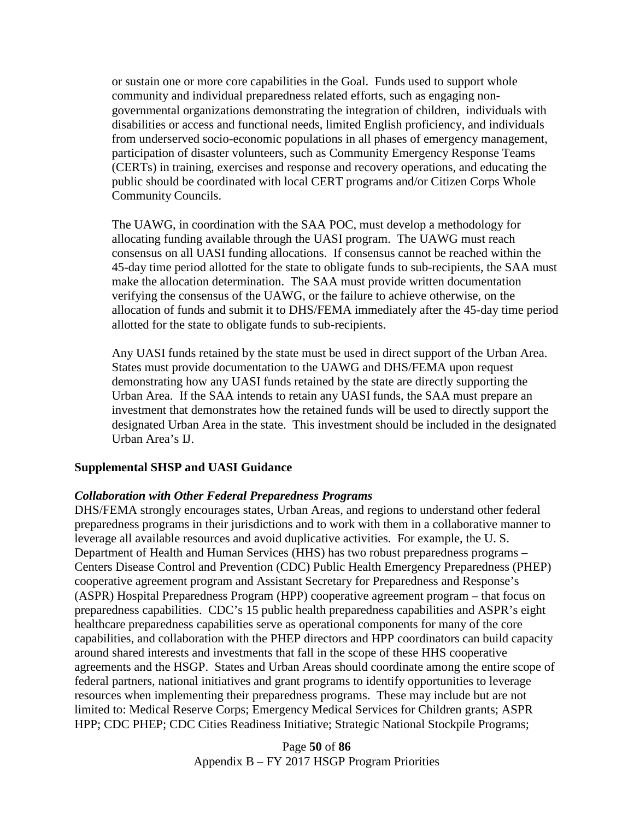or sustain one or more core capabilities in the Goal. Funds used to support whole community and individual preparedness related efforts, such as engaging nongovernmental organizations demonstrating the integration of children, individuals with disabilities or access and functional needs, limited English proficiency, and individuals from underserved socio-economic populations in all phases of emergency management, participation of disaster volunteers, such as Community Emergency Response Teams (CERTs) in training, exercises and response and recovery operations, and educating the public should be coordinated with local CERT programs and/or Citizen Corps Whole Community Councils.

The UAWG, in coordination with the SAA POC, must develop a methodology for allocating funding available through the UASI program. The UAWG must reach consensus on all UASI funding allocations. If consensus cannot be reached within the 45-day time period allotted for the state to obligate funds to sub-recipients, the SAA must make the allocation determination. The SAA must provide written documentation verifying the consensus of the UAWG, or the failure to achieve otherwise, on the allocation of funds and submit it to DHS/FEMA immediately after the 45-day time period allotted for the state to obligate funds to sub-recipients.

Any UASI funds retained by the state must be used in direct support of the Urban Area. States must provide documentation to the UAWG and DHS/FEMA upon request demonstrating how any UASI funds retained by the state are directly supporting the Urban Area. If the SAA intends to retain any UASI funds, the SAA must prepare an investment that demonstrates how the retained funds will be used to directly support the designated Urban Area in the state. This investment should be included in the designated Urban Area's IJ.

#### **Supplemental SHSP and UASI Guidance**

#### *Collaboration with Other Federal Preparedness Programs*

DHS/FEMA strongly encourages states, Urban Areas, and regions to understand other federal preparedness programs in their jurisdictions and to work with them in a collaborative manner to leverage all available resources and avoid duplicative activities. For example, the U. S. Department of Health and Human Services (HHS) has two robust preparedness programs – Centers Disease Control and Prevention (CDC) Public Health Emergency Preparedness (PHEP) cooperative agreement program and Assistant Secretary for Preparedness and Response's (ASPR) Hospital Preparedness Program (HPP) cooperative agreement program – that focus on preparedness capabilities. CDC's 15 public health preparedness capabilities and ASPR's eight healthcare preparedness capabilities serve as operational components for many of the core capabilities, and collaboration with the PHEP directors and HPP coordinators can build capacity around shared interests and investments that fall in the scope of these HHS cooperative agreements and the HSGP. States and Urban Areas should coordinate among the entire scope of federal partners, national initiatives and grant programs to identify opportunities to leverage resources when implementing their preparedness programs. These may include but are not limited to: Medical Reserve Corps; Emergency Medical Services for Children grants; ASPR HPP; CDC PHEP; CDC Cities Readiness Initiative; Strategic National Stockpile Programs;

> Page **50** of **86** Appendix B – FY 2017 HSGP Program Priorities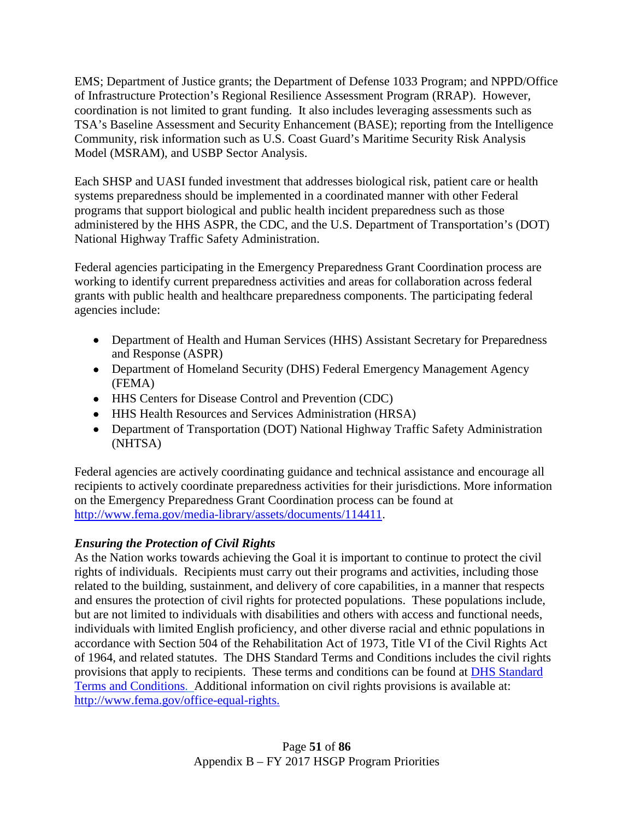EMS; Department of Justice grants; the Department of Defense 1033 Program; and NPPD/Office of Infrastructure Protection's Regional Resilience Assessment Program (RRAP). However, coordination is not limited to grant funding. It also includes leveraging assessments such as TSA's Baseline Assessment and Security Enhancement (BASE); reporting from the Intelligence Community, risk information such as U.S. Coast Guard's Maritime Security Risk Analysis Model (MSRAM), and USBP Sector Analysis.

Each SHSP and UASI funded investment that addresses biological risk, patient care or health systems preparedness should be implemented in a coordinated manner with other Federal programs that support biological and public health incident preparedness such as those administered by the HHS ASPR, the CDC, and the U.S. Department of Transportation's (DOT) National Highway Traffic Safety Administration.

Federal agencies participating in the Emergency Preparedness Grant Coordination process are working to identify current preparedness activities and areas for collaboration across federal grants with public health and healthcare preparedness components. The participating federal agencies include:

- Department of Health and Human Services (HHS) Assistant Secretary for Preparedness and Response (ASPR)
- Department of Homeland Security (DHS) Federal Emergency Management Agency (FEMA)
- HHS Centers for Disease Control and Prevention (CDC)
- HHS Health Resources and Services Administration (HRSA)
- Department of Transportation (DOT) National Highway Traffic Safety Administration (NHTSA)

Federal agencies are actively coordinating guidance and technical assistance and encourage all recipients to actively coordinate preparedness activities for their jurisdictions. More information on the Emergency Preparedness Grant Coordination process can be found at [http://www.fema.gov/media-library/assets/documents/114411.](http://www.fema.gov/media-library/assets/documents/114411)

# *Ensuring the Protection of Civil Rights*

As the Nation works towards achieving the Goal it is important to continue to protect the civil rights of individuals. Recipients must carry out their programs and activities, including those related to the building, sustainment, and delivery of core capabilities, in a manner that respects and ensures the protection of civil rights for protected populations. These populations include, but are not limited to individuals with disabilities and others with access and functional needs, individuals with limited English proficiency, and other diverse racial and ethnic populations in accordance with Section 504 of the Rehabilitation Act of 1973, Title VI of the Civil Rights Act of 1964, and related statutes. The DHS Standard Terms and Conditions includes the civil rights provisions that apply to recipients. These terms and conditions can be found at [DHS Standard](http://www.dhs.gov/publication/fy15-dhs-standard-terms-and-conditions)  [Terms and Conditions.](http://www.dhs.gov/publication/fy15-dhs-standard-terms-and-conditions) Additional information on civil rights provisions is available at: [http://www.fema.gov/office-equal-rights.](http://www.fema.gov/office-equal-rights)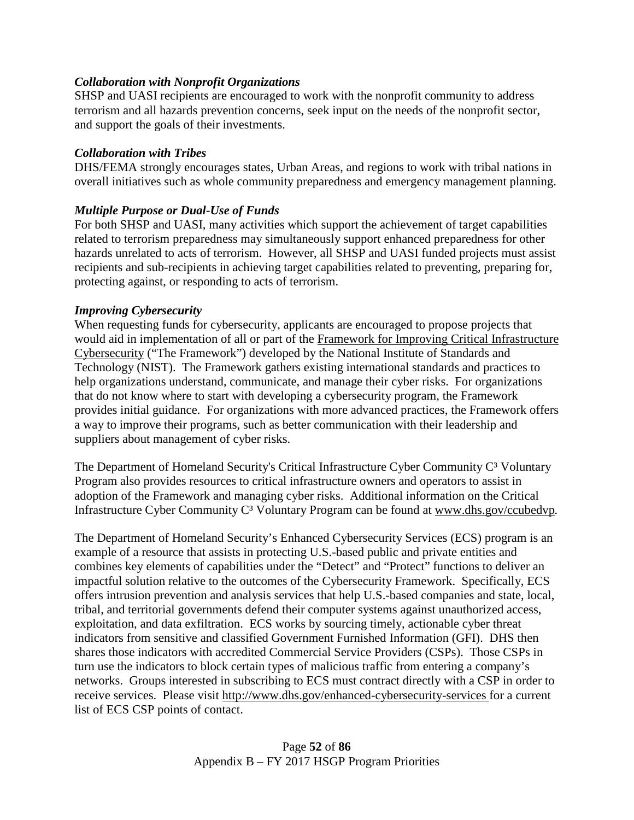## *Collaboration with Nonprofit Organizations*

SHSP and UASI recipients are encouraged to work with the nonprofit community to address terrorism and all hazards prevention concerns, seek input on the needs of the nonprofit sector, and support the goals of their investments.

#### *Collaboration with Tribes*

DHS/FEMA strongly encourages states, Urban Areas, and regions to work with tribal nations in overall initiatives such as whole community preparedness and emergency management planning.

## *Multiple Purpose or Dual-Use of Funds*

For both SHSP and UASI, many activities which support the achievement of target capabilities related to terrorism preparedness may simultaneously support enhanced preparedness for other hazards unrelated to acts of terrorism. However, all SHSP and UASI funded projects must assist recipients and sub-recipients in achieving target capabilities related to preventing, preparing for, protecting against, or responding to acts of terrorism.

#### *Improving Cybersecurity*

When requesting funds for cybersecurity, applicants are encouraged to propose projects that would aid in implementation of all or part of the Framework [for Improving Critical Infrastructure](http://www.nist.gov/cyberframework/)  [Cybersecurity](http://www.nist.gov/cyberframework/) ("The Framework") developed by the National Institute of Standards and Technology (NIST). The Framework gathers existing international standards and practices to help organizations understand, communicate, and manage their cyber risks. For organizations that do not know where to start with developing a cybersecurity program, the Framework provides initial guidance. For organizations with more advanced practices, the Framework offers a way to improve their programs, such as better communication with their leadership and suppliers about management of cyber risks.

The Department of Homeland Security's Critical Infrastructure Cyber Community C<sup>3</sup> Voluntary Program also provides resources to critical infrastructure owners and operators to assist in adoption of the Framework and managing cyber risks. Additional information on the Critical Infrastructure Cyber Community C³ Voluntary Program can be found at [www.dhs.gov/ccubedvp](http://www.dhs.gov/ccubedvp)*.*

The Department of Homeland Security's Enhanced Cybersecurity Services (ECS) program is an example of a resource that assists in protecting U.S.-based public and private entities and combines key elements of capabilities under the "Detect" and "Protect" functions to deliver an impactful solution relative to the outcomes of the Cybersecurity Framework. Specifically, ECS offers intrusion prevention and analysis services that help U.S.-based companies and state, local, tribal, and territorial governments defend their computer systems against unauthorized access, exploitation, and data exfiltration. ECS works by sourcing timely, actionable cyber threat indicators from sensitive and classified Government Furnished Information (GFI). DHS then shares those indicators with accredited Commercial Service Providers (CSPs). Those CSPs in turn use the indicators to block certain types of malicious traffic from entering a company's networks. Groups interested in subscribing to ECS must contract directly with a CSP in order to receive services. Please visit <http://www.dhs.gov/enhanced-cybersecurity-services> for a current list of ECS CSP points of contact.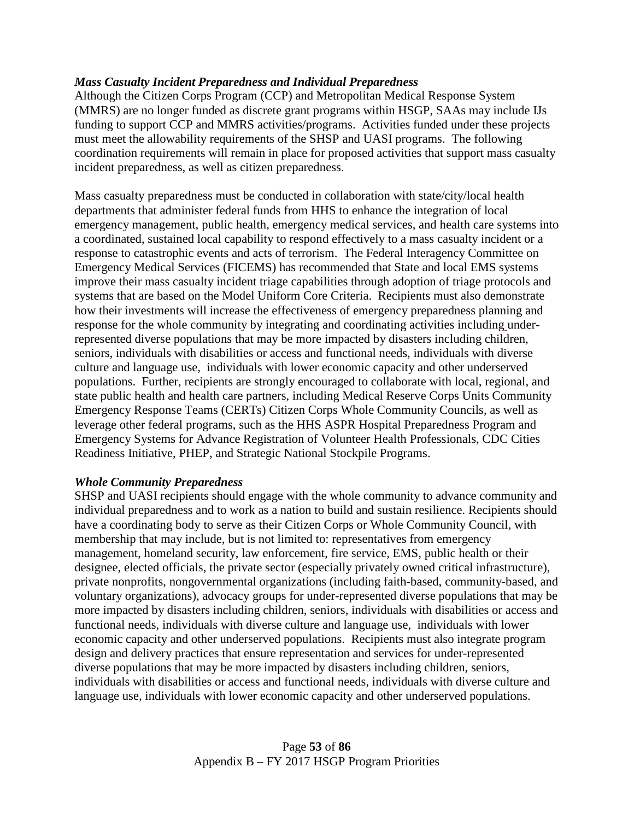## *Mass Casualty Incident Preparedness and Individual Preparedness*

Although the Citizen Corps Program (CCP) and Metropolitan Medical Response System (MMRS) are no longer funded as discrete grant programs within HSGP, SAAs may include IJs funding to support CCP and MMRS activities/programs. Activities funded under these projects must meet the allowability requirements of the SHSP and UASI programs. The following coordination requirements will remain in place for proposed activities that support mass casualty incident preparedness, as well as citizen preparedness.

Mass casualty preparedness must be conducted in collaboration with state/city/local health departments that administer federal funds from HHS to enhance the integration of local emergency management, public health, emergency medical services, and health care systems into a coordinated, sustained local capability to respond effectively to a mass casualty incident or a response to catastrophic events and acts of terrorism. The Federal Interagency Committee on Emergency Medical Services (FICEMS) has recommended that State and local EMS systems improve their mass casualty incident triage capabilities through adoption of triage protocols and systems that are based on the Model Uniform Core Criteria. Recipients must also demonstrate how their investments will increase the effectiveness of emergency preparedness planning and response for the whole community by integrating and coordinating activities including underrepresented diverse populations that may be more impacted by disasters including children, seniors, individuals with disabilities or access and functional needs, individuals with diverse culture and language use, individuals with lower economic capacity and other underserved populations. Further, recipients are strongly encouraged to collaborate with local, regional, and state public health and health care partners, including Medical Reserve Corps Units Community Emergency Response Teams (CERTs) Citizen Corps Whole Community Councils, as well as leverage other federal programs, such as the HHS ASPR Hospital Preparedness Program and Emergency Systems for Advance Registration of Volunteer Health Professionals, CDC Cities Readiness Initiative, PHEP, and Strategic National Stockpile Programs.

## *Whole Community Preparedness*

SHSP and UASI recipients should engage with the whole community to advance community and individual preparedness and to work as a nation to build and sustain resilience. Recipients should have a coordinating body to serve as their Citizen Corps or Whole Community Council, with membership that may include, but is not limited to: representatives from emergency management, homeland security, law enforcement, fire service, EMS, public health or their designee, elected officials, the private sector (especially privately owned critical infrastructure), private nonprofits, nongovernmental organizations (including faith-based, community-based, and voluntary organizations), advocacy groups for under-represented diverse populations that may be more impacted by disasters including children, seniors, individuals with disabilities or access and functional needs, individuals with diverse culture and language use, individuals with lower economic capacity and other underserved populations. Recipients must also integrate program design and delivery practices that ensure representation and services for under-represented diverse populations that may be more impacted by disasters including children, seniors, individuals with disabilities or access and functional needs, individuals with diverse culture and language use, individuals with lower economic capacity and other underserved populations.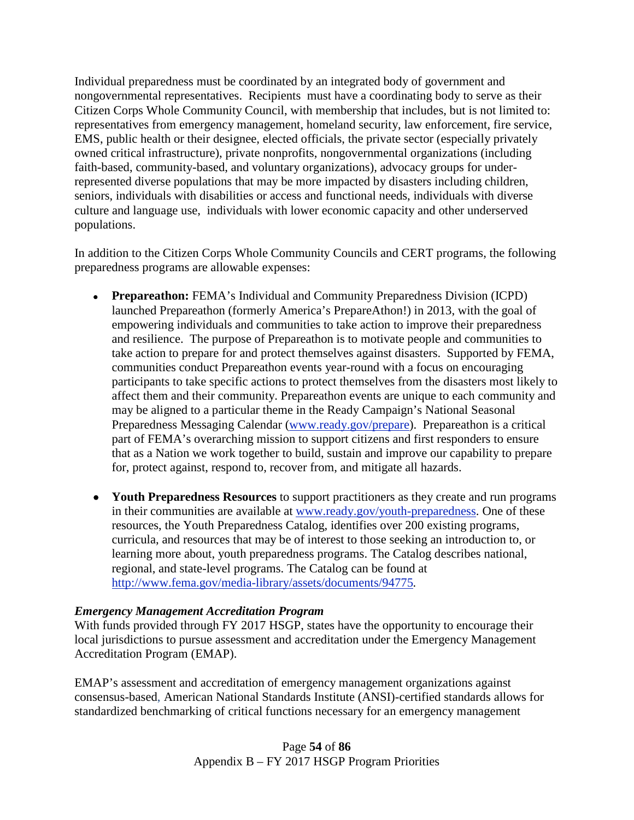Individual preparedness must be coordinated by an integrated body of government and nongovernmental representatives. Recipients must have a coordinating body to serve as their Citizen Corps Whole Community Council, with membership that includes, but is not limited to: representatives from emergency management, homeland security, law enforcement, fire service, EMS, public health or their designee, elected officials, the private sector (especially privately owned critical infrastructure), private nonprofits, nongovernmental organizations (including faith-based, community-based, and voluntary organizations), advocacy groups for underrepresented diverse populations that may be more impacted by disasters including children, seniors, individuals with disabilities or access and functional needs, individuals with diverse culture and language use, individuals with lower economic capacity and other underserved populations.

In addition to the Citizen Corps Whole Community Councils and CERT programs, the following preparedness programs are allowable expenses:

- **Prepareathon:** FEMA's Individual and Community Preparedness Division (ICPD) launched Prepareathon (formerly America's PrepareAthon!) in 2013, with the goal of empowering individuals and communities to take action to improve their preparedness and resilience. The purpose of Prepareathon is to motivate people and communities to take action to prepare for and protect themselves against disasters. Supported by FEMA, communities conduct Prepareathon events year-round with a focus on encouraging participants to take specific actions to protect themselves from the disasters most likely to affect them and their community. Prepareathon events are unique to each community and may be aligned to a particular theme in the Ready Campaign's National Seasonal Preparedness Messaging Calendar [\(www.ready.gov/prepare\)](http://www.ready.gov/prepare). Prepareathon is a critical part of FEMA's overarching mission to support citizens and first responders to ensure that as a Nation we work together to build, sustain and improve our capability to prepare for, protect against, respond to, recover from, and mitigate all hazards.
- **Youth Preparedness Resources** to support practitioners as they create and run programs in their communities are available at [www.ready.gov/youth-preparedness.](http://www.ready.gov/youth-preparedness) One of these resources, the Youth Preparedness Catalog, identifies over 200 existing programs, curricula, and resources that may be of interest to those seeking an introduction to, or learning more about, youth preparedness programs. The Catalog describes national, regional, and state-level programs. The Catalog can be found at <http://www.fema.gov/media-library/assets/documents/94775>*.*

## *Emergency Management Accreditation Program*

With funds provided through FY 2017 HSGP, states have the opportunity to encourage their local jurisdictions to pursue assessment and accreditation under the Emergency Management Accreditation Program (EMAP).

EMAP's assessment and accreditation of emergency management organizations against consensus-based, American National Standards Institute (ANSI)-certified standards allows for standardized benchmarking of critical functions necessary for an emergency management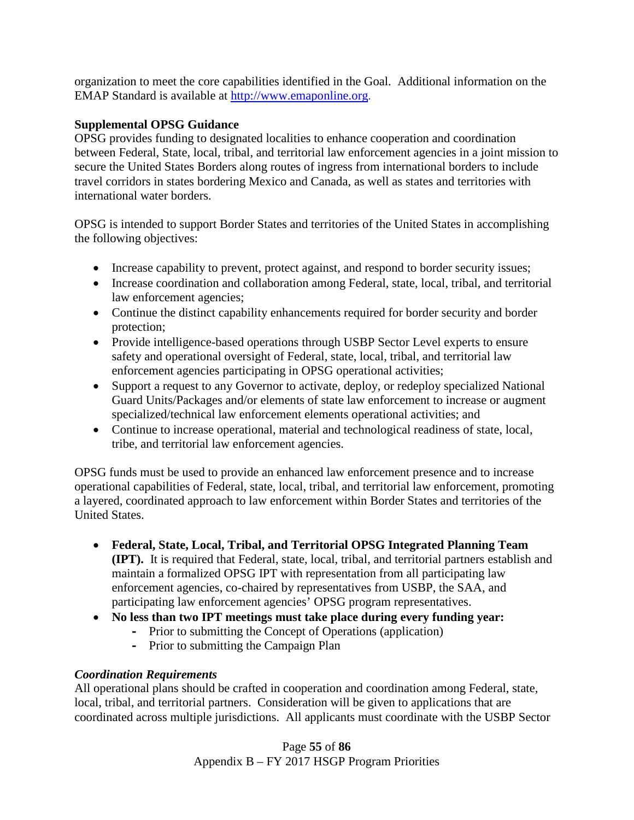organization to meet the core capabilities identified in the Goal. Additional information on the EMAP Standard is available at [http://www.emaponline.org.](http://www.emaponline.org/)

#### **Supplemental OPSG Guidance**

OPSG provides funding to designated localities to enhance cooperation and coordination between Federal, State, local, tribal, and territorial law enforcement agencies in a joint mission to secure the United States Borders along routes of ingress from international borders to include travel corridors in states bordering Mexico and Canada, as well as states and territories with international water borders.

OPSG is intended to support Border States and territories of the United States in accomplishing the following objectives:

- Increase capability to prevent, protect against, and respond to border security issues;
- Increase coordination and collaboration among Federal, state, local, tribal, and territorial law enforcement agencies;
- Continue the distinct capability enhancements required for border security and border protection;
- Provide intelligence-based operations through USBP Sector Level experts to ensure safety and operational oversight of Federal, state, local, tribal, and territorial law enforcement agencies participating in OPSG operational activities;
- Support a request to any Governor to activate, deploy, or redeploy specialized National Guard Units/Packages and/or elements of state law enforcement to increase or augment specialized/technical law enforcement elements operational activities; and
- Continue to increase operational, material and technological readiness of state, local, tribe, and territorial law enforcement agencies.

OPSG funds must be used to provide an enhanced law enforcement presence and to increase operational capabilities of Federal, state, local, tribal, and territorial law enforcement, promoting a layered, coordinated approach to law enforcement within Border States and territories of the United States.

- **Federal, State, Local, Tribal, and Territorial OPSG Integrated Planning Team (IPT).** It is required that Federal, state, local, tribal, and territorial partners establish and maintain a formalized OPSG IPT with representation from all participating law enforcement agencies, co-chaired by representatives from USBP, the SAA, and participating law enforcement agencies' OPSG program representatives.
- **No less than two IPT meetings must take place during every funding year:**
	- **-** Prior to submitting the Concept of Operations (application)
	- **-** Prior to submitting the Campaign Plan

## *Coordination Requirements*

All operational plans should be crafted in cooperation and coordination among Federal, state, local, tribal, and territorial partners. Consideration will be given to applications that are coordinated across multiple jurisdictions. All applicants must coordinate with the USBP Sector

> Page **55** of **86** Appendix B – FY 2017 HSGP Program Priorities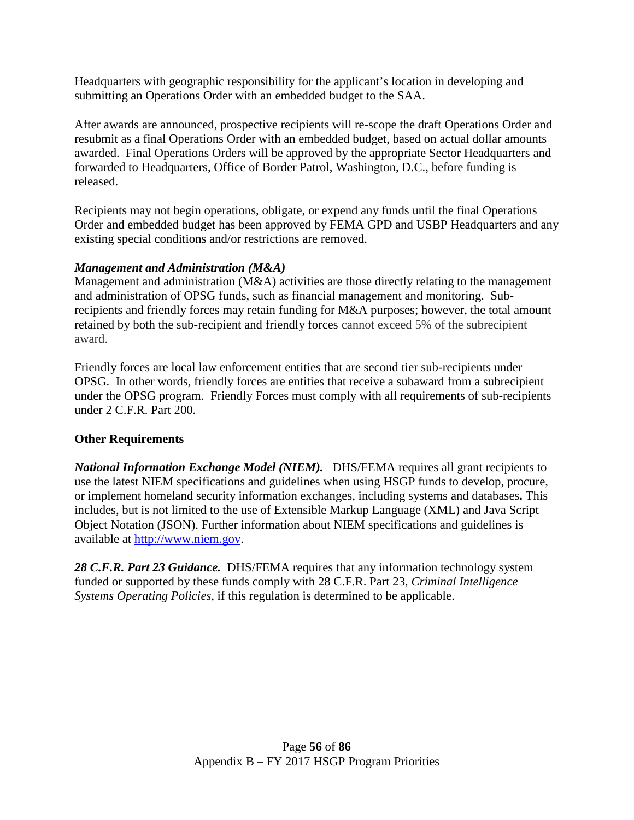Headquarters with geographic responsibility for the applicant's location in developing and submitting an Operations Order with an embedded budget to the SAA.

After awards are announced, prospective recipients will re-scope the draft Operations Order and resubmit as a final Operations Order with an embedded budget, based on actual dollar amounts awarded. Final Operations Orders will be approved by the appropriate Sector Headquarters and forwarded to Headquarters, Office of Border Patrol, Washington, D.C., before funding is released.

Recipients may not begin operations, obligate, or expend any funds until the final Operations Order and embedded budget has been approved by FEMA GPD and USBP Headquarters and any existing special conditions and/or restrictions are removed.

## *Management and Administration (M&A)*

Management and administration (M&A) activities are those directly relating to the management and administration of OPSG funds, such as financial management and monitoring. Subrecipients and friendly forces may retain funding for M&A purposes; however, the total amount retained by both the sub-recipient and friendly forces cannot exceed 5% of the subrecipient award.

Friendly forces are local law enforcement entities that are second tier sub-recipients under OPSG. In other words, friendly forces are entities that receive a subaward from a subrecipient under the OPSG program. Friendly Forces must comply with all requirements of sub-recipients under 2 C.F.R. Part 200.

# **Other Requirements**

*National Information Exchange Model (NIEM).* DHS/FEMA requires all grant recipients to use the latest NIEM specifications and guidelines when using HSGP funds to develop, procure, or implement homeland security information exchanges, including systems and databases**.** This includes, but is not limited to the use of Extensible Markup Language (XML) and Java Script Object Notation (JSON). Further information about NIEM specifications and guidelines is available at [http://www.niem.gov.](http://www.niem.gov/)

*28 C.F.R. Part 23 Guidance.* DHS/FEMA requires that any information technology system funded or supported by these funds comply with 28 C.F.R. Part 23, *Criminal Intelligence Systems Operating Policies*, if this regulation is determined to be applicable.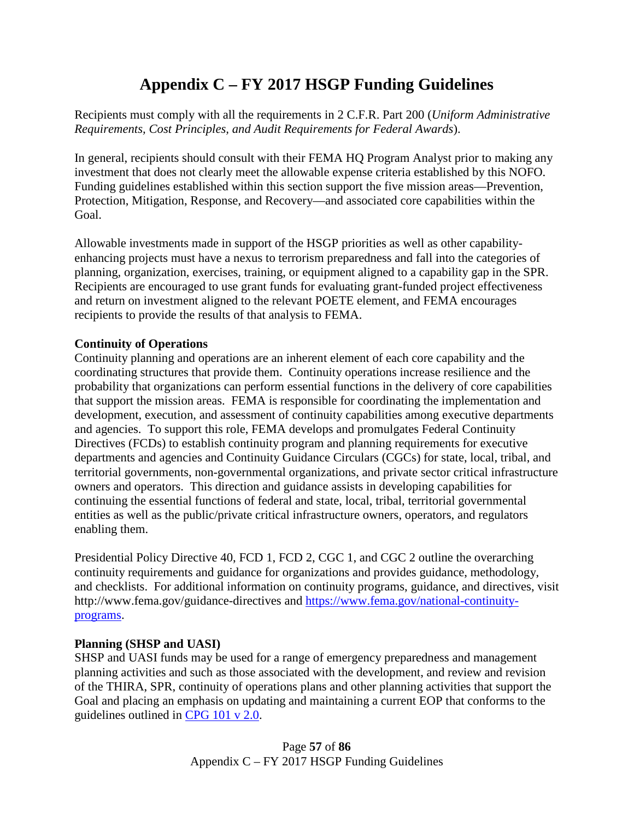# **Appendix C – FY 2017 HSGP Funding Guidelines**

Recipients must comply with all the requirements in 2 C.F.R. Part 200 (*Uniform Administrative Requirements, Cost Principles, and Audit Requirements for Federal Awards*).

In general, recipients should consult with their FEMA HQ Program Analyst prior to making any investment that does not clearly meet the allowable expense criteria established by this NOFO. Funding guidelines established within this section support the five mission areas—Prevention, Protection, Mitigation, Response, and Recovery—and associated core capabilities within the Goal.

Allowable investments made in support of the HSGP priorities as well as other capabilityenhancing projects must have a nexus to terrorism preparedness and fall into the categories of planning, organization, exercises, training, or equipment aligned to a capability gap in the SPR. Recipients are encouraged to use grant funds for evaluating grant-funded project effectiveness and return on investment aligned to the relevant POETE element, and FEMA encourages recipients to provide the results of that analysis to FEMA.

## **Continuity of Operations**

Continuity planning and operations are an inherent element of each core capability and the coordinating structures that provide them. Continuity operations increase resilience and the probability that organizations can perform essential functions in the delivery of core capabilities that support the mission areas. FEMA is responsible for coordinating the implementation and development, execution, and assessment of continuity capabilities among executive departments and agencies. To support this role, FEMA develops and promulgates Federal Continuity Directives (FCDs) to establish continuity program and planning requirements for executive departments and agencies and Continuity Guidance Circulars (CGCs) for state, local, tribal, and territorial governments, non-governmental organizations, and private sector critical infrastructure owners and operators. This direction and guidance assists in developing capabilities for continuing the essential functions of federal and state, local, tribal, territorial governmental entities as well as the public/private critical infrastructure owners, operators, and regulators enabling them.

Presidential Policy Directive 40, FCD 1, FCD 2, CGC 1, and CGC 2 outline the overarching continuity requirements and guidance for organizations and provides guidance, methodology, and checklists. For additional information on continuity programs, guidance, and directives, visit http://www.fema.gov/guidance-directives and [https://www.fema.gov/national-continuity](https://www.fema.gov/national-continuity-programs)[programs.](https://www.fema.gov/national-continuity-programs)

## **Planning (SHSP and UASI)**

SHSP and UASI funds may be used for a range of emergency preparedness and management planning activities and such as those associated with the development, and review and revision of the THIRA, SPR, continuity of operations plans and other planning activities that support the Goal and placing an emphasis on updating and maintaining a current EOP that conforms to the guidelines outlined in [CPG 101 v 2.0.](http://www.fema.gov/pdf/about/divisions/npd/CPG_101_V2.pdf)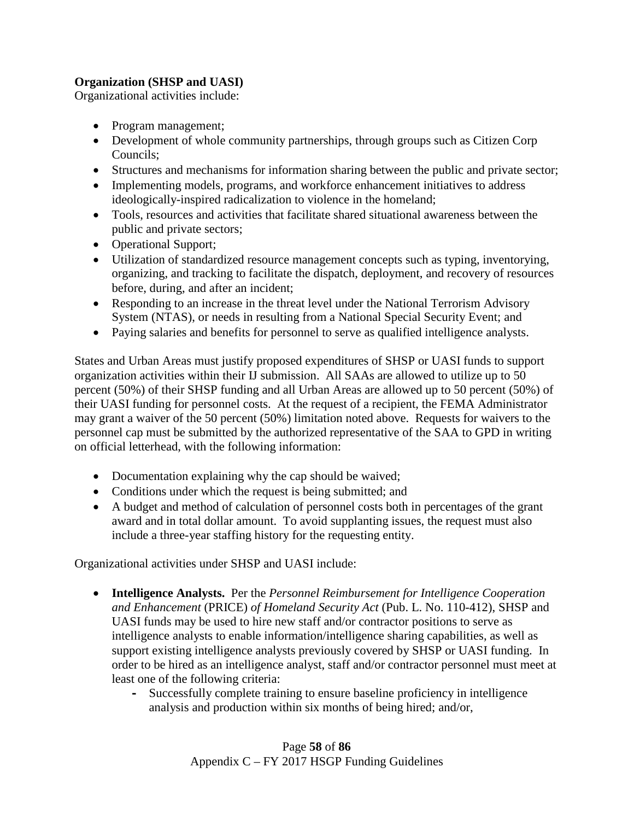## **Organization (SHSP and UASI)**

Organizational activities include:

- Program management;
- Development of whole community partnerships, through groups such as Citizen Corp Councils;
- Structures and mechanisms for information sharing between the public and private sector;
- Implementing models, programs, and workforce enhancement initiatives to address ideologically-inspired radicalization to violence in the homeland;
- Tools, resources and activities that facilitate shared situational awareness between the public and private sectors;
- Operational Support;
- Utilization of standardized resource management concepts such as typing, inventorying, organizing, and tracking to facilitate the dispatch, deployment, and recovery of resources before, during, and after an incident;
- Responding to an increase in the threat level under the National Terrorism Advisory System (NTAS), or needs in resulting from a National Special Security Event; and
- Paying salaries and benefits for personnel to serve as qualified intelligence analysts.

States and Urban Areas must justify proposed expenditures of SHSP or UASI funds to support organization activities within their IJ submission. All SAAs are allowed to utilize up to 50 percent (50%) of their SHSP funding and all Urban Areas are allowed up to 50 percent (50%) of their UASI funding for personnel costs. At the request of a recipient, the FEMA Administrator may grant a waiver of the 50 percent (50%) limitation noted above. Requests for waivers to the personnel cap must be submitted by the authorized representative of the SAA to GPD in writing on official letterhead, with the following information:

- Documentation explaining why the cap should be waived;
- Conditions under which the request is being submitted; and
- A budget and method of calculation of personnel costs both in percentages of the grant award and in total dollar amount. To avoid supplanting issues, the request must also include a three-year staffing history for the requesting entity.

Organizational activities under SHSP and UASI include:

- **Intelligence Analysts.** Per the *Personnel Reimbursement for Intelligence Cooperation and Enhancement* (PRICE) *of Homeland Security Act* (Pub. L. No. 110-412), SHSP and UASI funds may be used to hire new staff and/or contractor positions to serve as intelligence analysts to enable information/intelligence sharing capabilities, as well as support existing intelligence analysts previously covered by SHSP or UASI funding. In order to be hired as an intelligence analyst, staff and/or contractor personnel must meet at least one of the following criteria:
	- **-** Successfully complete training to ensure baseline proficiency in intelligence analysis and production within six months of being hired; and/or,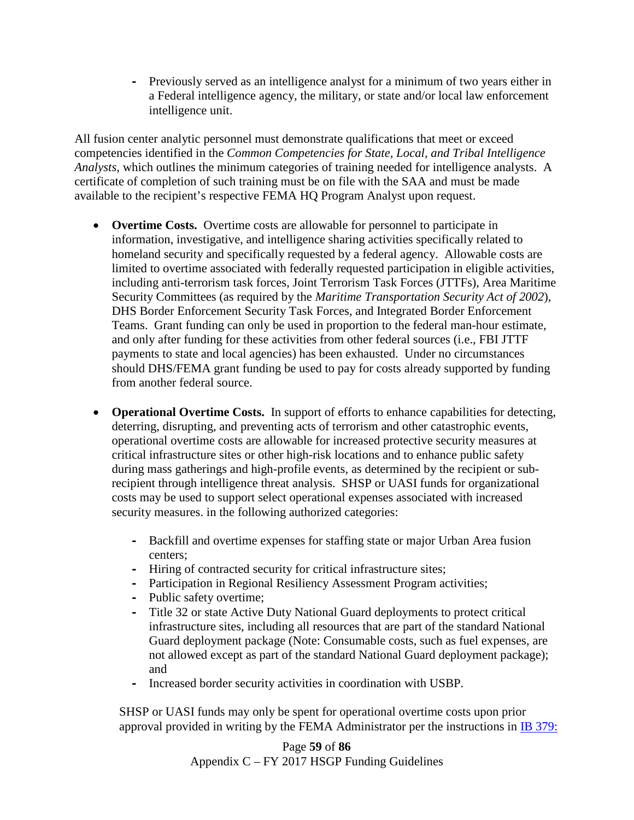**-** Previously served as an intelligence analyst for a minimum of two years either in a Federal intelligence agency, the military, or state and/or local law enforcement intelligence unit.

All fusion center analytic personnel must demonstrate qualifications that meet or exceed competencies identified in the *Common Competencies for State, Local, and Tribal Intelligence Analysts*, which outlines the minimum categories of training needed for intelligence analysts. A certificate of completion of such training must be on file with the SAA and must be made available to the recipient's respective FEMA HQ Program Analyst upon request.

- **Overtime Costs.** Overtime costs are allowable for personnel to participate in information, investigative, and intelligence sharing activities specifically related to homeland security and specifically requested by a federal agency. Allowable costs are limited to overtime associated with federally requested participation in eligible activities, including anti-terrorism task forces, Joint Terrorism Task Forces (JTTFs), Area Maritime Security Committees (as required by the *Maritime Transportation Security Act of 2002*), DHS Border Enforcement Security Task Forces, and Integrated Border Enforcement Teams. Grant funding can only be used in proportion to the federal man-hour estimate, and only after funding for these activities from other federal sources (i.e., FBI JTTF payments to state and local agencies) has been exhausted. Under no circumstances should DHS/FEMA grant funding be used to pay for costs already supported by funding from another federal source.
- **Operational Overtime Costs.** In support of efforts to enhance capabilities for detecting, deterring, disrupting, and preventing acts of terrorism and other catastrophic events, operational overtime costs are allowable for increased protective security measures at critical infrastructure sites or other high-risk locations and to enhance public safety during mass gatherings and high-profile events, as determined by the recipient or subrecipient through intelligence threat analysis. SHSP or UASI funds for organizational costs may be used to support select operational expenses associated with increased security measures. in the following authorized categories:
	- **-** Backfill and overtime expenses for staffing state or major Urban Area fusion centers;
	- **-** Hiring of contracted security for critical infrastructure sites;
	- **-** Participation in Regional Resiliency Assessment Program activities;
	- **-** Public safety overtime;
	- **-** Title 32 or state Active Duty National Guard deployments to protect critical infrastructure sites, including all resources that are part of the standard National Guard deployment package (Note: Consumable costs, such as fuel expenses, are not allowed except as part of the standard National Guard deployment package); and
	- **-** Increased border security activities in coordination with USBP.

SHSP or UASI funds may only be spent for operational overtime costs upon prior approval provided in writing by the FEMA Administrator per the instructions in [IB 379:](http://www.fema.gov/pdf/government/grant/bulletins/info379.pdf)

> Page **59** of **86** Appendix C – FY 2017 HSGP Funding Guidelines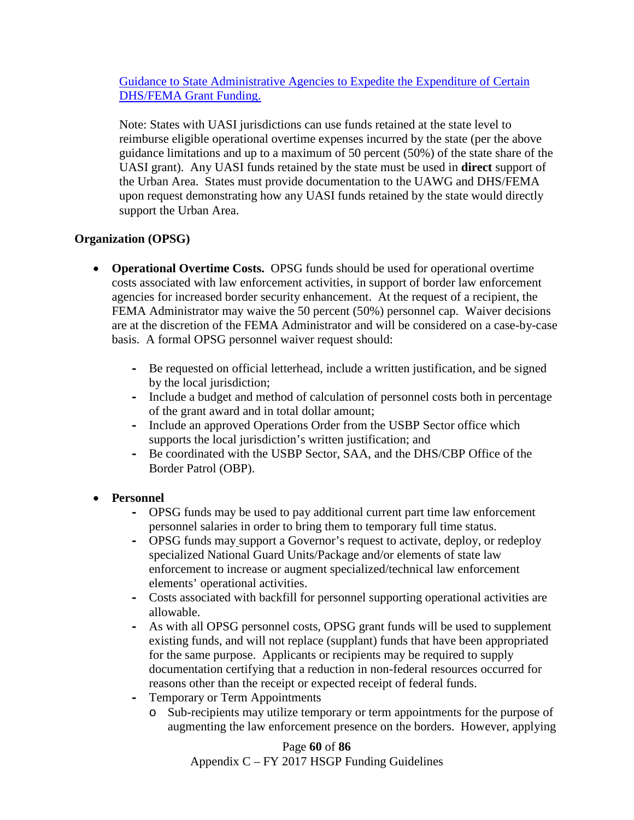[Guidance to State Administrative Agencies to Expedite the Expenditure of Certain](http://www.fema.gov/pdf/government/grant/bulletins/info379.pdf)  [DHS/FEMA Grant Funding.](http://www.fema.gov/pdf/government/grant/bulletins/info379.pdf) 

Note: States with UASI jurisdictions can use funds retained at the state level to reimburse eligible operational overtime expenses incurred by the state (per the above guidance limitations and up to a maximum of 50 percent (50%) of the state share of the UASI grant). Any UASI funds retained by the state must be used in **direct** support of the Urban Area.States must provide documentation to the UAWG and DHS/FEMA upon request demonstrating how any UASI funds retained by the state would directly support the Urban Area.

# **Organization (OPSG)**

- **Operational Overtime Costs.** OPSG funds should be used for operational overtime costs associated with law enforcement activities, in support of border law enforcement agencies for increased border security enhancement. At the request of a recipient, the FEMA Administrator may waive the 50 percent (50%) personnel cap. Waiver decisions are at the discretion of the FEMA Administrator and will be considered on a case-by-case basis. A formal OPSG personnel waiver request should:
	- **-** Be requested on official letterhead, include a written justification, and be signed by the local jurisdiction;
	- **-** Include a budget and method of calculation of personnel costs both in percentage of the grant award and in total dollar amount;
	- **-** Include an approved Operations Order from the USBP Sector office which supports the local jurisdiction's written justification; and
	- **-** Be coordinated with the USBP Sector, SAA, and the DHS/CBP Office of the Border Patrol (OBP).

# • **Personnel**

- **-** OPSG funds may be used to pay additional current part time law enforcement personnel salaries in order to bring them to temporary full time status.
- **-** OPSG funds may support a Governor's request to activate, deploy, or redeploy specialized National Guard Units/Package and/or elements of state law enforcement to increase or augment specialized/technical law enforcement elements' operational activities.
- **-** Costs associated with backfill for personnel supporting operational activities are allowable.
- **-** As with all OPSG personnel costs, OPSG grant funds will be used to supplement existing funds, and will not replace (supplant) funds that have been appropriated for the same purpose. Applicants or recipients may be required to supply documentation certifying that a reduction in non-federal resources occurred for reasons other than the receipt or expected receipt of federal funds.
- **-** Temporary or Term Appointments
	- o Sub-recipients may utilize temporary or term appointments for the purpose of augmenting the law enforcement presence on the borders. However, applying

Page **60** of **86** Appendix C – FY 2017 HSGP Funding Guidelines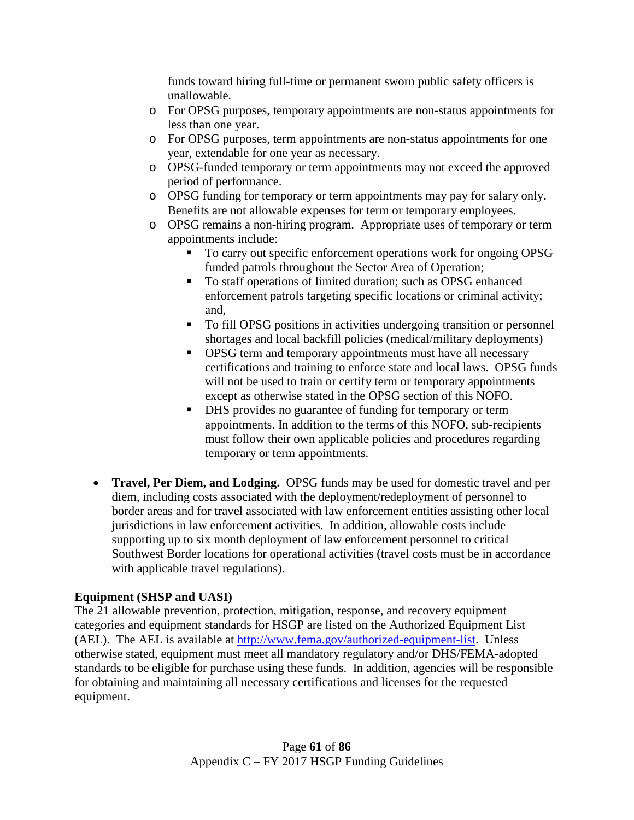funds toward hiring full-time or permanent sworn public safety officers is unallowable.

- o For OPSG purposes, temporary appointments are non-status appointments for less than one year.
- o For OPSG purposes, term appointments are non-status appointments for one year, extendable for one year as necessary.
- o OPSG-funded temporary or term appointments may not exceed the approved period of performance.
- o OPSG funding for temporary or term appointments may pay for salary only. Benefits are not allowable expenses for term or temporary employees.
- o OPSG remains a non-hiring program. Appropriate uses of temporary or term appointments include:
	- To carry out specific enforcement operations work for ongoing OPSG funded patrols throughout the Sector Area of Operation;
	- To staff operations of limited duration; such as OPSG enhanced enforcement patrols targeting specific locations or criminal activity; and,
	- To fill OPSG positions in activities undergoing transition or personnel shortages and local backfill policies (medical/military deployments)
	- **OPSG** term and temporary appointments must have all necessary certifications and training to enforce state and local laws. OPSG funds will not be used to train or certify term or temporary appointments except as otherwise stated in the OPSG section of this NOFO.
	- DHS provides no guarantee of funding for temporary or term appointments. In addition to the terms of this NOFO, sub-recipients must follow their own applicable policies and procedures regarding temporary or term appointments.
- **Travel, Per Diem, and Lodging.** OPSG funds may be used for domestic travel and per diem, including costs associated with the deployment/redeployment of personnel to border areas and for travel associated with law enforcement entities assisting other local jurisdictions in law enforcement activities. In addition, allowable costs include supporting up to six month deployment of law enforcement personnel to critical Southwest Border locations for operational activities (travel costs must be in accordance with applicable travel regulations).

# **Equipment (SHSP and UASI)**

The 21 allowable prevention, protection, mitigation, response, and recovery equipment categories and equipment standards for HSGP are listed on the Authorized Equipment List (AEL). The AEL is available at [http://www.fema.gov/authorized-equipment-list.](http://www.fema.gov/authorized-equipment-list) Unless otherwise stated, equipment must meet all mandatory regulatory and/or DHS/FEMA-adopted standards to be eligible for purchase using these funds. In addition, agencies will be responsible for obtaining and maintaining all necessary certifications and licenses for the requested equipment.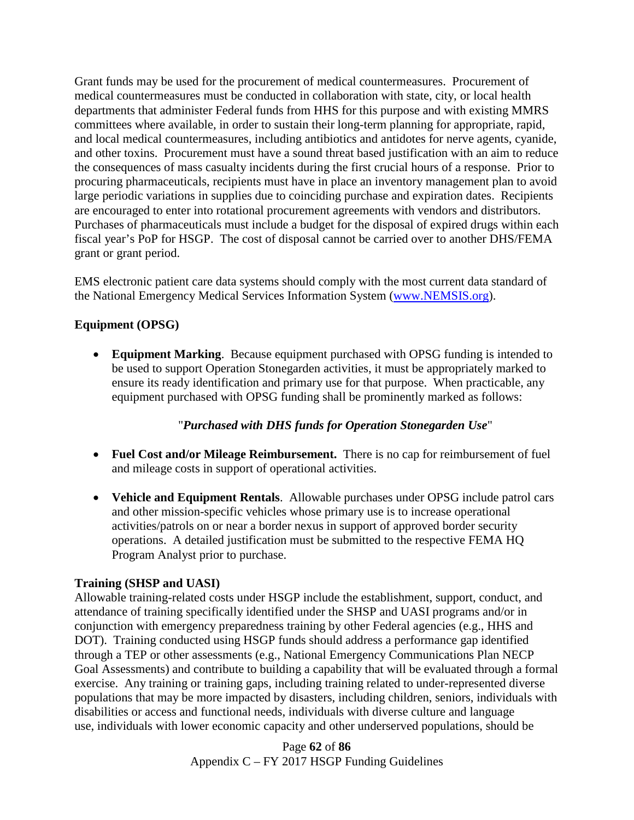Grant funds may be used for the procurement of medical countermeasures. Procurement of medical countermeasures must be conducted in collaboration with state, city, or local health departments that administer Federal funds from HHS for this purpose and with existing MMRS committees where available, in order to sustain their long-term planning for appropriate, rapid, and local medical countermeasures, including antibiotics and antidotes for nerve agents, cyanide, and other toxins. Procurement must have a sound threat based justification with an aim to reduce the consequences of mass casualty incidents during the first crucial hours of a response. Prior to procuring pharmaceuticals, recipients must have in place an inventory management plan to avoid large periodic variations in supplies due to coinciding purchase and expiration dates. Recipients are encouraged to enter into rotational procurement agreements with vendors and distributors. Purchases of pharmaceuticals must include a budget for the disposal of expired drugs within each fiscal year's PoP for HSGP. The cost of disposal cannot be carried over to another DHS/FEMA grant or grant period.

EMS electronic patient care data systems should comply with the most current data standard of the National Emergency Medical Services Information System [\(www.NEMSIS.org\)](http://www.nemsis.org/).

# **Equipment (OPSG)**

• **Equipment Marking**. Because equipment purchased with OPSG funding is intended to be used to support Operation Stonegarden activities, it must be appropriately marked to ensure its ready identification and primary use for that purpose. When practicable, any equipment purchased with OPSG funding shall be prominently marked as follows:

# "*Purchased with DHS funds for Operation Stonegarden Use*"

- **Fuel Cost and/or Mileage Reimbursement.** There is no cap for reimbursement of fuel and mileage costs in support of operational activities.
- **Vehicle and Equipment Rentals**. Allowable purchases under OPSG include patrol cars and other mission-specific vehicles whose primary use is to increase operational activities/patrols on or near a border nexus in support of approved border security operations. A detailed justification must be submitted to the respective FEMA HQ Program Analyst prior to purchase.

# **Training (SHSP and UASI)**

Allowable training-related costs under HSGP include the establishment, support, conduct, and attendance of training specifically identified under the SHSP and UASI programs and/or in conjunction with emergency preparedness training by other Federal agencies (e.g., HHS and DOT). Training conducted using HSGP funds should address a performance gap identified through a TEP or other assessments (e.g., National Emergency Communications Plan NECP Goal Assessments) and contribute to building a capability that will be evaluated through a formal exercise. Any training or training gaps, including training related to under-represented diverse populations that may be more impacted by disasters, including children, seniors, individuals with disabilities or access and functional needs, individuals with diverse culture and language use, individuals with lower economic capacity and other underserved populations, should be

> Page **62** of **86** Appendix C – FY 2017 HSGP Funding Guidelines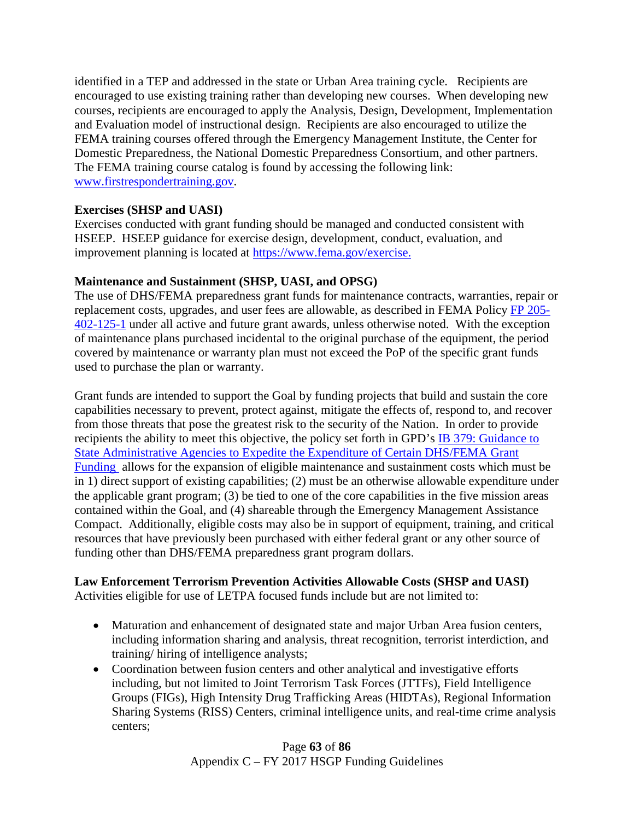identified in a TEP and addressed in the state or Urban Area training cycle. Recipients are encouraged to use existing training rather than developing new courses. When developing new courses, recipients are encouraged to apply the Analysis, Design, Development, Implementation and Evaluation model of instructional design. Recipients are also encouraged to utilize the FEMA training courses offered through the Emergency Management Institute, the Center for Domestic Preparedness, the National Domestic Preparedness Consortium, and other partners. The FEMA training course catalog is found by accessing the following link: [www.firstrespondertraining.gov.](http://www.firstrespondertraining.gov/)

#### **Exercises (SHSP and UASI)**

Exercises conducted with grant funding should be managed and conducted consistent with HSEEP. HSEEP guidance for exercise design, development, conduct, evaluation, and improvement planning is located at [https://www.fema.gov/exercise.](https://www.fema.gov/exercise)

#### **Maintenance and Sustainment (SHSP, UASI, and OPSG)**

The use of DHS/FEMA preparedness grant funds for maintenance contracts, warranties, repair or replacement costs, upgrades, and user fees are allowable, as described in FEMA Policy [FP 205-](http://www.fema.gov/media-library/assets/documents/32474) [402-125-1](http://www.fema.gov/media-library/assets/documents/32474) under all active and future grant awards, unless otherwise noted. With the exception of maintenance plans purchased incidental to the original purchase of the equipment, the period covered by maintenance or warranty plan must not exceed the PoP of the specific grant funds used to purchase the plan or warranty.

Grant funds are intended to support the Goal by funding projects that build and sustain the core capabilities necessary to prevent, protect against, mitigate the effects of, respond to, and recover from those threats that pose the greatest risk to the security of the Nation. In order to provide recipients the ability to meet this objective, the policy set forth in GPD's **IB** 379: Guidance to [State Administrative Agencies to Expedite the Expenditure of Certain DHS/FEMA Grant](http://www.fema.gov/pdf/government/grant/bulletins/info379.pdf) [Funding](http://www.fema.gov/pdf/government/grant/bulletins/info379.pdf) allows for the expansion of eligible maintenance and sustainment costs which must be in 1) direct support of existing capabilities; (2) must be an otherwise allowable expenditure under the applicable grant program; (3) be tied to one of the core capabilities in the five mission areas contained within the Goal, and (4) shareable through the Emergency Management Assistance Compact. Additionally, eligible costs may also be in support of equipment, training, and critical resources that have previously been purchased with either federal grant or any other source of funding other than DHS/FEMA preparedness grant program dollars.

## **Law Enforcement Terrorism Prevention Activities Allowable Costs (SHSP and UASI)**

Activities eligible for use of LETPA focused funds include but are not limited to:

- Maturation and enhancement of designated state and major Urban Area fusion centers, including information sharing and analysis, threat recognition, terrorist interdiction, and training/ hiring of intelligence analysts;
- Coordination between fusion centers and other analytical and investigative efforts including, but not limited to Joint Terrorism Task Forces (JTTFs), Field Intelligence Groups (FIGs), High Intensity Drug Trafficking Areas (HIDTAs), Regional Information Sharing Systems (RISS) Centers, criminal intelligence units, and real-time crime analysis centers;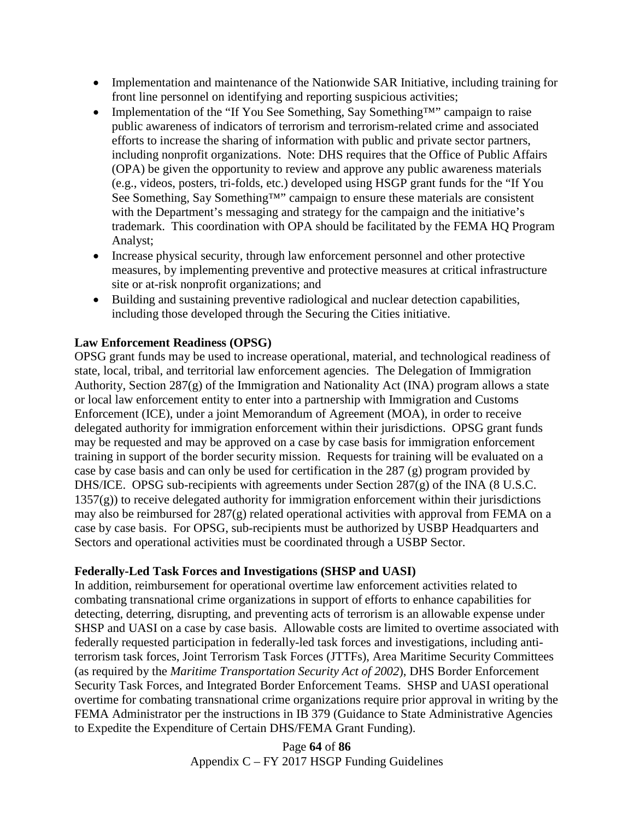- Implementation and maintenance of the Nationwide SAR Initiative, including training for front line personnel on identifying and reporting suspicious activities;
- Implementation of the "If You See Something, Say Something™" campaign to raise public awareness of indicators of terrorism and terrorism-related crime and associated efforts to increase the sharing of information with public and private sector partners, including nonprofit organizations. Note: DHS requires that the Office of Public Affairs (OPA) be given the opportunity to review and approve any public awareness materials (e.g., videos, posters, tri-folds, etc.) developed using HSGP grant funds for the "If You See Something, Say Something™" campaign to ensure these materials are consistent with the Department's messaging and strategy for the campaign and the initiative's trademark. This coordination with OPA should be facilitated by the FEMA HQ Program Analyst;
- Increase physical security, through law enforcement personnel and other protective measures, by implementing preventive and protective measures at critical infrastructure site or at-risk nonprofit organizations; and
- Building and sustaining preventive radiological and nuclear detection capabilities, including those developed through the Securing the Cities initiative.

## **Law Enforcement Readiness (OPSG)**

OPSG grant funds may be used to increase operational, material, and technological readiness of state, local, tribal, and territorial law enforcement agencies. The Delegation of Immigration Authority, Section 287(g) of the Immigration and Nationality Act (INA) program allows a state or local law enforcement entity to enter into a partnership with Immigration and Customs Enforcement (ICE), under a joint Memorandum of Agreement (MOA), in order to receive delegated authority for immigration enforcement within their jurisdictions. OPSG grant funds may be requested and may be approved on a case by case basis for immigration enforcement training in support of the border security mission. Requests for training will be evaluated on a case by case basis and can only be used for certification in the 287 (g) program provided by DHS/ICE. OPSG sub-recipients with agreements under Section 287(g) of the INA (8 U.S.C.  $1357(g)$ ) to receive delegated authority for immigration enforcement within their jurisdictions may also be reimbursed for 287(g) related operational activities with approval from FEMA on a case by case basis. For OPSG, sub-recipients must be authorized by USBP Headquarters and Sectors and operational activities must be coordinated through a USBP Sector.

## **Federally-Led Task Forces and Investigations (SHSP and UASI)**

In addition, reimbursement for operational overtime law enforcement activities related to combating transnational crime organizations in support of efforts to enhance capabilities for detecting, deterring, disrupting, and preventing acts of terrorism is an allowable expense under SHSP and UASI on a case by case basis. Allowable costs are limited to overtime associated with federally requested participation in federally-led task forces and investigations, including antiterrorism task forces, Joint Terrorism Task Forces (JTTFs), Area Maritime Security Committees (as required by the *Maritime Transportation Security Act of 2002*), DHS Border Enforcement Security Task Forces, and Integrated Border Enforcement Teams. SHSP and UASI operational overtime for combating transnational crime organizations require prior approval in writing by the FEMA Administrator per the instructions in IB 379 (Guidance to State Administrative Agencies to Expedite the Expenditure of Certain DHS/FEMA Grant Funding).

> Page **64** of **86** Appendix C – FY 2017 HSGP Funding Guidelines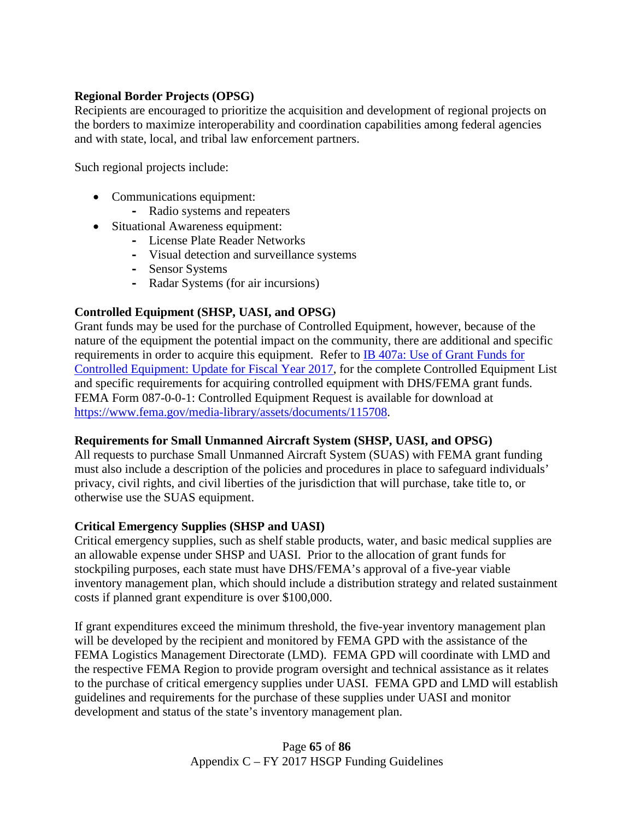## **Regional Border Projects (OPSG)**

Recipients are encouraged to prioritize the acquisition and development of regional projects on the borders to maximize interoperability and coordination capabilities among federal agencies and with state, local, and tribal law enforcement partners.

Such regional projects include:

- Communications equipment:
	- **-** Radio systems and repeaters
- Situational Awareness equipment:
	- **-** License Plate Reader Networks
	- **-** Visual detection and surveillance systems
	- **-** Sensor Systems
	- **-** Radar Systems (for air incursions)

## **Controlled Equipment (SHSP, UASI, and OPSG)**

Grant funds may be used for the purchase of Controlled Equipment, however, because of the nature of the equipment the potential impact on the community, there are additional and specific requirements in order to acquire this equipment. Refer to [IB 407a: Use of Grant Funds for](https://www.fema.gov/media-library-data/1485452831667-ab397ce1d370652ec49c25a280419af4/IB_407a_Controlled_Equipment_FY2017_Update_GPD_FINAL_508.pdf)  [Controlled Equipment: Update for Fiscal Year 2017,](https://www.fema.gov/media-library-data/1485452831667-ab397ce1d370652ec49c25a280419af4/IB_407a_Controlled_Equipment_FY2017_Update_GPD_FINAL_508.pdf) for the complete Controlled Equipment List and specific requirements for acquiring controlled equipment with DHS/FEMA grant funds. FEMA Form 087-0-0-1: Controlled Equipment Request is available for download at [https://www.fema.gov/media-library/assets/documents/115708.](https://www.fema.gov/media-library/assets/documents/115708)

#### **Requirements for Small Unmanned Aircraft System (SHSP, UASI, and OPSG)**

All requests to purchase Small Unmanned Aircraft System (SUAS) with FEMA grant funding must also include a description of the policies and procedures in place to safeguard individuals' privacy, civil rights, and civil liberties of the jurisdiction that will purchase, take title to, or otherwise use the SUAS equipment.

## **Critical Emergency Supplies (SHSP and UASI)**

Critical emergency supplies, such as shelf stable products, water, and basic medical supplies are an allowable expense under SHSP and UASI. Prior to the allocation of grant funds for stockpiling purposes, each state must have DHS/FEMA's approval of a five-year viable inventory management plan, which should include a distribution strategy and related sustainment costs if planned grant expenditure is over \$100,000.

If grant expenditures exceed the minimum threshold, the five-year inventory management plan will be developed by the recipient and monitored by FEMA GPD with the assistance of the FEMA Logistics Management Directorate (LMD). FEMA GPD will coordinate with LMD and the respective FEMA Region to provide program oversight and technical assistance as it relates to the purchase of critical emergency supplies under UASI. FEMA GPD and LMD will establish guidelines and requirements for the purchase of these supplies under UASI and monitor development and status of the state's inventory management plan.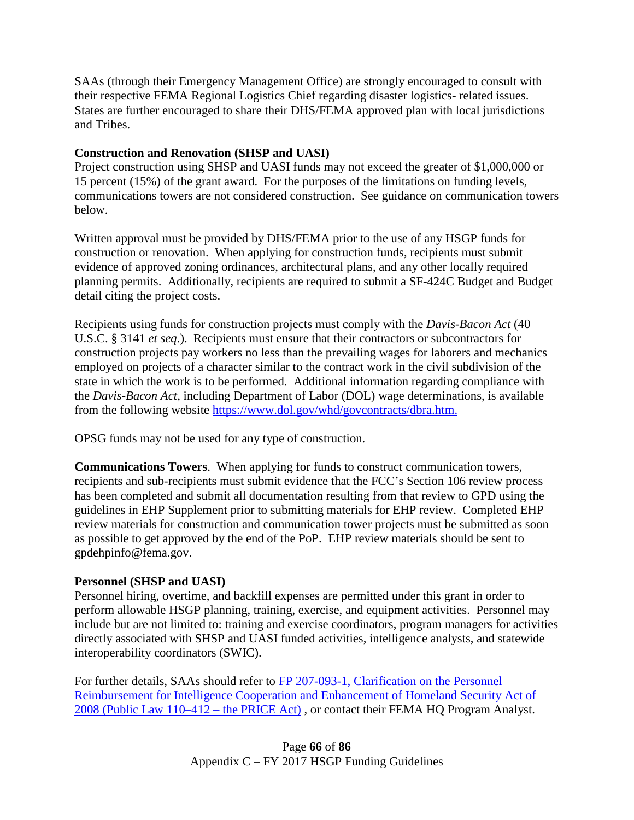SAAs (through their Emergency Management Office) are strongly encouraged to consult with their respective FEMA Regional Logistics Chief regarding disaster logistics- related issues. States are further encouraged to share their DHS/FEMA approved plan with local jurisdictions and Tribes.

## **Construction and Renovation (SHSP and UASI)**

Project construction using SHSP and UASI funds may not exceed the greater of \$1,000,000 or 15 percent (15%) of the grant award. For the purposes of the limitations on funding levels, communications towers are not considered construction. See guidance on communication towers below.

Written approval must be provided by DHS/FEMA prior to the use of any HSGP funds for construction or renovation. When applying for construction funds, recipients must submit evidence of approved zoning ordinances, architectural plans, and any other locally required planning permits. Additionally, recipients are required to submit a SF-424C Budget and Budget detail citing the project costs.

Recipients using funds for construction projects must comply with the *Davis-Bacon Act* (40 U.S.C. § 3141 *et seq*.). Recipients must ensure that their contractors or subcontractors for construction projects pay workers no less than the prevailing wages for laborers and mechanics employed on projects of a character similar to the contract work in the civil subdivision of the state in which the work is to be performed. Additional information regarding compliance with the *Davis-Bacon Act*, including Department of Labor (DOL) wage determinations, is available from the following website [https://www.dol.gov/whd/govcontracts/dbra.htm.](https://www.dol.gov/whd/govcontracts/dbra.htm)

OPSG funds may not be used for any type of construction.

**Communications Towers**. When applying for funds to construct communication towers, recipients and sub-recipients must submit evidence that the FCC's Section 106 review process has been completed and submit all documentation resulting from that review to GPD using the guidelines in EHP Supplement prior to submitting materials for EHP review. Completed EHP review materials for construction and communication tower projects must be submitted as soon as possible to get approved by the end of the PoP. EHP review materials should be sent to gpdehpinfo@fema.gov.

## **Personnel (SHSP and UASI)**

Personnel hiring, overtime, and backfill expenses are permitted under this grant in order to perform allowable HSGP planning, training, exercise, and equipment activities. Personnel may include but are not limited to: training and exercise coordinators, program managers for activities directly associated with SHSP and UASI funded activities, intelligence analysts, and statewide interoperability coordinators (SWIC).

For further details, SAAs should refer to [FP 207-093-1, Clarification on the Personnel](https://www.fema.gov/pdf/government/grant/bulletins/info358.pdf)  [Reimbursement for Intelligence Cooperation and Enhancement of Homeland Security Act of](https://www.fema.gov/pdf/government/grant/bulletins/info358.pdf)  [2008 \(Public Law 110–412 –](https://www.fema.gov/pdf/government/grant/bulletins/info358.pdf) the PRICE Act) , or contact their FEMA HQ Program Analyst.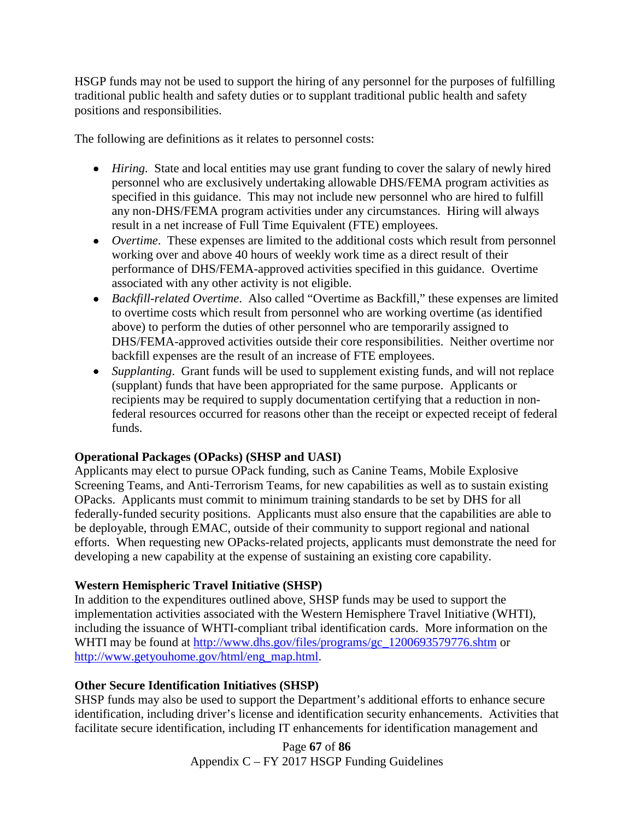HSGP funds may not be used to support the hiring of any personnel for the purposes of fulfilling traditional public health and safety duties or to supplant traditional public health and safety positions and responsibilities.

The following are definitions as it relates to personnel costs:

- *Hiring*. State and local entities may use grant funding to cover the salary of newly hired personnel who are exclusively undertaking allowable DHS/FEMA program activities as specified in this guidance. This may not include new personnel who are hired to fulfill any non-DHS/FEMA program activities under any circumstances. Hiring will always result in a net increase of Full Time Equivalent (FTE) employees.
- *Overtime*. These expenses are limited to the additional costs which result from personnel working over and above 40 hours of weekly work time as a direct result of their performance of DHS/FEMA-approved activities specified in this guidance. Overtime associated with any other activity is not eligible.
- *Backfill-related Overtime*. Also called "Overtime as Backfill," these expenses are limited to overtime costs which result from personnel who are working overtime (as identified above) to perform the duties of other personnel who are temporarily assigned to DHS/FEMA-approved activities outside their core responsibilities. Neither overtime nor backfill expenses are the result of an increase of FTE employees.
- *Supplanting.* Grant funds will be used to supplement existing funds, and will not replace (supplant) funds that have been appropriated for the same purpose. Applicants or recipients may be required to supply documentation certifying that a reduction in nonfederal resources occurred for reasons other than the receipt or expected receipt of federal funds.

# **Operational Packages (OPacks) (SHSP and UASI)**

Applicants may elect to pursue OPack funding, such as Canine Teams, Mobile Explosive Screening Teams, and Anti-Terrorism Teams, for new capabilities as well as to sustain existing OPacks. Applicants must commit to minimum training standards to be set by DHS for all federally-funded security positions. Applicants must also ensure that the capabilities are able to be deployable, through EMAC, outside of their community to support regional and national efforts. When requesting new OPacks-related projects, applicants must demonstrate the need for developing a new capability at the expense of sustaining an existing core capability.

# **Western Hemispheric Travel Initiative (SHSP)**

In addition to the expenditures outlined above, SHSP funds may be used to support the implementation activities associated with the Western Hemisphere Travel Initiative (WHTI), including the issuance of WHTI-compliant tribal identification cards. More information on the WHTI may be found at [http://www.dhs.gov/files/programs/gc\\_1200693579776.shtm](http://www.dhs.gov/files/programs/gc_1200693579776.shtm) or [http://www.getyouhome.gov/html/eng\\_map.html.](http://www.getyouhome.gov/html/eng_map.html)

## **Other Secure Identification Initiatives (SHSP)**

SHSP funds may also be used to support the Department's additional efforts to enhance secure identification, including driver's license and identification security enhancements. Activities that facilitate secure identification, including IT enhancements for identification management and

> Page **67** of **86** Appendix C – FY 2017 HSGP Funding Guidelines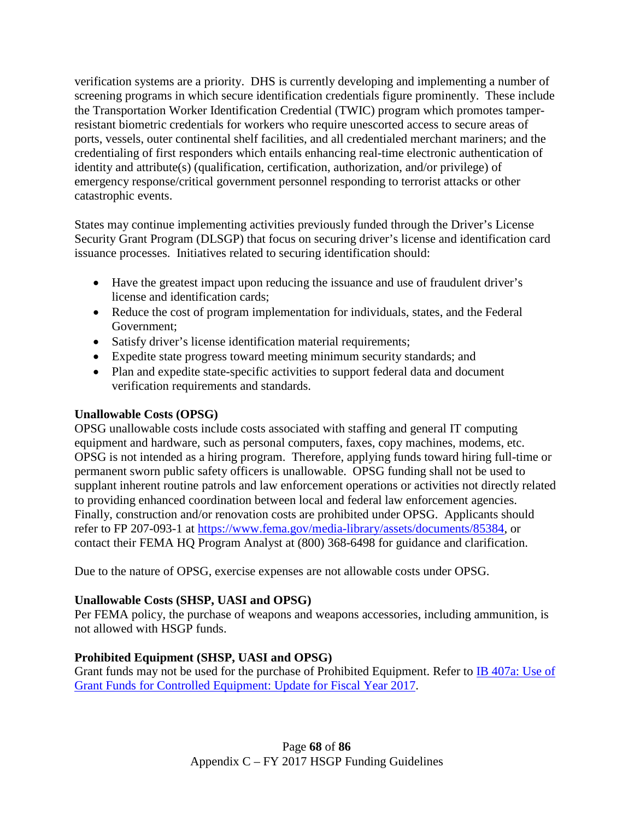verification systems are a priority. DHS is currently developing and implementing a number of screening programs in which secure identification credentials figure prominently. These include the Transportation Worker Identification Credential (TWIC) program which promotes tamperresistant biometric credentials for workers who require unescorted access to secure areas of ports, vessels, outer continental shelf facilities, and all credentialed merchant mariners; and the credentialing of first responders which entails enhancing real-time electronic authentication of identity and attribute(s) (qualification, certification, authorization, and/or privilege) of emergency response/critical government personnel responding to terrorist attacks or other catastrophic events.

States may continue implementing activities previously funded through the Driver's License Security Grant Program (DLSGP) that focus on securing driver's license and identification card issuance processes. Initiatives related to securing identification should:

- Have the greatest impact upon reducing the issuance and use of fraudulent driver's license and identification cards;
- Reduce the cost of program implementation for individuals, states, and the Federal Government;
- Satisfy driver's license identification material requirements;
- Expedite state progress toward meeting minimum security standards; and
- Plan and expedite state-specific activities to support federal data and document verification requirements and standards.

## **Unallowable Costs (OPSG)**

OPSG unallowable costs include costs associated with staffing and general IT computing equipment and hardware, such as personal computers, faxes, copy machines, modems, etc. OPSG is not intended as a hiring program. Therefore, applying funds toward hiring full-time or permanent sworn public safety officers is unallowable. OPSG funding shall not be used to supplant inherent routine patrols and law enforcement operations or activities not directly related to providing enhanced coordination between local and federal law enforcement agencies. Finally, construction and/or renovation costs are prohibited under OPSG. Applicants should refer to FP 207-093-1 at [https://www.fema.gov/media-library/assets/documents/85384,](https://www.fema.gov/media-library/assets/documents/85384) or contact their FEMA HQ Program Analyst at (800) 368-6498 for guidance and clarification.

Due to the nature of OPSG, exercise expenses are not allowable costs under OPSG.

## **Unallowable Costs (SHSP, UASI and OPSG)**

Per FEMA policy, the purchase of weapons and weapons accessories, including ammunition, is not allowed with HSGP funds.

# **Prohibited Equipment (SHSP, UASI and OPSG)**

Grant funds may not be used for the purchase of Prohibited Equipment. Refer to **IB** 407a: Use of [Grant Funds for Controlled Equipment: Update for Fiscal Year 2017.](https://www.fema.gov/media-library-data/1485452831667-ab397ce1d370652ec49c25a280419af4/IB_407a_Controlled_Equipment_FY2017_Update_GPD_FINAL_508.pdf)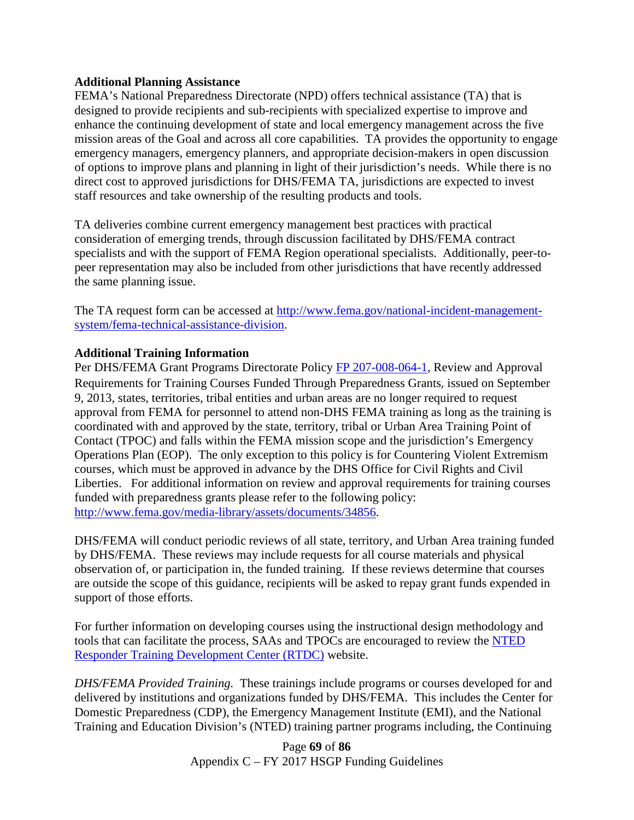#### **Additional Planning Assistance**

FEMA's National Preparedness Directorate (NPD) offers technical assistance (TA) that is designed to provide recipients and sub-recipients with specialized expertise to improve and enhance the continuing development of state and local emergency management across the five mission areas of the Goal and across all core capabilities. TA provides the opportunity to engage emergency managers, emergency planners, and appropriate decision-makers in open discussion of options to improve plans and planning in light of their jurisdiction's needs. While there is no direct cost to approved jurisdictions for DHS/FEMA TA, jurisdictions are expected to invest staff resources and take ownership of the resulting products and tools.

TA deliveries combine current emergency management best practices with practical consideration of emerging trends, through discussion facilitated by DHS/FEMA contract specialists and with the support of FEMA Region operational specialists. Additionally, peer-topeer representation may also be included from other jurisdictions that have recently addressed the same planning issue.

The TA request form can be accessed at [http://www.fema.gov/national-incident-management](http://www.fema.gov/national-incident-management-system/fema-technical-assistance-division)[system/fema-technical-assistance-division.](http://www.fema.gov/national-incident-management-system/fema-technical-assistance-division)

#### **Additional Training Information**

Per DHS/FEMA Grant Programs Directorate Policy [FP 207-008-064-1,](http://www.fema.gov/media-library/assets/documents/34856) Review and Approval Requirements for Training Courses Funded Through Preparedness Grants, issued on September 9, 2013, states, territories, tribal entities and urban areas are no longer required to request approval from FEMA for personnel to attend non-DHS FEMA training as long as the training is coordinated with and approved by the state, territory, tribal or Urban Area Training Point of Contact (TPOC) and falls within the FEMA mission scope and the jurisdiction's Emergency Operations Plan (EOP). The only exception to this policy is for Countering Violent Extremism courses, which must be approved in advance by the DHS Office for Civil Rights and Civil Liberties. For additional information on review and approval requirements for training courses funded with preparedness grants please refer to the following policy: [http://www.fema.gov/media-library/assets/documents/34856.](http://www.fema.gov/media-library/assets/documents/34856)

DHS/FEMA will conduct periodic reviews of all state, territory, and Urban Area training funded by DHS/FEMA. These reviews may include requests for all course materials and physical observation of, or participation in, the funded training. If these reviews determine that courses are outside the scope of this guidance, recipients will be asked to repay grant funds expended in support of those efforts.

For further information on developing courses using the instructional design methodology and tools that can facilitate the process, SAAs and TPOCs are encouraged to review the [NTED](http://www.firstrespondertraining.gov/rtdc/state/)  [Responder Training Development Center \(RTDC\)](http://www.firstrespondertraining.gov/rtdc/state/) website.

*DHS/FEMA Provided Training.* These trainings include programs or courses developed for and delivered by institutions and organizations funded by DHS/FEMA. This includes the Center for Domestic Preparedness (CDP), the Emergency Management Institute (EMI), and the National Training and Education Division's (NTED) training partner programs including, the Continuing

> Page **69** of **86** Appendix C – FY 2017 HSGP Funding Guidelines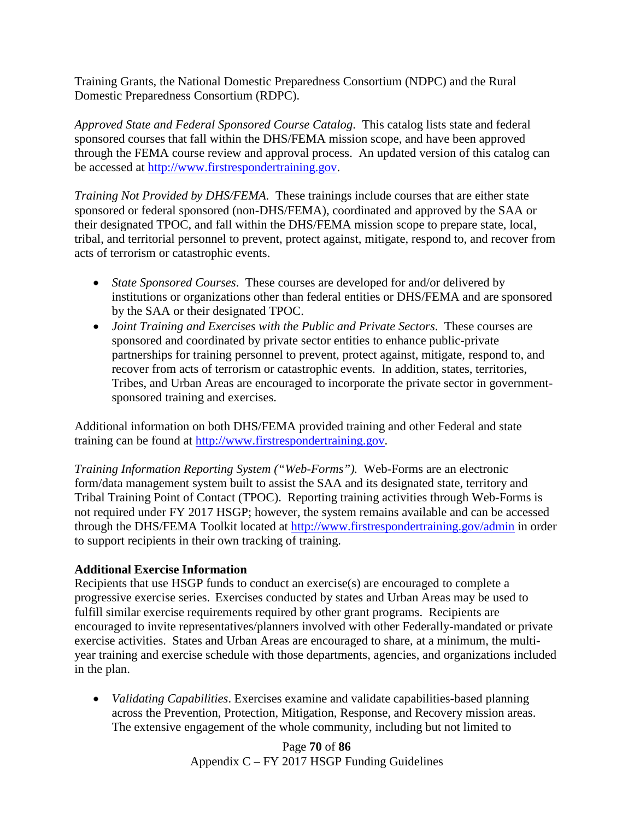Training Grants, the National Domestic Preparedness Consortium (NDPC) and the Rural Domestic Preparedness Consortium (RDPC).

*Approved State and Federal Sponsored Course Catalog*. This catalog lists state and federal sponsored courses that fall within the DHS/FEMA mission scope, and have been approved through the FEMA course review and approval process. An updated version of this catalog can be accessed at [http://www.firstrespondertraining.gov.](http://www.firstrespondertraining.gov/)

*Training Not Provided by DHS/FEMA.* These trainings include courses that are either state sponsored or federal sponsored (non-DHS/FEMA), coordinated and approved by the SAA or their designated TPOC, and fall within the DHS/FEMA mission scope to prepare state, local, tribal, and territorial personnel to prevent, protect against, mitigate, respond to, and recover from acts of terrorism or catastrophic events.

- *State Sponsored Courses*. These courses are developed for and/or delivered by institutions or organizations other than federal entities or DHS/FEMA and are sponsored by the SAA or their designated TPOC.
- *Joint Training and Exercises with the Public and Private Sectors.* These courses are sponsored and coordinated by private sector entities to enhance public-private partnerships for training personnel to prevent, protect against, mitigate, respond to, and recover from acts of terrorism or catastrophic events. In addition, states, territories, Tribes, and Urban Areas are encouraged to incorporate the private sector in governmentsponsored training and exercises.

Additional information on both DHS/FEMA provided training and other Federal and state training can be found at [http://www.firstrespondertraining.gov.](http://www.firstrespondertraining.gov/)

*Training Information Reporting System ("Web-Forms").* Web-Forms are an electronic form/data management system built to assist the SAA and its designated state, territory and Tribal Training Point of Contact (TPOC). Reporting training activities through Web-Forms is not required under FY 2017 HSGP; however, the system remains available and can be accessed through the DHS/FEMA Toolkit located at http:/[/www.firstrespondertraining.gov/admin](http://www.firstrespondertraining.gov/admin) in order to support recipients in their own tracking of training.

## **Additional Exercise Information**

Recipients that use HSGP funds to conduct an exercise(s) are encouraged to complete a progressive exercise series. Exercises conducted by states and Urban Areas may be used to fulfill similar exercise requirements required by other grant programs. Recipients are encouraged to invite representatives/planners involved with other Federally-mandated or private exercise activities. States and Urban Areas are encouraged to share, at a minimum, the multiyear training and exercise schedule with those departments, agencies, and organizations included in the plan.

• *Validating Capabilities*. Exercises examine and validate capabilities-based planning across the Prevention, Protection, Mitigation, Response, and Recovery mission areas. The extensive engagement of the whole community, including but not limited to

> Page **70** of **86** Appendix C – FY 2017 HSGP Funding Guidelines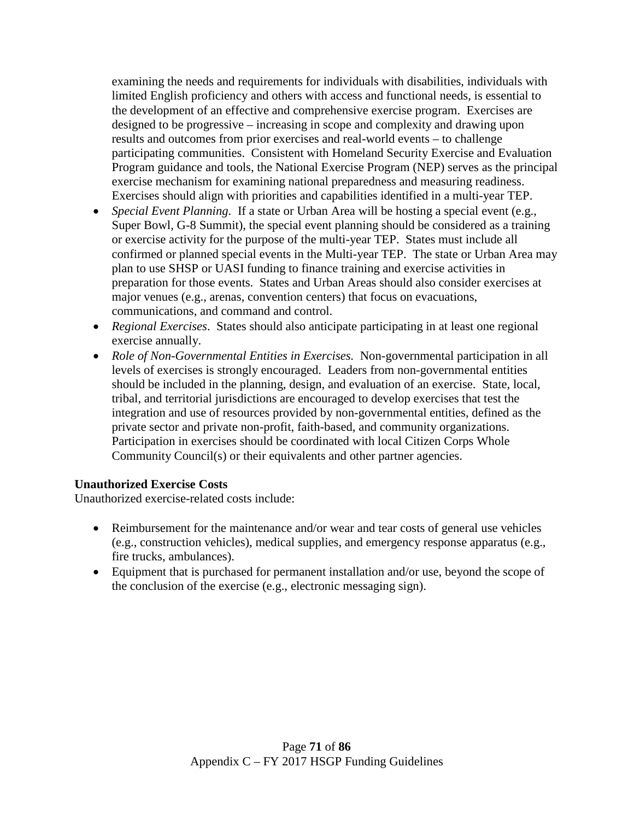examining the needs and requirements for individuals with disabilities, individuals with limited English proficiency and others with access and functional needs, is essential to the development of an effective and comprehensive exercise program. Exercises are designed to be progressive – increasing in scope and complexity and drawing upon results and outcomes from prior exercises and real-world events – to challenge participating communities. Consistent with Homeland Security Exercise and Evaluation Program guidance and tools, the National Exercise Program (NEP) serves as the principal exercise mechanism for examining national preparedness and measuring readiness. Exercises should align with priorities and capabilities identified in a multi-year TEP.

- *Special Event Planning*. If a state or Urban Area will be hosting a special event (e.g., Super Bowl, G-8 Summit), the special event planning should be considered as a training or exercise activity for the purpose of the multi-year TEP. States must include all confirmed or planned special events in the Multi-year TEP. The state or Urban Area may plan to use SHSP or UASI funding to finance training and exercise activities in preparation for those events. States and Urban Areas should also consider exercises at major venues (e.g., arenas, convention centers) that focus on evacuations, communications, and command and control.
- *Regional Exercises*. States should also anticipate participating in at least one regional exercise annually.
- *Role of Non-Governmental Entities in Exercises.*Non-governmental participation in all levels of exercises is strongly encouraged. Leaders from non-governmental entities should be included in the planning, design, and evaluation of an exercise. State, local, tribal, and territorial jurisdictions are encouraged to develop exercises that test the integration and use of resources provided by non-governmental entities, defined as the private sector and private non-profit, faith-based, and community organizations. Participation in exercises should be coordinated with local Citizen Corps Whole Community Council(s) or their equivalents and other partner agencies.

#### **Unauthorized Exercise Costs**

Unauthorized exercise-related costs include:

- Reimbursement for the maintenance and/or wear and tear costs of general use vehicles (e.g., construction vehicles), medical supplies, and emergency response apparatus (e.g., fire trucks, ambulances).
- Equipment that is purchased for permanent installation and/or use, beyond the scope of the conclusion of the exercise (e.g., electronic messaging sign).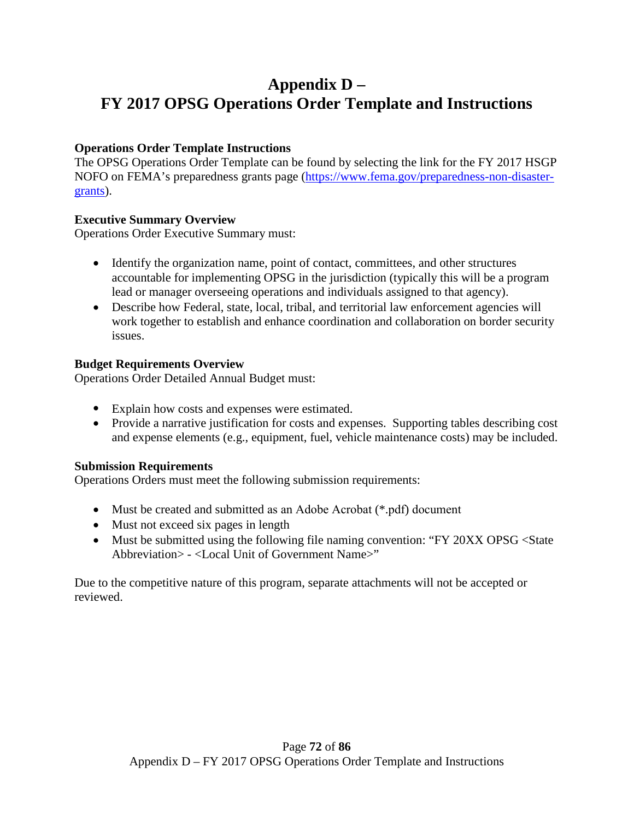# **Appendix D – FY 2017 OPSG Operations Order Template and Instructions**

## **Operations Order Template Instructions**

The OPSG Operations Order Template can be found by selecting the link for the FY 2017 HSGP NOFO on FEMA's preparedness grants page [\(https://www.fema.gov/preparedness-non-disaster](https://www.fema.gov/preparedness-non-disaster-grants)[grants\)](https://www.fema.gov/preparedness-non-disaster-grants).

## **Executive Summary Overview**

Operations Order Executive Summary must:

- Identify the organization name, point of contact, committees, and other structures accountable for implementing OPSG in the jurisdiction (typically this will be a program lead or manager overseeing operations and individuals assigned to that agency).
- Describe how Federal, state, local, tribal, and territorial law enforcement agencies will work together to establish and enhance coordination and collaboration on border security issues.

## **Budget Requirements Overview**

Operations Order Detailed Annual Budget must:

- Explain how costs and expenses were estimated.
- Provide a narrative justification for costs and expenses. Supporting tables describing cost and expense elements (e.g., equipment, fuel, vehicle maintenance costs) may be included.

## **Submission Requirements**

Operations Orders must meet the following submission requirements:

- Must be created and submitted as an Adobe Acrobat (\*.pdf) document
- Must not exceed six pages in length
- Must be submitted using the following file naming convention: "FY 20XX OPSG <State Abbreviation> - <Local Unit of Government Name>"

Due to the competitive nature of this program, separate attachments will not be accepted or reviewed.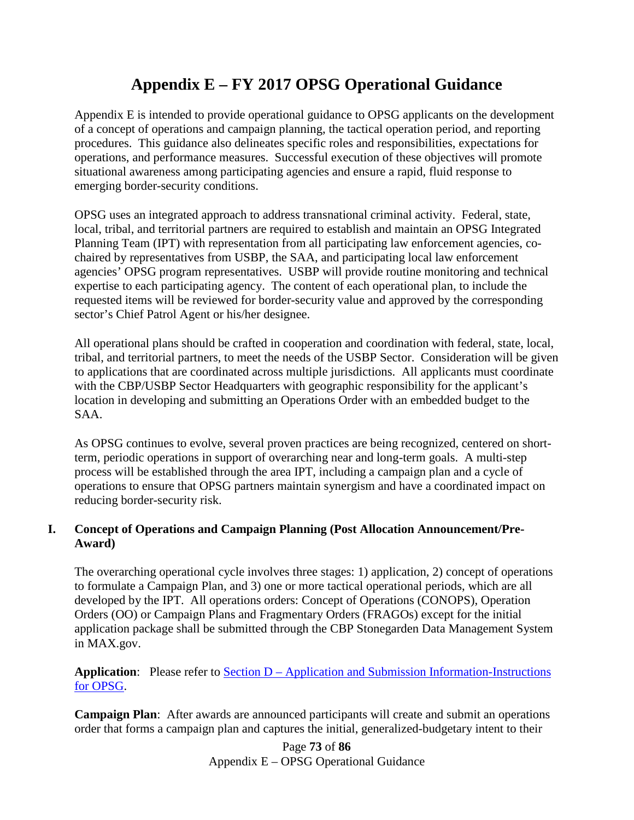## **Appendix E – FY 2017 OPSG Operational Guidance**

Appendix E is intended to provide operational guidance to OPSG applicants on the development of a concept of operations and campaign planning, the tactical operation period, and reporting procedures. This guidance also delineates specific roles and responsibilities, expectations for operations, and performance measures. Successful execution of these objectives will promote situational awareness among participating agencies and ensure a rapid, fluid response to emerging border-security conditions.

OPSG uses an integrated approach to address transnational criminal activity. Federal, state, local, tribal, and territorial partners are required to establish and maintain an OPSG Integrated Planning Team (IPT) with representation from all participating law enforcement agencies, cochaired by representatives from USBP, the SAA, and participating local law enforcement agencies' OPSG program representatives. USBP will provide routine monitoring and technical expertise to each participating agency. The content of each operational plan, to include the requested items will be reviewed for border-security value and approved by the corresponding sector's Chief Patrol Agent or his/her designee.

All operational plans should be crafted in cooperation and coordination with federal, state, local, tribal, and territorial partners, to meet the needs of the USBP Sector. Consideration will be given to applications that are coordinated across multiple jurisdictions. All applicants must coordinate with the CBP/USBP Sector Headquarters with geographic responsibility for the applicant's location in developing and submitting an Operations Order with an embedded budget to the SAA.

As OPSG continues to evolve, several proven practices are being recognized, centered on shortterm, periodic operations in support of overarching near and long-term goals. A multi-step process will be established through the area IPT, including a campaign plan and a cycle of operations to ensure that OPSG partners maintain synergism and have a coordinated impact on reducing border-security risk.

### **I. Concept of Operations and Campaign Planning (Post Allocation Announcement/Pre-Award)**

The overarching operational cycle involves three stages: 1) application, 2) concept of operations to formulate a Campaign Plan, and 3) one or more tactical operational periods, which are all developed by the IPT. All operations orders: Concept of Operations (CONOPS), Operation Orders (OO) or Campaign Plans and Fragmentary Orders (FRAGOs) except for the initial application package shall be submitted through the CBP Stonegarden Data Management System in MAX.gov.

**Application:** Please refer to **Section D** – Application and Submission Information-Instructions [for OPSG.](#page-12-0)

**Campaign Plan:** After awards are announced participants will create and submit an operations order that forms a campaign plan and captures the initial, generalized-budgetary intent to their

> Page **73** of **86** Appendix E – OPSG Operational Guidance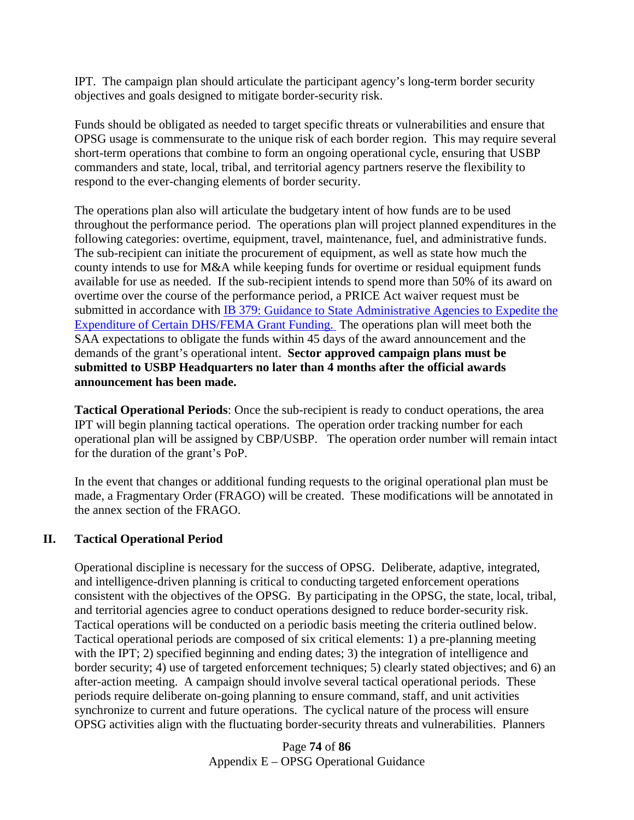IPT. The campaign plan should articulate the participant agency's long-term border security objectives and goals designed to mitigate border-security risk.

Funds should be obligated as needed to target specific threats or vulnerabilities and ensure that OPSG usage is commensurate to the unique risk of each border region. This may require several short-term operations that combine to form an ongoing operational cycle, ensuring that USBP commanders and state, local, tribal, and territorial agency partners reserve the flexibility to respond to the ever-changing elements of border security.

The operations plan also will articulate the budgetary intent of how funds are to be used throughout the performance period. The operations plan will project planned expenditures in the following categories: overtime, equipment, travel, maintenance, fuel, and administrative funds. The sub-recipient can initiate the procurement of equipment, as well as state how much the county intends to use for M&A while keeping funds for overtime or residual equipment funds available for use as needed. If the sub-recipient intends to spend more than 50% of its award on overtime over the course of the performance period, a PRICE Act waiver request must be submitted in accordance with [IB 379:](http://www.fema.gov/pdf/government/grant/bulletins/info379.pdf) Guidance to State Administrative Agencies to Expedite the [Expenditure of Certain DHS/FEMA Grant Funding.](http://www.fema.gov/pdf/government/grant/bulletins/info379.pdf) The operations plan will meet both the SAA expectations to obligate the funds within 45 days of the award announcement and the demands of the grant's operational intent. **Sector approved campaign plans must be submitted to USBP Headquarters no later than 4 months after the official awards announcement has been made.** 

**Tactical Operational Periods**: Once the sub-recipient is ready to conduct operations, the area IPT will begin planning tactical operations. The operation order tracking number for each operational plan will be assigned by CBP/USBP. The operation order number will remain intact for the duration of the grant's PoP.

In the event that changes or additional funding requests to the original operational plan must be made, a Fragmentary Order (FRAGO) will be created. These modifications will be annotated in the annex section of the FRAGO.

#### **II. Tactical Operational Period**

Operational discipline is necessary for the success of OPSG. Deliberate, adaptive, integrated, and intelligence-driven planning is critical to conducting targeted enforcement operations consistent with the objectives of the OPSG. By participating in the OPSG, the state, local, tribal, and territorial agencies agree to conduct operations designed to reduce border-security risk. Tactical operations will be conducted on a periodic basis meeting the criteria outlined below. Tactical operational periods are composed of six critical elements: 1) a pre-planning meeting with the IPT; 2) specified beginning and ending dates; 3) the integration of intelligence and border security; 4) use of targeted enforcement techniques; 5) clearly stated objectives; and 6) an after-action meeting. A campaign should involve several tactical operational periods. These periods require deliberate on-going planning to ensure command, staff, and unit activities synchronize to current and future operations. The cyclical nature of the process will ensure OPSG activities align with the fluctuating border-security threats and vulnerabilities. Planners

> Page **74** of **86** Appendix E – OPSG Operational Guidance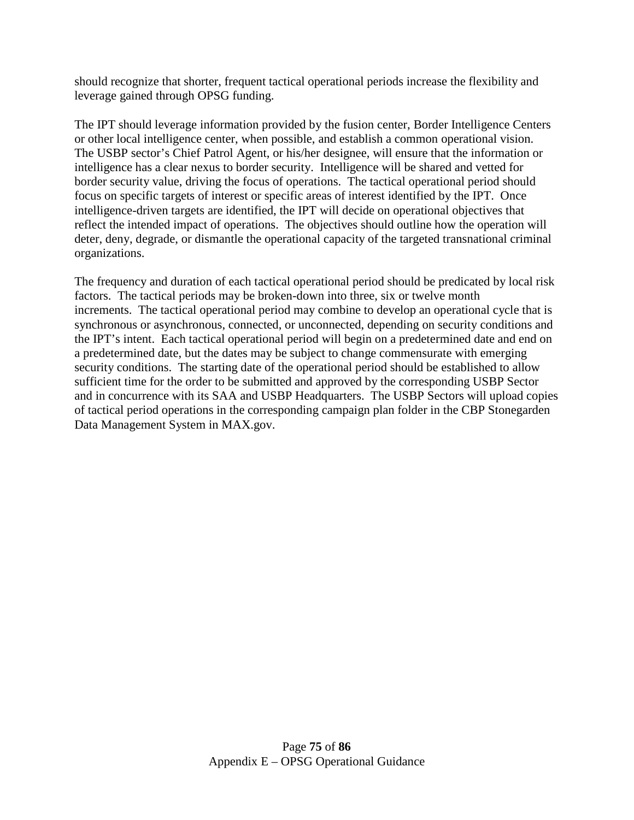should recognize that shorter, frequent tactical operational periods increase the flexibility and leverage gained through OPSG funding.

The IPT should leverage information provided by the fusion center, Border Intelligence Centers or other local intelligence center, when possible, and establish a common operational vision. The USBP sector's Chief Patrol Agent, or his/her designee, will ensure that the information or intelligence has a clear nexus to border security. Intelligence will be shared and vetted for border security value, driving the focus of operations. The tactical operational period should focus on specific targets of interest or specific areas of interest identified by the IPT. Once intelligence-driven targets are identified, the IPT will decide on operational objectives that reflect the intended impact of operations. The objectives should outline how the operation will deter, deny, degrade, or dismantle the operational capacity of the targeted transnational criminal organizations.

The frequency and duration of each tactical operational period should be predicated by local risk factors. The tactical periods may be broken-down into three, six or twelve month increments. The tactical operational period may combine to develop an operational cycle that is synchronous or asynchronous, connected, or unconnected, depending on security conditions and the IPT's intent. Each tactical operational period will begin on a predetermined date and end on a predetermined date, but the dates may be subject to change commensurate with emerging security conditions. The starting date of the operational period should be established to allow sufficient time for the order to be submitted and approved by the corresponding USBP Sector and in concurrence with its SAA and USBP Headquarters. The USBP Sectors will upload copies of tactical period operations in the corresponding campaign plan folder in the CBP Stonegarden Data Management System in MAX.gov.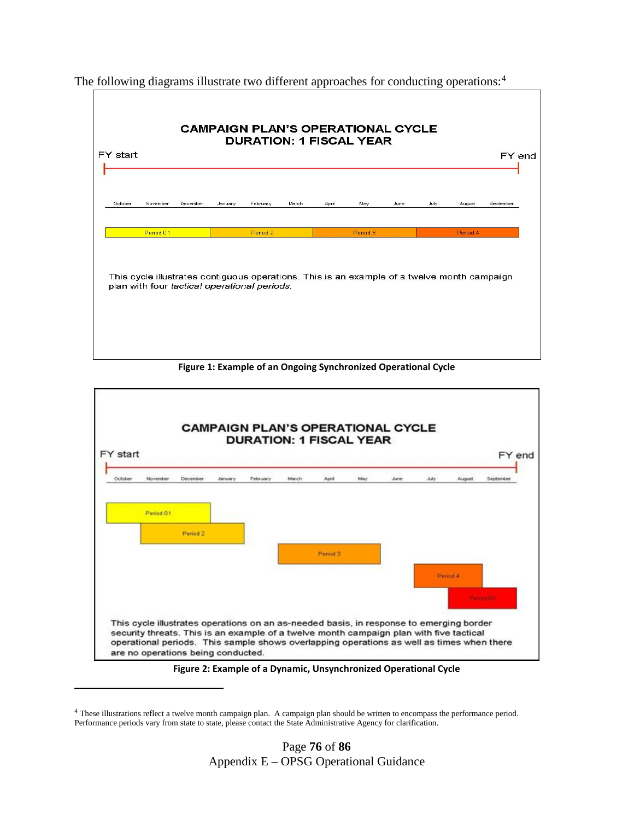**CAMPAIGN PLAN'S OPERATIONAL CYCLE DURATION: 1 FISCAL YEAR** FY start FY end Octobe Novembe Januar February March Apri August September Period 01 Period<sub>2</sub> Period 3 This cycle illustrates contiguous operations. This is an example of a twelve month campaign plan with four tactical operational periods.

The following diagrams illustrate two different approaches for conducting operations:<sup>[4](#page-75-0)</sup>

**Figure 1: Example of an Ongoing Synchronized Operational Cycle**



**Figure 2: Example of a Dynamic, Unsynchronized Operational Cycle**

 $\overline{\phantom{a}}$ 

<span id="page-75-0"></span><sup>4</sup> These illustrations reflect a twelve month campaign plan. A campaign plan should be written to encompass the performance period. Performance periods vary from state to state, please contact the State Administrative Agency for clarification.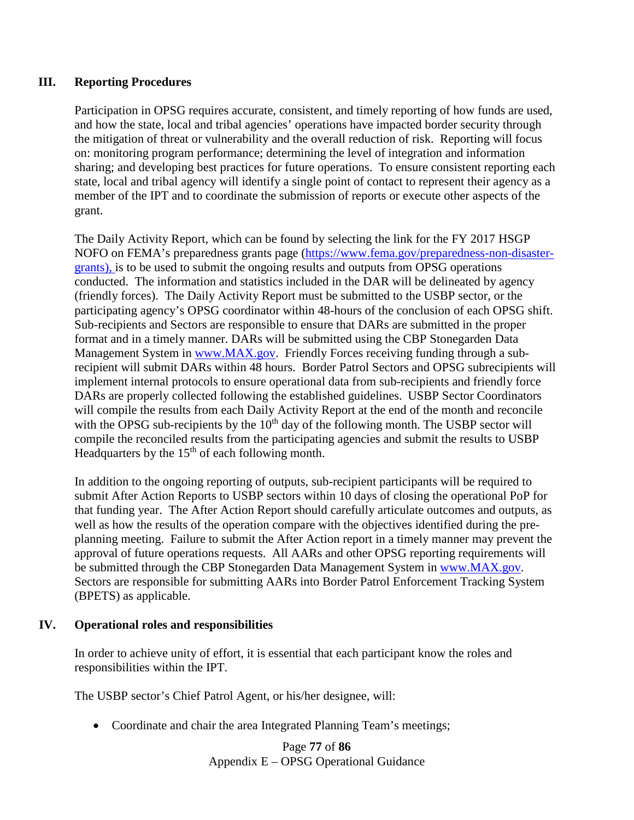#### **III. Reporting Procedures**

Participation in OPSG requires accurate, consistent, and timely reporting of how funds are used, and how the state, local and tribal agencies' operations have impacted border security through the mitigation of threat or vulnerability and the overall reduction of risk. Reporting will focus on: monitoring program performance; determining the level of integration and information sharing; and developing best practices for future operations. To ensure consistent reporting each state, local and tribal agency will identify a single point of contact to represent their agency as a member of the IPT and to coordinate the submission of reports or execute other aspects of the grant.

The Daily Activity Report, which can be found by selecting the link for the FY 2017 HSGP NOFO on FEMA's preparedness grants page [\(https://www.fema.gov/preparedness-non-disaster](https://www.fema.gov/preparedness-non-disaster-grants)[grants\)](https://www.fema.gov/preparedness-non-disaster-grants), is to be used to submit the ongoing results and outputs from OPSG operations conducted. The information and statistics included in the DAR will be delineated by agency (friendly forces).The Daily Activity Report must be submitted to the USBP sector, or the participating agency's OPSG coordinator within 48-hours of the conclusion of each OPSG shift. Sub-recipients and Sectors are responsible to ensure that DARs are submitted in the proper format and in a timely manner. DARs will be submitted using the CBP Stonegarden Data Management System in [www.MAX.gov.](http://www.max.gov/) Friendly Forces receiving funding through a subrecipient will submit DARs within 48 hours. Border Patrol Sectors and OPSG subrecipients will implement internal protocols to ensure operational data from sub-recipients and friendly force DARs are properly collected following the established guidelines. USBP Sector Coordinators will compile the results from each Daily Activity Report at the end of the month and reconcile with the OPSG sub-recipients by the  $10<sup>th</sup>$  day of the following month. The USBP sector will compile the reconciled results from the participating agencies and submit the results to USBP Headquarters by the  $15<sup>th</sup>$  of each following month.

In addition to the ongoing reporting of outputs, sub-recipient participants will be required to submit After Action Reports to USBP sectors within 10 days of closing the operational PoP for that funding year. The After Action Report should carefully articulate outcomes and outputs, as well as how the results of the operation compare with the objectives identified during the preplanning meeting. Failure to submit the After Action report in a timely manner may prevent the approval of future operations requests. All AARs and other OPSG reporting requirements will be submitted through the CBP Stonegarden Data Management System in [www.MAX.gov.](http://www.max.gov/) Sectors are responsible for submitting AARs into Border Patrol Enforcement Tracking System (BPETS) as applicable.

#### **IV. Operational roles and responsibilities**

In order to achieve unity of effort, it is essential that each participant know the roles and responsibilities within the IPT.

The USBP sector's Chief Patrol Agent, or his/her designee, will:

• Coordinate and chair the area Integrated Planning Team's meetings;

Page **77** of **86** Appendix E – OPSG Operational Guidance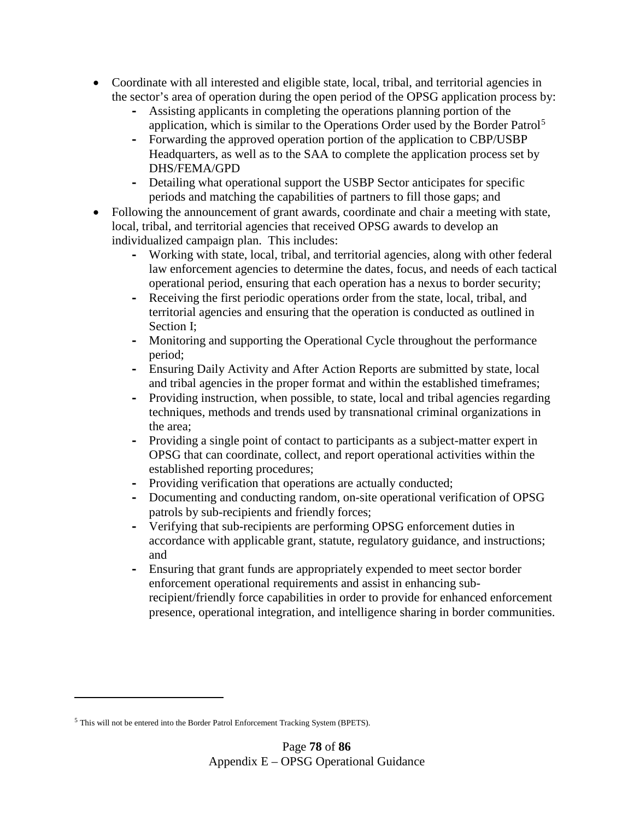- Coordinate with all interested and eligible state, local, tribal, and territorial agencies in the sector's area of operation during the open period of the OPSG application process by:
	- **-** Assisting applicants in completing the operations planning portion of the application, which is similar to the Operations Order used by the Border Patrol<sup>[5](#page-77-0)</sup>
	- **-** Forwarding the approved operation portion of the application to CBP/USBP Headquarters, as well as to the SAA to complete the application process set by DHS/FEMA/GPD
	- **-** Detailing what operational support the USBP Sector anticipates for specific periods and matching the capabilities of partners to fill those gaps; and
- Following the announcement of grant awards, coordinate and chair a meeting with state, local, tribal, and territorial agencies that received OPSG awards to develop an individualized campaign plan. This includes:
	- **-** Working with state, local, tribal, and territorial agencies, along with other federal law enforcement agencies to determine the dates, focus, and needs of each tactical operational period, ensuring that each operation has a nexus to border security;
	- **-** Receiving the first periodic operations order from the state, local, tribal, and territorial agencies and ensuring that the operation is conducted as outlined in Section I;
	- **-** Monitoring and supporting the Operational Cycle throughout the performance period;
	- **-** Ensuring Daily Activity and After Action Reports are submitted by state, local and tribal agencies in the proper format and within the established timeframes;
	- **-** Providing instruction, when possible, to state, local and tribal agencies regarding techniques, methods and trends used by transnational criminal organizations in the area;
	- **-** Providing a single point of contact to participants as a subject-matter expert in OPSG that can coordinate, collect, and report operational activities within the established reporting procedures;
	- **-** Providing verification that operations are actually conducted;
	- **-** Documenting and conducting random, on-site operational verification of OPSG patrols by sub-recipients and friendly forces;
	- **-** Verifying that sub-recipients are performing OPSG enforcement duties in accordance with applicable grant, statute, regulatory guidance, and instructions; and
	- **-** Ensuring that grant funds are appropriately expended to meet sector border enforcement operational requirements and assist in enhancing subrecipient/friendly force capabilities in order to provide for enhanced enforcement presence, operational integration, and intelligence sharing in border communities.

l

<span id="page-77-0"></span><sup>5</sup> This will not be entered into the Border Patrol Enforcement Tracking System (BPETS).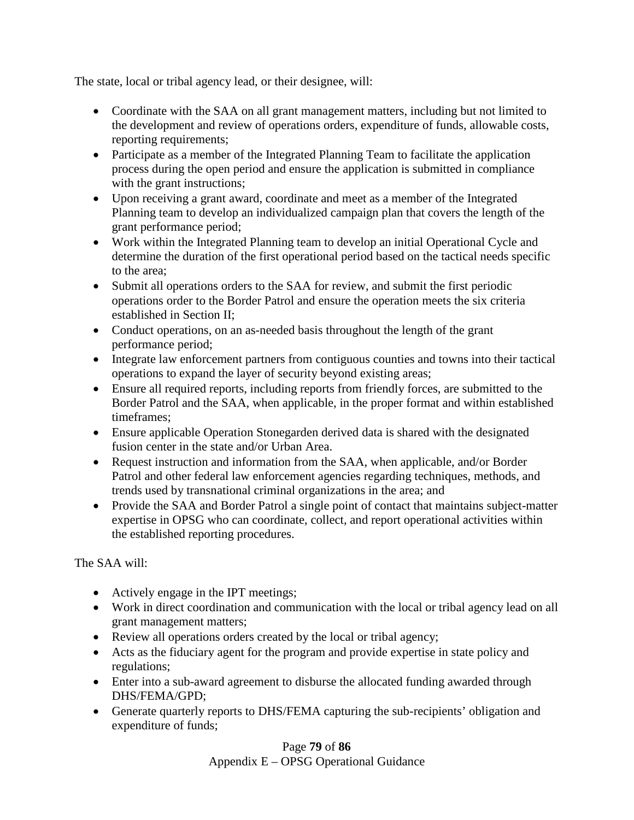The state, local or tribal agency lead, or their designee, will:

- Coordinate with the SAA on all grant management matters, including but not limited to the development and review of operations orders, expenditure of funds, allowable costs, reporting requirements;
- Participate as a member of the Integrated Planning Team to facilitate the application process during the open period and ensure the application is submitted in compliance with the grant instructions;
- Upon receiving a grant award, coordinate and meet as a member of the Integrated Planning team to develop an individualized campaign plan that covers the length of the grant performance period;
- Work within the Integrated Planning team to develop an initial Operational Cycle and determine the duration of the first operational period based on the tactical needs specific to the area;
- Submit all operations orders to the SAA for review, and submit the first periodic operations order to the Border Patrol and ensure the operation meets the six criteria established in Section II;
- Conduct operations, on an as-needed basis throughout the length of the grant performance period;
- Integrate law enforcement partners from contiguous counties and towns into their tactical operations to expand the layer of security beyond existing areas;
- Ensure all required reports, including reports from friendly forces, are submitted to the Border Patrol and the SAA, when applicable, in the proper format and within established timeframes;
- Ensure applicable Operation Stonegarden derived data is shared with the designated fusion center in the state and/or Urban Area.
- Request instruction and information from the SAA, when applicable, and/or Border Patrol and other federal law enforcement agencies regarding techniques, methods, and trends used by transnational criminal organizations in the area; and
- Provide the SAA and Border Patrol a single point of contact that maintains subject-matter expertise in OPSG who can coordinate, collect, and report operational activities within the established reporting procedures.

The SAA will:

- Actively engage in the IPT meetings;
- Work in direct coordination and communication with the local or tribal agency lead on all grant management matters;
- Review all operations orders created by the local or tribal agency;
- Acts as the fiduciary agent for the program and provide expertise in state policy and regulations;
- Enter into a sub-award agreement to disburse the allocated funding awarded through DHS/FEMA/GPD;
- Generate quarterly reports to DHS/FEMA capturing the sub-recipients' obligation and expenditure of funds;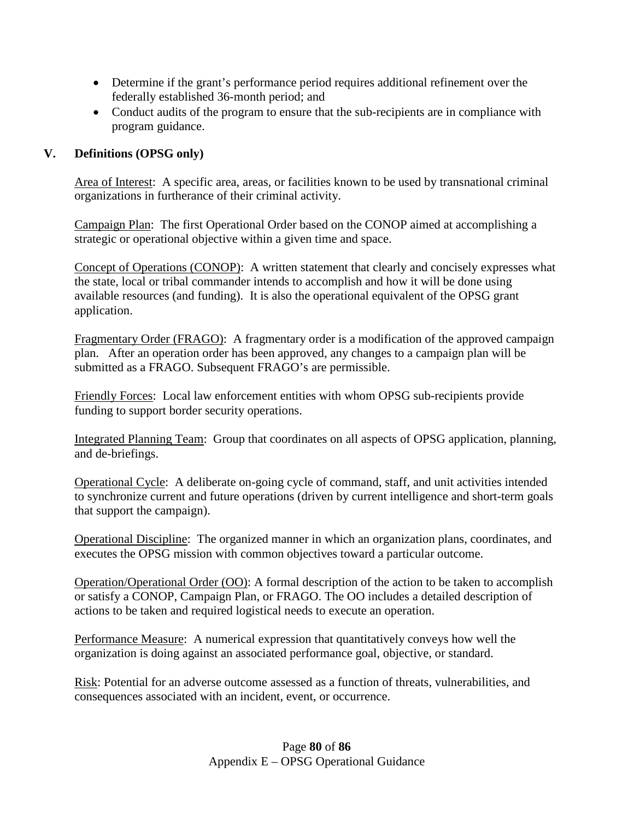- Determine if the grant's performance period requires additional refinement over the federally established 36-month period; and
- Conduct audits of the program to ensure that the sub-recipients are in compliance with program guidance.

### **V. Definitions (OPSG only)**

Area of Interest: A specific area, areas, or facilities known to be used by transnational criminal organizations in furtherance of their criminal activity.

Campaign Plan: The first Operational Order based on the CONOP aimed at accomplishing a strategic or operational objective within a given time and space.

Concept of Operations (CONOP): A written statement that clearly and concisely expresses what the state, local or tribal commander intends to accomplish and how it will be done using available resources (and funding). It is also the operational equivalent of the OPSG grant application.

Fragmentary Order (FRAGO): A fragmentary order is a modification of the approved campaign plan. After an operation order has been approved, any changes to a campaign plan will be submitted as a FRAGO. Subsequent FRAGO's are permissible.

Friendly Forces: Local law enforcement entities with whom OPSG sub-recipients provide funding to support border security operations.

Integrated Planning Team: Group that coordinates on all aspects of OPSG application, planning, and de-briefings.

Operational Cycle: A deliberate on-going cycle of command, staff, and unit activities intended to synchronize current and future operations (driven by current intelligence and short-term goals that support the campaign).

Operational Discipline: The organized manner in which an organization plans, coordinates, and executes the OPSG mission with common objectives toward a particular outcome.

Operation/Operational Order (OO): A formal description of the action to be taken to accomplish or satisfy a CONOP, Campaign Plan, or FRAGO. The OO includes a detailed description of actions to be taken and required logistical needs to execute an operation.

Performance Measure: A numerical expression that quantitatively conveys how well the organization is doing against an associated performance goal, objective, or standard.

Risk: Potential for an adverse outcome assessed as a function of threats, vulnerabilities, and consequences associated with an incident, event, or occurrence.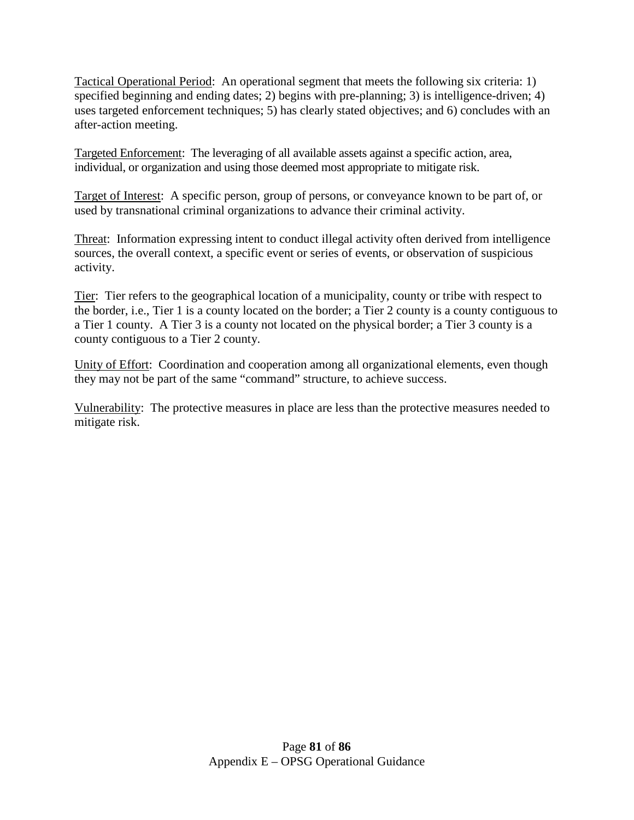Tactical Operational Period: An operational segment that meets the following six criteria: 1) specified beginning and ending dates; 2) begins with pre-planning; 3) is intelligence-driven; 4) uses targeted enforcement techniques; 5) has clearly stated objectives; and 6) concludes with an after-action meeting.

Targeted Enforcement: The leveraging of all available assets against a specific action, area, individual, or organization and using those deemed most appropriate to mitigate risk.

Target of Interest: A specific person, group of persons, or conveyance known to be part of, or used by transnational criminal organizations to advance their criminal activity.

Threat: Information expressing intent to conduct illegal activity often derived from intelligence sources, the overall context, a specific event or series of events, or observation of suspicious activity.

Tier: Tier refers to the geographical location of a municipality, county or tribe with respect to the border, i.e., Tier 1 is a county located on the border; a Tier 2 county is a county contiguous to a Tier 1 county. A Tier 3 is a county not located on the physical border; a Tier 3 county is a county contiguous to a Tier 2 county.

Unity of Effort: Coordination and cooperation among all organizational elements, even though they may not be part of the same "command" structure, to achieve success.

Vulnerability: The protective measures in place are less than the protective measures needed to mitigate risk.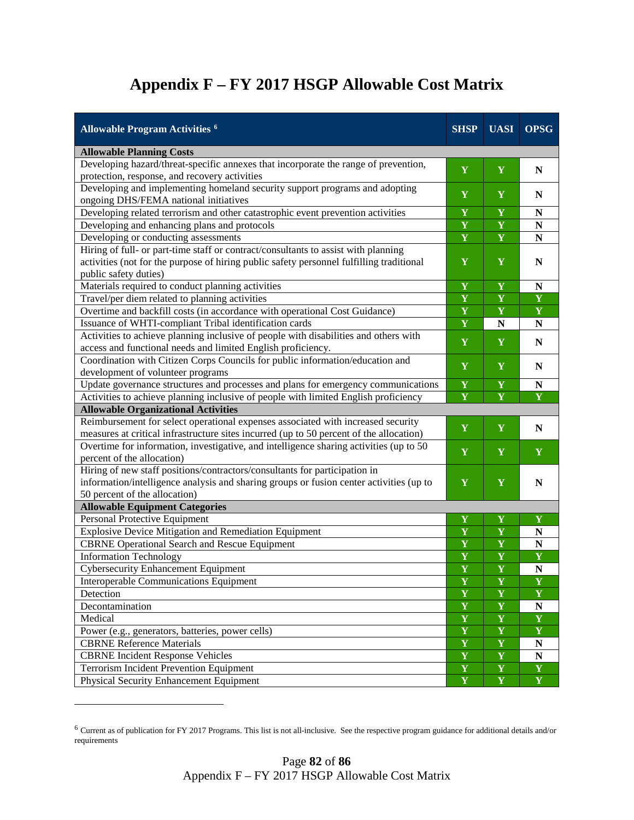# **Appendix F – FY 2017 HSGP Allowable Cost Matrix**

| <b>Allowable Program Activities 6</b>                                                    | <b>SHSP</b>             | <b>UASI</b>             | <b>OPSG</b>             |  |  |
|------------------------------------------------------------------------------------------|-------------------------|-------------------------|-------------------------|--|--|
| <b>Allowable Planning Costs</b>                                                          |                         |                         |                         |  |  |
| Developing hazard/threat-specific annexes that incorporate the range of prevention,      | Y                       | Y                       | N                       |  |  |
| protection, response, and recovery activities                                            |                         |                         |                         |  |  |
| Developing and implementing homeland security support programs and adopting              | $\mathbf Y$             | Y                       | $\mathbf N$             |  |  |
| ongoing DHS/FEMA national initiatives                                                    |                         |                         |                         |  |  |
| Developing related terrorism and other catastrophic event prevention activities          | Y                       | Y                       | N                       |  |  |
| Developing and enhancing plans and protocols                                             | $\overline{\mathbf{Y}}$ | Y                       | N                       |  |  |
| Developing or conducting assessments                                                     | $\overline{\mathbf{Y}}$ | $\overline{\mathbf{Y}}$ | ${\bf N}$               |  |  |
| Hiring of full- or part-time staff or contract/consultants to assist with planning       |                         |                         |                         |  |  |
| activities (not for the purpose of hiring public safety personnel fulfilling traditional | Y                       | Y                       | N                       |  |  |
| public safety duties)                                                                    |                         |                         |                         |  |  |
| Materials required to conduct planning activities                                        | Y                       | $\mathbf Y$             | ${\bf N}$               |  |  |
| Travel/per diem related to planning activities                                           | Y                       | Y                       | Y                       |  |  |
| Overtime and backfill costs (in accordance with operational Cost Guidance)               | Y                       | $\mathbf Y$             | $\mathbf Y$             |  |  |
| Issuance of WHTI-compliant Tribal identification cards                                   | Y                       | N                       | $\mathbf N$             |  |  |
| Activities to achieve planning inclusive of people with disabilities and others with     | Y                       | Y                       | $\mathbf N$             |  |  |
| access and functional needs and limited English proficiency.                             |                         |                         |                         |  |  |
| Coordination with Citizen Corps Councils for public information/education and            | Y                       | Y                       | ${\bf N}$               |  |  |
| development of volunteer programs                                                        |                         |                         |                         |  |  |
| Update governance structures and processes and plans for emergency communications        | Y                       | $\mathbf Y$             | ${\bf N}$               |  |  |
| Activities to achieve planning inclusive of people with limited English proficiency      | Y                       | $\overline{\mathbf{Y}}$ | $\overline{\mathbf{Y}}$ |  |  |
| <b>Allowable Organizational Activities</b>                                               |                         |                         |                         |  |  |
| Reimbursement for select operational expenses associated with increased security         | $\mathbf Y$             | $\mathbf Y$             | N                       |  |  |
| measures at critical infrastructure sites incurred (up to 50 percent of the allocation)  |                         |                         |                         |  |  |
| Overtime for information, investigative, and intelligence sharing activities (up to 50   | Y                       | Y                       | Y                       |  |  |
| percent of the allocation)                                                               |                         |                         |                         |  |  |
| Hiring of new staff positions/contractors/consultants for participation in               |                         |                         |                         |  |  |
| information/intelligence analysis and sharing groups or fusion center activities (up to  | Y                       | Y                       | N                       |  |  |
| 50 percent of the allocation)                                                            |                         |                         |                         |  |  |
| <b>Allowable Equipment Categories</b>                                                    |                         |                         |                         |  |  |
| Personal Protective Equipment                                                            | Y                       | Y                       | Y                       |  |  |
| Explosive Device Mitigation and Remediation Equipment                                    | Y                       | Y                       | N                       |  |  |
| <b>CBRNE</b> Operational Search and Rescue Equipment                                     | $\mathbf Y$             | $\mathbf Y$             | ${\bf N}$               |  |  |
| <b>Information Technology</b>                                                            | Y                       | Y                       | $\mathbf Y$             |  |  |
| <b>Cybersecurity Enhancement Equipment</b>                                               | Y                       | $\mathbf Y$             | ${\bf N}$               |  |  |
| Interoperable Communications Equipment                                                   | $\mathbf Y$             | $\overline{\mathbf{Y}}$ | Y                       |  |  |
| Detection                                                                                | Y                       | Y                       | $\overline{\mathbf{Y}}$ |  |  |
| Decontamination                                                                          | $\mathbf Y$             | $\mathbf Y$             | ${\bf N}$               |  |  |
| Medical                                                                                  | $\mathbf Y$             | $\mathbf Y$             | $\overline{\mathbf{Y}}$ |  |  |
| Power (e.g., generators, batteries, power cells)                                         | $\mathbf Y$             | $\mathbf Y$             | $\mathbf Y$             |  |  |
| <b>CBRNE Reference Materials</b>                                                         | $\mathbf Y$             | $\mathbf Y$             | ${\bf N}$               |  |  |
| <b>CBRNE</b> Incident Response Vehicles                                                  | $\mathbf Y$             | $\mathbf Y$             | ${\bf N}$               |  |  |
| <b>Terrorism Incident Prevention Equipment</b>                                           | $\mathbf Y$             | $\mathbf Y$             | $\mathbf Y$             |  |  |
| <b>Physical Security Enhancement Equipment</b>                                           | $\mathbf Y$             | $\mathbf{Y}$            | $\mathbf{Y}$            |  |  |

<span id="page-81-0"></span><sup>6</sup> Current as of publication for FY 2017 Programs. This list is not all-inclusive. See the respective program guidance for additional details and/or requirements

 $\overline{\phantom{a}}$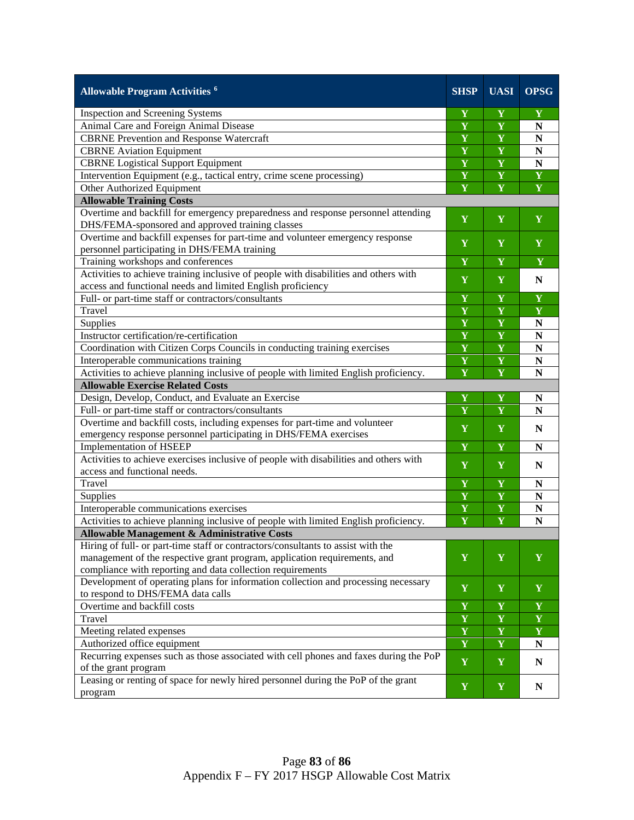| <b>Allowable Program Activities 6</b>                                                                                                           | <b>SHSP</b>             | <b>UASI</b>             | <b>OPSG</b>             |  |
|-------------------------------------------------------------------------------------------------------------------------------------------------|-------------------------|-------------------------|-------------------------|--|
| Inspection and Screening Systems                                                                                                                | Y                       | Y                       | Y                       |  |
| Animal Care and Foreign Animal Disease                                                                                                          | $\overline{\mathbf{Y}}$ | $\overline{\mathbf{Y}}$ | N                       |  |
| <b>CBRNE Prevention and Response Watercraft</b>                                                                                                 | $\overline{\mathbf{Y}}$ | $\overline{\mathbf{Y}}$ | $\mathbf N$             |  |
| <b>CBRNE</b> Aviation Equipment                                                                                                                 | $\overline{\mathbf{Y}}$ | $\overline{\mathbf{Y}}$ | $\overline{\mathbf{N}}$ |  |
| <b>CBRNE</b> Logistical Support Equipment                                                                                                       | $\overline{\mathbf{Y}}$ | $\overline{\mathbf{Y}}$ | $\mathbf N$             |  |
| Intervention Equipment (e.g., tactical entry, crime scene processing)                                                                           | $\mathbf Y$             | $\mathbf Y$             | $\overline{\mathbf{Y}}$ |  |
| Other Authorized Equipment                                                                                                                      | Y                       | $\overline{\mathbf{Y}}$ | $\overline{\mathbf{Y}}$ |  |
| <b>Allowable Training Costs</b>                                                                                                                 |                         |                         |                         |  |
| Overtime and backfill for emergency preparedness and response personnel attending<br>DHS/FEMA-sponsored and approved training classes           | Y                       | Y                       | Y                       |  |
| Overtime and backfill expenses for part-time and volunteer emergency response<br>personnel participating in DHS/FEMA training                   | Y                       | Y                       | $\mathbf Y$             |  |
| Training workshops and conferences                                                                                                              | Y                       | Y                       | Y                       |  |
| Activities to achieve training inclusive of people with disabilities and others with                                                            |                         |                         |                         |  |
| access and functional needs and limited English proficiency                                                                                     | $\mathbf Y$             | Y                       | N                       |  |
| Full- or part-time staff or contractors/consultants                                                                                             | Y                       | Y                       | Y                       |  |
| Travel                                                                                                                                          | $\mathbf Y$             | Y                       | $\mathbf Y$             |  |
| Supplies                                                                                                                                        | Y                       | Y                       | ${\bf N}$               |  |
| Instructor certification/re-certification                                                                                                       | $\mathbf Y$             | $\mathbf Y$             | ${\bf N}$               |  |
| Coordination with Citizen Corps Councils in conducting training exercises                                                                       | $\mathbf Y$             | $\mathbf Y$             | ${\bf N}$               |  |
| Interoperable communications training                                                                                                           | $\mathbf Y$             | $\mathbf Y$             | ${\bf N}$               |  |
| Activities to achieve planning inclusive of people with limited English proficiency.                                                            | Y                       | $\mathbf Y$             | ${\bf N}$               |  |
| <b>Allowable Exercise Related Costs</b>                                                                                                         |                         |                         |                         |  |
| Design, Develop, Conduct, and Evaluate an Exercise                                                                                              | Y                       | $\mathbf Y$             | $\mathbf N$             |  |
| Full- or part-time staff or contractors/consultants                                                                                             | $\mathbf Y$             | $\mathbf Y$             | ${\bf N}$               |  |
| Overtime and backfill costs, including expenses for part-time and volunteer<br>emergency response personnel participating in DHS/FEMA exercises | Y                       | Y                       | $\mathbf N$             |  |
| <b>Implementation of HSEEP</b>                                                                                                                  | Y                       | Y                       | $\mathbf N$             |  |
| Activities to achieve exercises inclusive of people with disabilities and others with                                                           |                         |                         |                         |  |
| access and functional needs.                                                                                                                    | Y                       | Y                       | N                       |  |
| Travel                                                                                                                                          | Y                       | Y                       | N                       |  |
| Supplies                                                                                                                                        | Y                       | Y                       | $\mathbf N$             |  |
| Interoperable communications exercises                                                                                                          | Y                       | $\mathbf Y$             | N                       |  |
| Activities to achieve planning inclusive of people with limited English proficiency.                                                            | $\mathbf Y$             | $\mathbf Y$             | $\mathbf N$             |  |
| Allowable Management & Administrative Costs                                                                                                     |                         |                         |                         |  |
| Hiring of full- or part-time staff or contractors/consultants to assist with the                                                                |                         |                         |                         |  |
| management of the respective grant program, application requirements, and                                                                       | Y                       | $\mathbf Y$             | Y                       |  |
| compliance with reporting and data collection requirements                                                                                      |                         |                         |                         |  |
| Development of operating plans for information collection and processing necessary                                                              | Y                       | Y                       | Y                       |  |
| to respond to DHS/FEMA data calls                                                                                                               |                         |                         |                         |  |
| Overtime and backfill costs                                                                                                                     | $\mathbf Y$             | $\mathbf Y$             | $\mathbf Y$             |  |
| Travel                                                                                                                                          | Y                       | $\mathbf Y$             | $\mathbf Y$             |  |
| Meeting related expenses                                                                                                                        | Y                       | $\mathbf Y$             | $\mathbf Y$             |  |
| Authorized office equipment                                                                                                                     | $\mathbf Y$             | $\mathbf Y$             | N                       |  |
| Recurring expenses such as those associated with cell phones and faxes during the PoP<br>of the grant program                                   | Y                       | $\mathbf Y$             | ${\bf N}$               |  |
| Leasing or renting of space for newly hired personnel during the PoP of the grant<br>program                                                    | $\mathbf Y$             | $\mathbf Y$             | N                       |  |
|                                                                                                                                                 |                         |                         |                         |  |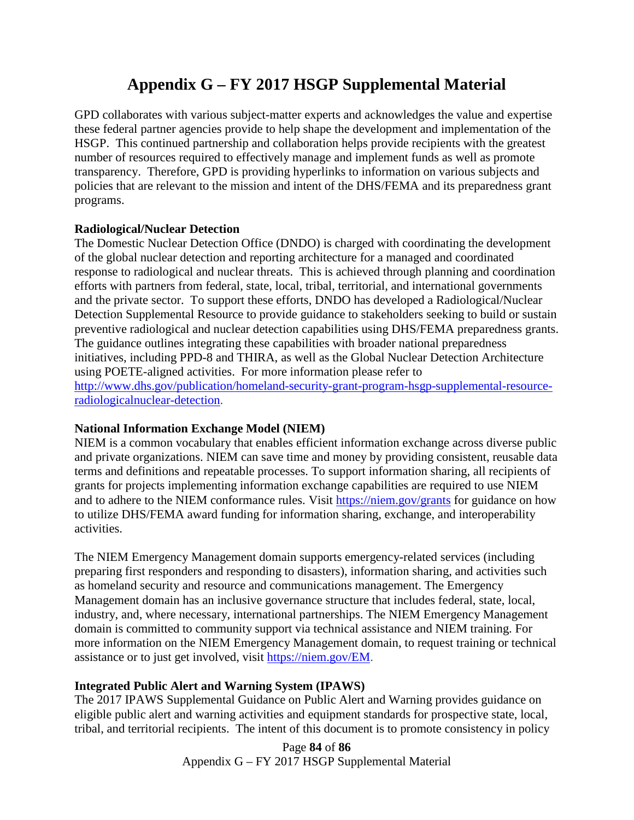# **Appendix G – FY 2017 HSGP Supplemental Material**

GPD collaborates with various subject-matter experts and acknowledges the value and expertise these federal partner agencies provide to help shape the development and implementation of the HSGP. This continued partnership and collaboration helps provide recipients with the greatest number of resources required to effectively manage and implement funds as well as promote transparency. Therefore, GPD is providing hyperlinks to information on various subjects and policies that are relevant to the mission and intent of the DHS/FEMA and its preparedness grant programs.

### **Radiological/Nuclear Detection**

The Domestic Nuclear Detection Office (DNDO) is charged with coordinating the development of the global nuclear detection and reporting architecture for a managed and coordinated response to radiological and nuclear threats. This is achieved through planning and coordination efforts with partners from federal, state, local, tribal, territorial, and international governments and the private sector. To support these efforts, DNDO has developed a Radiological/Nuclear Detection Supplemental Resource to provide guidance to stakeholders seeking to build or sustain preventive radiological and nuclear detection capabilities using DHS/FEMA preparedness grants. The guidance outlines integrating these capabilities with broader national preparedness initiatives, including PPD-8 and THIRA, as well as the Global Nuclear Detection Architecture using POETE-aligned activities. For more information please refer to [http://www.dhs.gov/publication/homeland-security-grant-program-hsgp-supplemental-resource](http://www.dhs.gov/publication/homeland-security-grant-program-hsgp-supplemental-resource-radiologicalnuclear-detection)[radiologicalnuclear-detection.](http://www.dhs.gov/publication/homeland-security-grant-program-hsgp-supplemental-resource-radiologicalnuclear-detection)

#### **National Information Exchange Model (NIEM)**

NIEM is a common vocabulary that enables efficient information exchange across diverse public and private organizations. NIEM can save time and money by providing consistent, reusable data terms and definitions and repeatable processes. To support information sharing, all recipients of grants for projects implementing information exchange capabilities are required to use NIEM and to adhere to the NIEM conformance rules. Visit<https://niem.gov/grants> for guidance on how to utilize DHS/FEMA award funding for information sharing, exchange, and interoperability activities.

The NIEM Emergency Management domain supports emergency-related services (including preparing first responders and responding to disasters), information sharing, and activities such as homeland security and resource and communications management. The Emergency Management domain has an inclusive governance structure that includes federal, state, local, industry, and, where necessary, international partnerships. The NIEM Emergency Management domain is committed to community support via technical assistance and NIEM training. For more information on the NIEM Emergency Management domain, to request training or technical assistance or to just get involved, visit [https://niem.gov/EM.](https://niem.gov/EM)

### **Integrated Public Alert and Warning System (IPAWS)**

The 2017 IPAWS Supplemental Guidance on Public Alert and Warning provides guidance on eligible public alert and warning activities and equipment standards for prospective state, local, tribal, and territorial recipients. The intent of this document is to promote consistency in policy

> Page **84** of **86** Appendix G – FY 2017 HSGP Supplemental Material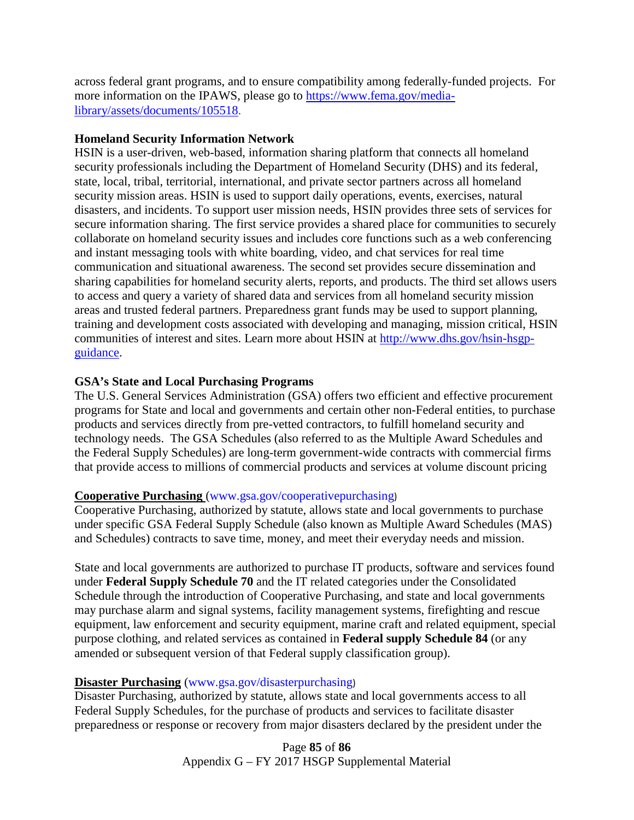across federal grant programs, and to ensure compatibility among federally-funded projects. For more information on the IPAWS, please go to [https://www.fema.gov/media](https://www.fema.gov/media-library/assets/documents/105518)[library/assets/documents/105518.](https://www.fema.gov/media-library/assets/documents/105518)

#### **Homeland Security Information Network**

HSIN is a user-driven, web-based, information sharing platform that connects all homeland security professionals including the Department of Homeland Security (DHS) and its federal, state, local, tribal, territorial, international, and private sector partners across all homeland security mission areas. HSIN is used to support daily operations, events, exercises, natural disasters, and incidents. To support user mission needs, HSIN provides three sets of services for secure information sharing. The first service provides a shared place for communities to securely collaborate on homeland security issues and includes core functions such as a web conferencing and instant messaging tools with white boarding, video, and chat services for real time communication and situational awareness. The second set provides secure dissemination and sharing capabilities for homeland security alerts, reports, and products. The third set allows users to access and query a variety of shared data and services from all homeland security mission areas and trusted federal partners. Preparedness grant funds may be used to support planning, training and development costs associated with developing and managing, mission critical, HSIN communities of interest and sites. Learn more about HSIN at [http://www.dhs.gov/hsin-hsgp](http://www.dhs.gov/hsin-hsgp-guidance)[guidance.](http://www.dhs.gov/hsin-hsgp-guidance)

#### **GSA's State and Local Purchasing Programs**

The U.S. General Services Administration (GSA) offers two efficient and effective procurement programs for State and local and governments and certain other non-Federal entities, to purchase products and services directly from pre-vetted contractors, to fulfill homeland security and technology needs. The GSA Schedules (also referred to as the Multiple Award Schedules and the Federal Supply Schedules) are long-term government-wide contracts with commercial firms that provide access to millions of commercial products and services at volume discount pricing

#### **Cooperative Purchasing** [\(www.gsa.gov/cooperativepurchasing](http://www.gsa.gov/cooperativepurchasing))

Cooperative Purchasing, authorized by statute, allows state and local governments to purchase under specific GSA Federal Supply Schedule (also known as Multiple Award Schedules (MAS) and Schedules) contracts to save time, money, and meet their everyday needs and mission.

State and local governments are authorized to purchase IT products, software and services found under **Federal Supply Schedule 70** and the IT related categories under the Consolidated Schedule through the introduction of Cooperative Purchasing, and state and local governments may purchase alarm and signal systems, facility management systems, firefighting and rescue equipment, law enforcement and security equipment, marine craft and related equipment, special purpose clothing, and related services as contained in **Federal supply Schedule 84** (or any amended or subsequent version of that Federal supply classification group).

#### **Disaster Purchasing** [\(www.gsa.gov/disasterpurchasing](http://www.gsa.gov/disasterpurchasing))

Disaster Purchasing, authorized by statute, allows state and local governments access to all Federal Supply Schedules, for the purchase of products and services to facilitate disaster preparedness or response or recovery from major disasters declared by the president under the

> Page **85** of **86** Appendix G – FY 2017 HSGP Supplemental Material